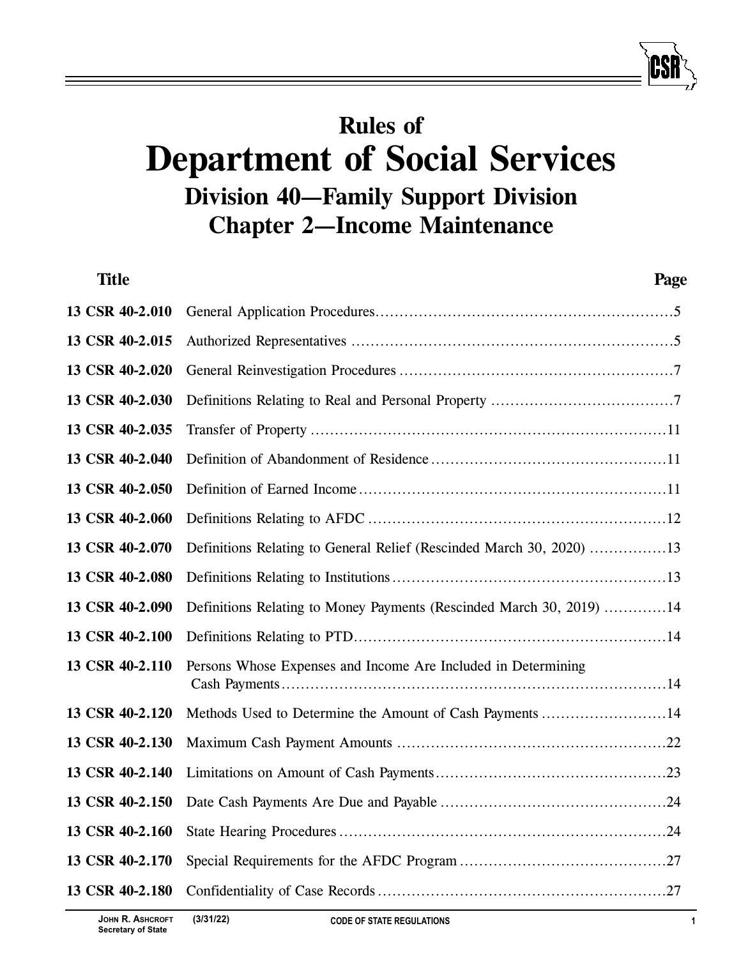# **Rules of Department of Social Services Division 40—Family Support Division Chapter 2—Income Maintenance**

| <b>Title</b>    | Page                                                                 |
|-----------------|----------------------------------------------------------------------|
| 13 CSR 40-2.010 |                                                                      |
| 13 CSR 40-2.015 |                                                                      |
| 13 CSR 40-2.020 |                                                                      |
| 13 CSR 40-2.030 |                                                                      |
| 13 CSR 40-2.035 |                                                                      |
| 13 CSR 40-2.040 |                                                                      |
| 13 CSR 40-2.050 |                                                                      |
| 13 CSR 40-2.060 |                                                                      |
| 13 CSR 40-2.070 | Definitions Relating to General Relief (Rescinded March 30, 2020) 13 |
| 13 CSR 40-2.080 |                                                                      |
| 13 CSR 40-2.090 | Definitions Relating to Money Payments (Rescinded March 30, 2019) 14 |
| 13 CSR 40-2.100 |                                                                      |
| 13 CSR 40-2.110 | Persons Whose Expenses and Income Are Included in Determining        |
| 13 CSR 40-2.120 | Methods Used to Determine the Amount of Cash Payments 14             |
| 13 CSR 40-2.130 |                                                                      |
| 13 CSR 40-2.140 |                                                                      |
| 13 CSR 40-2.150 |                                                                      |
| 13 CSR 40-2.160 |                                                                      |
| 13 CSR 40-2.170 |                                                                      |
| 13 CSR 40-2.180 |                                                                      |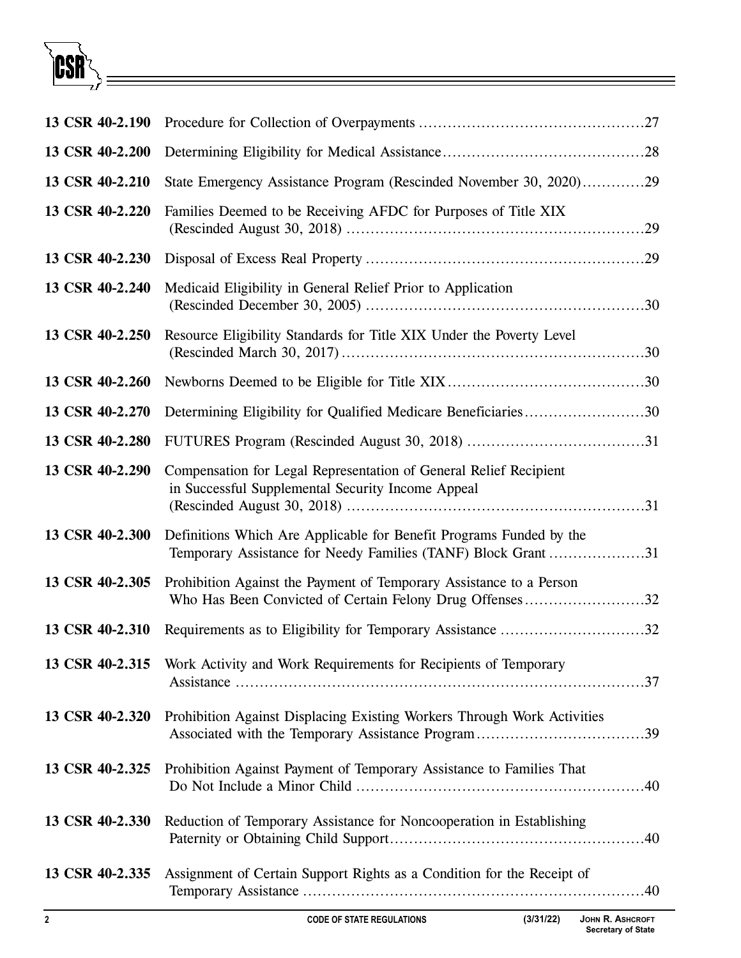

| 13 CSR 40-2.190 |                                                                                                                                      |
|-----------------|--------------------------------------------------------------------------------------------------------------------------------------|
| 13 CSR 40-2.200 |                                                                                                                                      |
| 13 CSR 40-2.210 | State Emergency Assistance Program (Rescinded November 30, 2020)29                                                                   |
| 13 CSR 40-2.220 | Families Deemed to be Receiving AFDC for Purposes of Title XIX                                                                       |
| 13 CSR 40-2.230 |                                                                                                                                      |
| 13 CSR 40-2.240 | Medicaid Eligibility in General Relief Prior to Application                                                                          |
| 13 CSR 40-2.250 | Resource Eligibility Standards for Title XIX Under the Poverty Level                                                                 |
| 13 CSR 40-2.260 |                                                                                                                                      |
| 13 CSR 40-2.270 | Determining Eligibility for Qualified Medicare Beneficiaries30                                                                       |
| 13 CSR 40-2.280 |                                                                                                                                      |
| 13 CSR 40-2.290 | Compensation for Legal Representation of General Relief Recipient<br>in Successful Supplemental Security Income Appeal               |
| 13 CSR 40-2.300 | Definitions Which Are Applicable for Benefit Programs Funded by the<br>Temporary Assistance for Needy Families (TANF) Block Grant 31 |
| 13 CSR 40-2.305 | Prohibition Against the Payment of Temporary Assistance to a Person<br>Who Has Been Convicted of Certain Felony Drug Offenses32      |
| 13 CSR 40-2.310 | Requirements as to Eligibility for Temporary Assistance 32                                                                           |
| 13 CSR 40-2.315 | Work Activity and Work Requirements for Recipients of Temporary                                                                      |
| 13 CSR 40-2.320 | Prohibition Against Displacing Existing Workers Through Work Activities                                                              |
| 13 CSR 40-2.325 | Prohibition Against Payment of Temporary Assistance to Families That                                                                 |
| 13 CSR 40-2.330 | Reduction of Temporary Assistance for Noncooperation in Establishing                                                                 |
| 13 CSR 40-2.335 | Assignment of Certain Support Rights as a Condition for the Receipt of                                                               |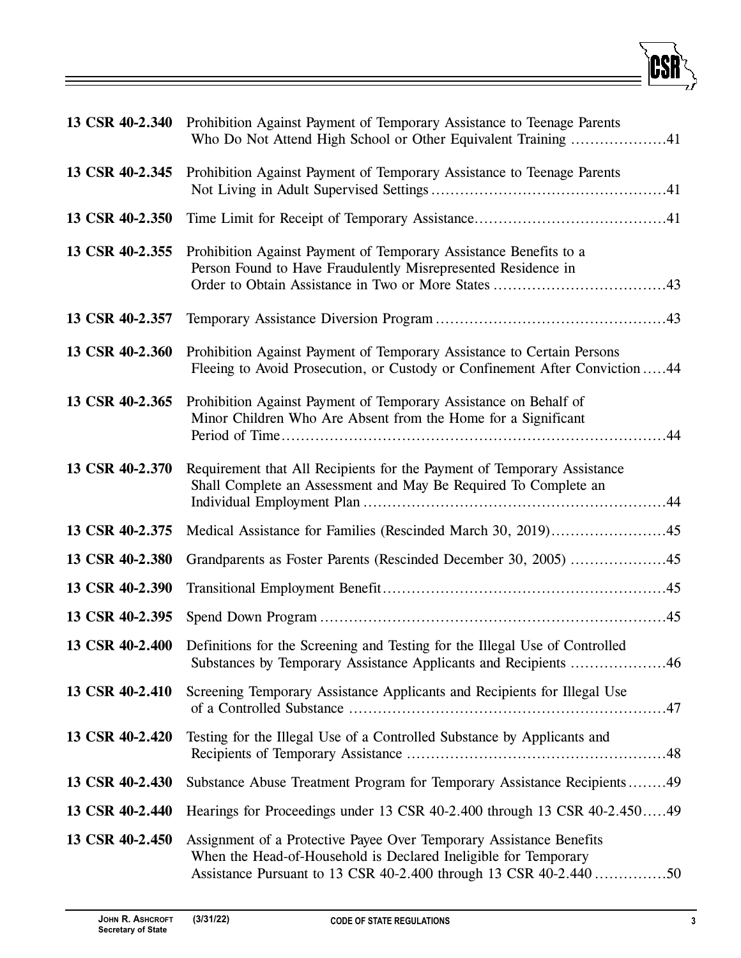| 13 CSR 40-2.340 | Prohibition Against Payment of Temporary Assistance to Teenage Parents<br>Who Do Not Attend High School or Other Equivalent Training 41                                                                     |
|-----------------|-------------------------------------------------------------------------------------------------------------------------------------------------------------------------------------------------------------|
| 13 CSR 40-2.345 | Prohibition Against Payment of Temporary Assistance to Teenage Parents                                                                                                                                      |
| 13 CSR 40-2.350 |                                                                                                                                                                                                             |
| 13 CSR 40-2.355 | Prohibition Against Payment of Temporary Assistance Benefits to a<br>Person Found to Have Fraudulently Misrepresented Residence in                                                                          |
| 13 CSR 40-2.357 |                                                                                                                                                                                                             |
| 13 CSR 40-2.360 | Prohibition Against Payment of Temporary Assistance to Certain Persons<br>Fleeing to Avoid Prosecution, or Custody or Confinement After Conviction44                                                        |
| 13 CSR 40-2.365 | Prohibition Against Payment of Temporary Assistance on Behalf of<br>Minor Children Who Are Absent from the Home for a Significant                                                                           |
| 13 CSR 40-2.370 | Requirement that All Recipients for the Payment of Temporary Assistance<br>Shall Complete an Assessment and May Be Required To Complete an                                                                  |
| 13 CSR 40-2.375 |                                                                                                                                                                                                             |
| 13 CSR 40-2.380 |                                                                                                                                                                                                             |
| 13 CSR 40-2.390 |                                                                                                                                                                                                             |
| 13 CSR 40-2.395 |                                                                                                                                                                                                             |
|                 | 13 CSR 40-2.400 Definitions for the Screening and Testing for the Illegal Use of Controlled<br>Substances by Temporary Assistance Applicants and Recipients 46                                              |
| 13 CSR 40-2.410 | Screening Temporary Assistance Applicants and Recipients for Illegal Use                                                                                                                                    |
| 13 CSR 40-2.420 | Testing for the Illegal Use of a Controlled Substance by Applicants and                                                                                                                                     |
| 13 CSR 40-2.430 | Substance Abuse Treatment Program for Temporary Assistance Recipients49                                                                                                                                     |
| 13 CSR 40-2.440 | Hearings for Proceedings under 13 CSR 40-2.400 through 13 CSR 40-2.45049                                                                                                                                    |
| 13 CSR 40-2.450 | Assignment of a Protective Payee Over Temporary Assistance Benefits<br>When the Head-of-Household is Declared Ineligible for Temporary<br>Assistance Pursuant to 13 CSR 40-2.400 through 13 CSR 40-2.440 50 |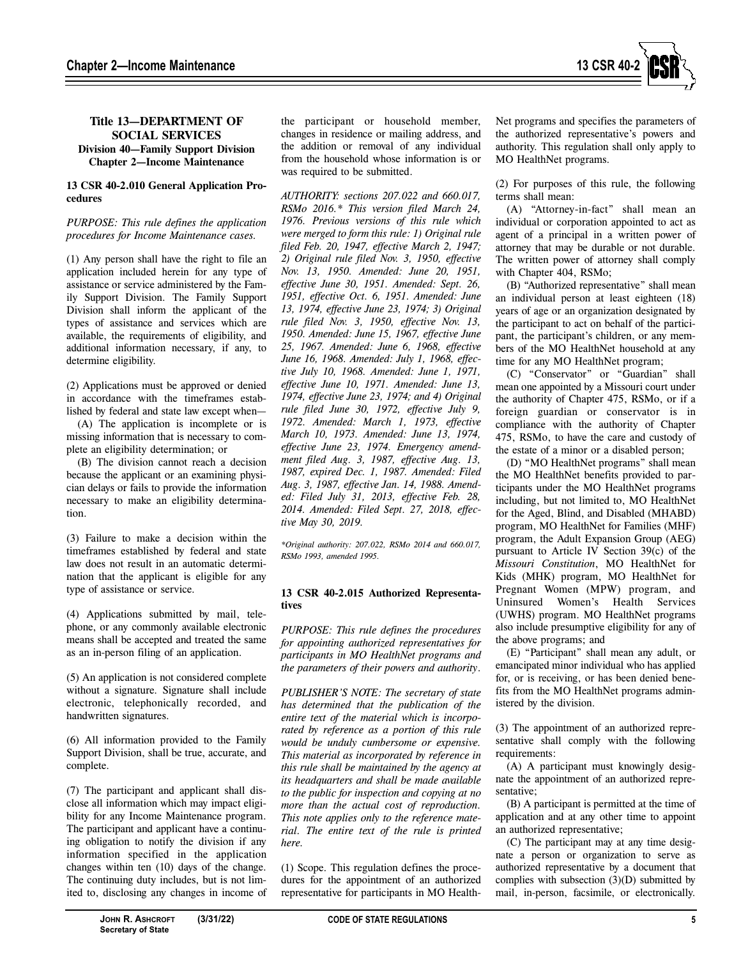

# **Title 13—DEPARTMENT OF SOCIAL SERVICES Division 40—Family Support Division Chapter 2—Income Maintenance**

# **13 CSR 40-2.010 General Application Procedures**

## *PURPOSE: This rule defines the application procedures for Income Maintenance cases.*

(1) Any person shall have the right to file an application included herein for any type of assistance or service administered by the Family Support Division. The Family Support Division shall inform the applicant of the types of assistance and services which are available, the requirements of eligibility, and additional information necessary, if any, to determine eligibility.

(2) Applications must be approved or denied in accordance with the timeframes established by federal and state law except when—

(A) The application is incomplete or is missing information that is necessary to complete an eligibility determination; or

(B) The division cannot reach a decision because the applicant or an examining physician delays or fails to provide the information necessary to make an eligibility determination.

(3) Failure to make a decision within the timeframes established by federal and state law does not result in an automatic determination that the applicant is eligible for any type of assistance or service.

(4) Applications submitted by mail, telephone, or any commonly available electronic means shall be accepted and treated the same as an in-person filing of an application.

(5) An application is not considered complete without a signature. Signature shall include electronic, telephonically recorded, and handwritten signatures.

(6) All information provided to the Family Support Division, shall be true, accurate, and complete.

(7) The participant and applicant shall disclose all information which may impact eligibility for any Income Maintenance program. The participant and applicant have a continuing obligation to notify the division if any information specified in the application changes within ten (10) days of the change. The continuing duty includes, but is not limited to, disclosing any changes in income of the participant or household member, changes in residence or mailing address, and the addition or removal of any individual from the household whose information is or was required to be submitted.

*AUTHORITY: sections 207.022 and 660.017, RSMo 2016.\* This version filed March 24, 1976. Previous versions of this rule which were merged to form this rule: 1) Original rule filed Feb. 20, 1947, effective March 2, 1947; 2) Original rule filed Nov. 3, 1950, effective Nov. 13, 1950. Amended: June 20, 1951, effective June 30, 1951. Amended: Sept. 26, 1951, effective Oct. 6, 1951. Amended: June 13, 1974, effective June 23, 1974; 3) Original rule filed Nov. 3, 1950, effective Nov. 13, 1950. Amended: June 15, 1967, effective June 25, 1967. Amended: June 6, 1968, effective June 16, 1968. Amended: July 1, 1968, effective July 10, 1968. Amended: June 1, 1971, effective June 10, 1971. Amended: June 13, 1974, effective June 23, 1974; and 4) Original rule filed June 30, 1972, effective July 9, 1972. Amended: March 1, 1973, effective March 10, 1973. Amended: June 13, 1974, effective June 23, 1974. Emergency amendment filed Aug. 3, 1987, effective Aug. 13, 1987, expired Dec. 1, 1987. Amended: Filed Aug. 3, 1987, effective Jan. 14, 1988. Amended: Filed July 31, 2013, effective Feb. 28, 2014. Amended: Filed Sept. 27, 2018, effective May 30, 2019.* 

*\*Original authority: 207.022, RSMo 2014 and 660.017, RSMo 1993, amended 1995.*

# **13 CSR 40-2.015 Authorized Representatives**

*PURPOSE: This rule defines the procedures for appointing authorized representatives for participants in MO HealthNet programs and the parameters of their powers and authority*.

*PUBLISHER'S NOTE: The secretary of state has determined that the publication of the entire text of the material which is incorporated by reference as a portion of this rule would be unduly cumbersome or expensive. This material as incorporated by reference in this rule shall be maintained by the agency at its headquarters and shall be made available to the public for inspection and copying at no more than the actual cost of reproduction. This note applies only to the reference material. The entire text of the rule is printed here.* 

(1) Scope. This regulation defines the procedures for the appointment of an authorized representative for participants in MO Health-

Net programs and specifies the parameters of the authorized representative's powers and authority. This regulation shall only apply to MO HealthNet programs.

(2) For purposes of this rule, the following terms shall mean:

(A) "Attorney-in-fact" shall mean an individual or corporation appointed to act as agent of a principal in a written power of attorney that may be durable or not durable. The written power of attorney shall comply with Chapter 404, RSMo;

(B) "Authorized representative" shall mean an individual person at least eighteen (18) years of age or an organization designated by the participant to act on behalf of the participant, the participant's children, or any members of the MO HealthNet household at any time for any MO HealthNet program;

(C) "Conservator" or "Guardian" shall mean one appointed by a Missouri court under the authority of Chapter 475, RSMo, or if a foreign guardian or conservator is in compliance with the authority of Chapter 475, RSMo, to have the care and custody of the estate of a minor or a disabled person;

(D) "MO HealthNet programs" shall mean the MO HealthNet benefits provided to participants under the MO HealthNet programs including, but not limited to, MO HealthNet for the Aged, Blind, and Disabled (MHABD) program, MO HealthNet for Families (MHF) program, the Adult Expansion Group (AEG) pursuant to Article IV Section 39(c) of the *Missouri Constitution*, MO HealthNet for Kids (MHK) program, MO HealthNet for Pregnant Women (MPW) program, and Uninsured Women's Health Services (UWHS) program. MO HealthNet programs also include presumptive eligibility for any of the above programs; and

(E) "Participant" shall mean any adult, or emancipated minor individual who has applied for, or is receiving, or has been denied benefits from the MO HealthNet programs administered by the division.

(3) The appointment of an authorized representative shall comply with the following requirements:

(A) A participant must knowingly designate the appointment of an authorized representative;

(B) A participant is permitted at the time of application and at any other time to appoint an authorized representative;

(C) The participant may at any time designate a person or organization to serve as authorized representative by a document that complies with subsection (3)(D) submitted by mail, in-person, facsimile, or electronically.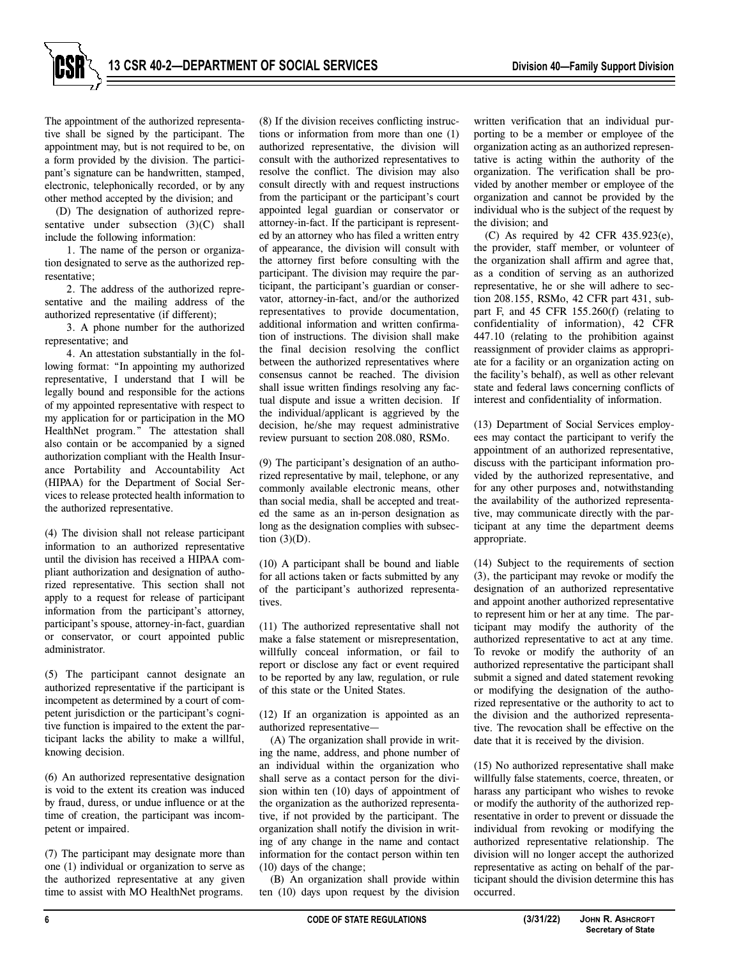

The appointment of the authorized representative shall be signed by the participant. The appointment may, but is not required to be, on a form provided by the division. The participant's signature can be handwritten, stamped, electronic, telephonically recorded, or by any other method accepted by the division; and

(D) The designation of authorized representative under subsection (3)(C) shall include the following information:

1. The name of the person or organization designated to serve as the authorized representative;

2. The address of the authorized representative and the mailing address of the authorized representative (if different);

3. A phone number for the authorized representative; and

4. An attestation substantially in the following format: "In appointing my authorized representative, I understand that I will be legally bound and responsible for the actions of my appointed representative with respect to my application for or participation in the MO HealthNet program." The attestation shall also contain or be accompanied by a signed authorization compliant with the Health Insurance Portability and Accountability Act (HIPAA) for the Department of Social Services to release protected health information to the authorized representative.

(4) The division shall not release participant information to an authorized representative until the division has received a HIPAA compliant authorization and designation of authorized representative. This section shall not apply to a request for release of participant information from the participant's attorney, participant's spouse, attorney-in-fact, guardian or conservator, or court appointed public administrator.

(5) The participant cannot designate an authorized representative if the participant is incompetent as determined by a court of competent jurisdiction or the participant's cognitive function is impaired to the extent the participant lacks the ability to make a willful, knowing decision.

(6) An authorized representative designation is void to the extent its creation was induced by fraud, duress, or undue influence or at the time of creation, the participant was incompetent or impaired.

(7) The participant may designate more than one (1) individual or organization to serve as the authorized representative at any given time to assist with MO HealthNet programs.

(8) If the division receives conflicting instructions or information from more than one (1) authorized representative, the division will consult with the authorized representatives to resolve the conflict. The division may also consult directly with and request instructions from the participant or the participant's court appointed legal guardian or conservator or attorney-in-fact. If the participant is represented by an attorney who has filed a written entry of appearance, the division will consult with the attorney first before consulting with the participant. The division may require the participant, the participant's guardian or conservator, attorney-in-fact, and/or the authorized representatives to provide documentation, additional information and written confirmation of instructions. The division shall make the final decision resolving the conflict between the authorized representatives where consensus cannot be reached. The division shall issue written findings resolving any factual dispute and issue a written decision. If the individual/applicant is aggrieved by the decision, he/she may request administrative review pursuant to section 208.080, RSMo.

(9) The participant's designation of an authorized representative by mail, telephone, or any commonly available electronic means, other than social media, shall be accepted and treated the same as an in-person designation as long as the designation complies with subsection  $(3)(D)$ .

(10) A participant shall be bound and liable for all actions taken or facts submitted by any of the participant's authorized representatives.

(11) The authorized representative shall not make a false statement or misrepresentation, willfully conceal information, or fail to report or disclose any fact or event required to be reported by any law, regulation, or rule of this state or the United States.

(12) If an organization is appointed as an authorized representative—

(A) The organization shall provide in writing the name, address, and phone number of an individual within the organization who shall serve as a contact person for the division within ten (10) days of appointment of the organization as the authorized representative, if not provided by the participant. The organization shall notify the division in writing of any change in the name and contact information for the contact person within ten (10) days of the change;

(B) An organization shall provide within ten (10) days upon request by the division written verification that an individual purporting to be a member or employee of the organization acting as an authorized representative is acting within the authority of the organization. The verification shall be provided by another member or employee of the organization and cannot be provided by the individual who is the subject of the request by the division; and

(C) As required by 42 CFR 435.923(e), the provider, staff member, or volunteer of the organization shall affirm and agree that, as a condition of serving as an authorized representative, he or she will adhere to section 208.155, RSMo, 42 CFR part 431, subpart F, and 45 CFR 155.260(f) (relating to confidentiality of information), 42 CFR 447.10 (relating to the prohibition against reassignment of provider claims as appropriate for a facility or an organization acting on the facility's behalf), as well as other relevant state and federal laws concerning conflicts of interest and confidentiality of information.

(13) Department of Social Services employees may contact the participant to verify the appointment of an authorized representative, discuss with the participant information provided by the authorized representative, and for any other purposes and, notwithstanding the availability of the authorized representative, may communicate directly with the participant at any time the department deems appropriate.

(14) Subject to the requirements of section (3), the participant may revoke or modify the designation of an authorized representative and appoint another authorized representative to represent him or her at any time. The participant may modify the authority of the authorized representative to act at any time. To revoke or modify the authority of an authorized representative the participant shall submit a signed and dated statement revoking or modifying the designation of the authorized representative or the authority to act to the division and the authorized representative. The revocation shall be effective on the date that it is received by the division.

(15) No authorized representative shall make willfully false statements, coerce, threaten, or harass any participant who wishes to revoke or modify the authority of the authorized representative in order to prevent or dissuade the individual from revoking or modifying the authorized representative relationship. The division will no longer accept the authorized representative as acting on behalf of the participant should the division determine this has occurred.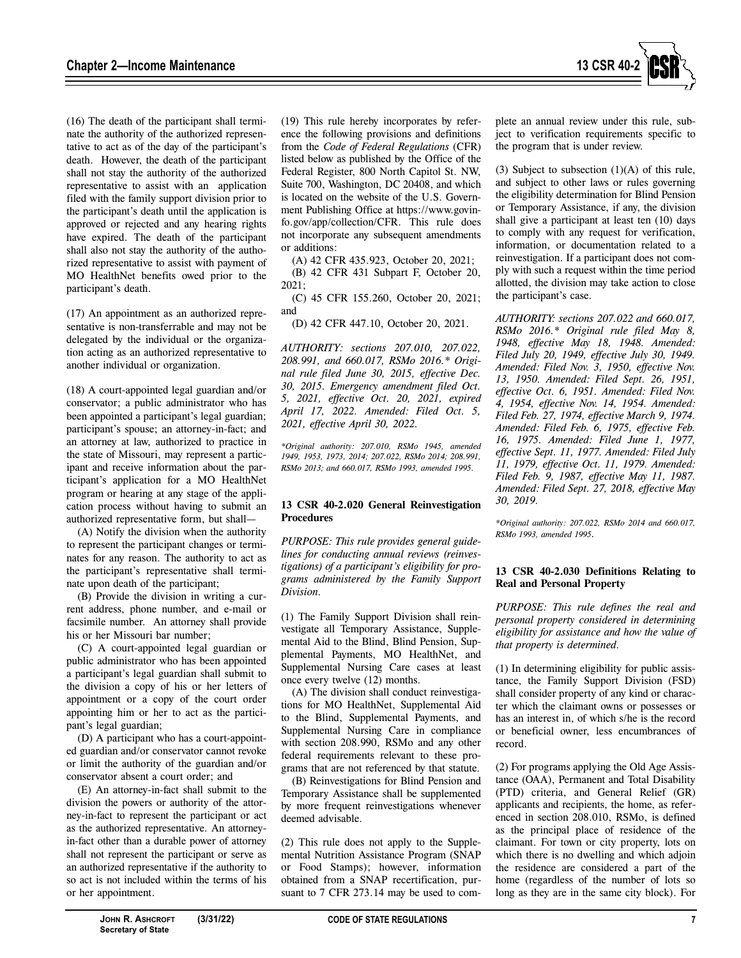

(16) The death of the participant shall terminate the authority of the authorized representative to act as of the day of the participant's death. However, the death of the participant shall not stay the authority of the authorized representative to assist with an application filed with the family support division prior to the participant's death until the application is approved or rejected and any hearing rights have expired. The death of the participant shall also not stay the authority of the authorized representative to assist with payment of MO HealthNet benefits owed prior to the participant's death.

(17) An appointment as an authorized representative is non-transferrable and may not be delegated by the individual or the organization acting as an authorized representative to another individual or organization.

(18) A court-appointed legal guardian and/or conservator; a public administrator who has been appointed a participant's legal guardian; participant's spouse; an attorney-in-fact; and an attorney at law, authorized to practice in the state of Missouri, may represent a participant and receive information about the participant's application for a MO HealthNet program or hearing at any stage of the application process without having to submit an authorized representative form, but shall—

(A) Notify the division when the authority to represent the participant changes or terminates for any reason. The authority to act as the participant's representative shall terminate upon death of the participant;

(B) Provide the division in writing a current address, phone number, and e-mail or facsimile number. An attorney shall provide his or her Missouri bar number;

(C) A court-appointed legal guardian or public administrator who has been appointed a participant's legal guardian shall submit to the division a copy of his or her letters of appointment or a copy of the court order appointing him or her to act as the participant's legal guardian;

(D) A participant who has a court-appointed guardian and/or conservator cannot revoke or limit the authority of the guardian and/or conservator absent a court order; and

(E) An attorney-in-fact shall submit to the division the powers or authority of the attorney-in-fact to represent the participant or act as the authorized representative. An attorneyin-fact other than a durable power of attorney shall not represent the participant or serve as an authorized representative if the authority to so act is not included within the terms of his or her appointment.

(19) This rule hereby incorporates by reference the following provisions and definitions from the *Code of Federal Regulations* (CFR) listed below as published by the Office of the Federal Register, 800 North Capitol St. NW, Suite 700, Washington, DC 20408, and which is located on the website of the U.S. Government Publishing Office at https://www.govinfo.gov/app/collection/CFR. This rule does not incorporate any subsequent amendments or additions:

(A) 42 CFR 435.923, October 20, 2021; (B) 42 CFR 431 Subpart F, October 20, 2021;

(C) 45 CFR 155.260, October 20, 2021; and

(D) 42 CFR 447.10, October 20, 2021.

*AUTHORITY: sections 207.010, 207.022, 208.991, and 660.017, RSMo 2016.\* Original rule filed June 30, 2015, effective Dec. 30, 2015. Emergency amendment filed Oct. 5, 2021, effective Oct. 20, 2021, expired April 17, 2022. Amended: Filed Oct. 5, 2021, effective April 30, 2022.* 

*\*Original authority: 207.010, RSMo 1945, amended 1949, 1953, 1973, 2014; 207.022, RSMo 2014; 208.991, RSMo 2013; and 660.017, RSMo 1993, amended 1995.*

## **13 CSR 40-2.020 General Reinvestigation Procedures**

*PURPOSE: This rule provides general guidelines for conducting annual reviews (reinvestigations) of a participant's eligibility for programs administered by the Family Support Division.* 

(1) The Family Support Division shall reinvestigate all Temporary Assistance, Supplemental Aid to the Blind, Blind Pension, Supplemental Payments, MO HealthNet, and Supplemental Nursing Care cases at least once every twelve (12) months.

(A) The division shall conduct reinvestigations for MO HealthNet, Supplemental Aid to the Blind, Supplemental Payments, and Supplemental Nursing Care in compliance with section 208.990, RSMo and any other federal requirements relevant to these programs that are not referenced by that statute.

(B) Reinvestigations for Blind Pension and Temporary Assistance shall be supplemented by more frequent reinvestigations whenever deemed advisable.

(2) This rule does not apply to the Supplemental Nutrition Assistance Program (SNAP or Food Stamps); however, information obtained from a SNAP recertification, pursuant to 7 CFR 273.14 may be used to complete an annual review under this rule, subject to verification requirements specific to the program that is under review.

(3) Subject to subsection  $(1)(A)$  of this rule, and subject to other laws or rules governing the eligibility determination for Blind Pension or Temporary Assistance, if any, the division shall give a participant at least ten (10) days to comply with any request for verification, information, or documentation related to a reinvestigation. If a participant does not comply with such a request within the time period allotted, the division may take action to close the participant's case.

*AUTHORITY: sections 207.022 and 660.017, RSMo 2016.\* Original rule filed May 8, 1948, effective May 18, 1948. Amended: Filed July 20, 1949, effective July 30, 1949. Amended: Filed Nov. 3, 1950, effective Nov. 13, 1950. Amended: Filed Sept. 26, 1951, effective Oct. 6, 1951. Amended: Filed Nov. 4, 1954, effective Nov. 14, 1954. Amended: Filed Feb. 27, 1974, effective March 9, 1974. Amended: Filed Feb. 6, 1975, effective Feb. 16, 1975. Amended: Filed June 1, 1977, effective Sept. 11, 1977. Amended: Filed July 11, 1979, effective Oct. 11, 1979. Amended: Filed Feb. 9, 1987, effective May 11, 1987. Amended: Filed Sept. 27, 2018, effective May 30, 2019.* 

*\*Original authority: 207.022, RSMo 2014 and 660.017, RSMo 1993, amended 1995.* 

## **13 CSR 40-2.030 Definitions Relating to Real and Personal Property**

*PURPOSE: This rule defines the real and personal property considered in determining eligibility for assistance and how the value of that property is determined.* 

(1) In determining eligibility for public assistance, the Family Support Division (FSD) shall consider property of any kind or character which the claimant owns or possesses or has an interest in, of which s/he is the record or beneficial owner, less encumbrances of record.

(2) For programs applying the Old Age Assistance (OAA), Permanent and Total Disability (PTD) criteria, and General Relief (GR) applicants and recipients, the home, as referenced in section 208.010, RSMo, is defined as the principal place of residence of the claimant. For town or city property, lots on which there is no dwelling and which adjoin the residence are considered a part of the home (regardless of the number of lots so long as they are in the same city block). For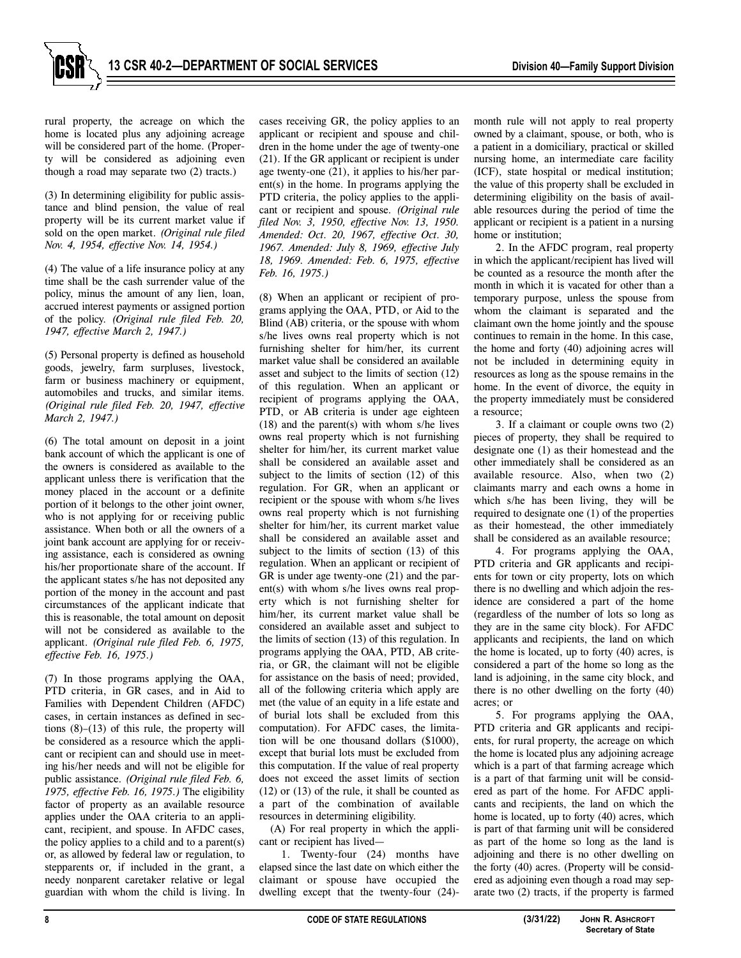

rural property, the acreage on which the home is located plus any adjoining acreage will be considered part of the home. (Property will be considered as adjoining even though a road may separate two (2) tracts.)

(3) In determining eligibility for public assistance and blind pension, the value of real property will be its current market value if sold on the open market. *(Original rule filed Nov. 4, 1954, effective Nov. 14, 1954.)*

(4) The value of a life insurance policy at any time shall be the cash surrender value of the policy, minus the amount of any lien, loan, accrued interest payments or assigned portion of the policy. *(Original rule filed Feb. 20, 1947, effective March 2, 1947.)*

(5) Personal property is defined as household goods, jewelry, farm surpluses, livestock, farm or business machinery or equipment, automobiles and trucks, and similar items. *(Original rule filed Feb. 20, 1947, effective March 2, 1947.)* 

(6) The total amount on deposit in a joint bank account of which the applicant is one of the owners is considered as available to the applicant unless there is verification that the money placed in the account or a definite portion of it belongs to the other joint owner, who is not applying for or receiving public assistance. When both or all the owners of a joint bank account are applying for or receiving assistance, each is considered as owning his/her proportionate share of the account. If the applicant states s/he has not deposited any portion of the money in the account and past circumstances of the applicant indicate that this is reasonable, the total amount on deposit will not be considered as available to the applicant. *(Original rule filed Feb. 6, 1975, effective Feb. 16, 1975.)* 

(7) In those programs applying the OAA, PTD criteria, in GR cases, and in Aid to Families with Dependent Children (AFDC) cases, in certain instances as defined in sections  $(8)$ – $(13)$  of this rule, the property will be considered as a resource which the applicant or recipient can and should use in meeting his/her needs and will not be eligible for public assistance. *(Original rule filed Feb. 6, 1975, effective Feb. 16, 1975.)* The eligibility factor of property as an available resource applies under the OAA criteria to an applicant, recipient, and spouse. In AFDC cases, the policy applies to a child and to a parent(s) or, as allowed by federal law or regulation, to stepparents or, if included in the grant, a needy nonparent caretaker relative or legal guardian with whom the child is living. In

cases receiving GR, the policy applies to an applicant or recipient and spouse and children in the home under the age of twenty-one (21). If the GR applicant or recipient is under age twenty-one (21), it applies to his/her parent(s) in the home. In programs applying the PTD criteria, the policy applies to the applicant or recipient and spouse*. (Original rule filed Nov. 3, 1950, effective Nov. 13, 1950. Amended: Oct. 20, 1967, effective Oct. 30, 1967. Amended: July 8, 1969, effective July 18, 1969. Amended: Feb. 6, 1975, effective Feb. 16, 1975.)*

(8) When an applicant or recipient of programs applying the OAA, PTD, or Aid to the Blind (AB) criteria, or the spouse with whom s/he lives owns real property which is not furnishing shelter for him/her, its current market value shall be considered an available asset and subject to the limits of section (12) of this regulation. When an applicant or recipient of programs applying the OAA, PTD, or AB criteria is under age eighteen (18) and the parent(s) with whom s/he lives owns real property which is not furnishing shelter for him/her, its current market value shall be considered an available asset and subject to the limits of section (12) of this regulation. For GR, when an applicant or recipient or the spouse with whom s/he lives owns real property which is not furnishing shelter for him/her, its current market value shall be considered an available asset and subject to the limits of section (13) of this regulation. When an applicant or recipient of GR is under age twenty-one (21) and the parent(s) with whom s/he lives owns real property which is not furnishing shelter for him/her, its current market value shall be considered an available asset and subject to the limits of section (13) of this regulation. In programs applying the OAA, PTD, AB criteria, or GR, the claimant will not be eligible for assistance on the basis of need; provided, all of the following criteria which apply are met (the value of an equity in a life estate and of burial lots shall be excluded from this computation). For AFDC cases, the limitation will be one thousand dollars (\$1000), except that burial lots must be excluded from this computation. If the value of real property does not exceed the asset limits of section (12) or (13) of the rule, it shall be counted as a part of the combination of available resources in determining eligibility.

(A) For real property in which the applicant or recipient has lived—

1. Twenty-four (24) months have elapsed since the last date on which either the claimant or spouse have occupied the dwelling except that the twenty-four (24)-

month rule will not apply to real property owned by a claimant, spouse, or both, who is a patient in a domiciliary, practical or skilled nursing home, an intermediate care facility (ICF), state hospital or medical institution; the value of this property shall be excluded in determining eligibility on the basis of available resources during the period of time the applicant or recipient is a patient in a nursing home or institution;

2. In the AFDC program, real property in which the applicant/recipient has lived will be counted as a resource the month after the month in which it is vacated for other than a temporary purpose, unless the spouse from whom the claimant is separated and the claimant own the home jointly and the spouse continues to remain in the home. In this case, the home and forty (40) adjoining acres will not be included in determining equity in resources as long as the spouse remains in the home. In the event of divorce, the equity in the property immediately must be considered a resource;

3. If a claimant or couple owns two (2) pieces of property, they shall be required to designate one (1) as their homestead and the other immediately shall be considered as an available resource. Also, when two (2) claimants marry and each owns a home in which s/he has been living, they will be required to designate one (1) of the properties as their homestead, the other immediately shall be considered as an available resource;

4. For programs applying the OAA, PTD criteria and GR applicants and recipients for town or city property, lots on which there is no dwelling and which adjoin the residence are considered a part of the home (regardless of the number of lots so long as they are in the same city block). For AFDC applicants and recipients, the land on which the home is located, up to forty (40) acres, is considered a part of the home so long as the land is adjoining, in the same city block, and there is no other dwelling on the forty (40) acres; or

5. For programs applying the OAA, PTD criteria and GR applicants and recipients, for rural property, the acreage on which the home is located plus any adjoining acreage which is a part of that farming acreage which is a part of that farming unit will be considered as part of the home. For AFDC applicants and recipients, the land on which the home is located, up to forty (40) acres, which is part of that farming unit will be considered as part of the home so long as the land is adjoining and there is no other dwelling on the forty (40) acres. (Property will be considered as adjoining even though a road may separate two (2) tracts, if the property is farmed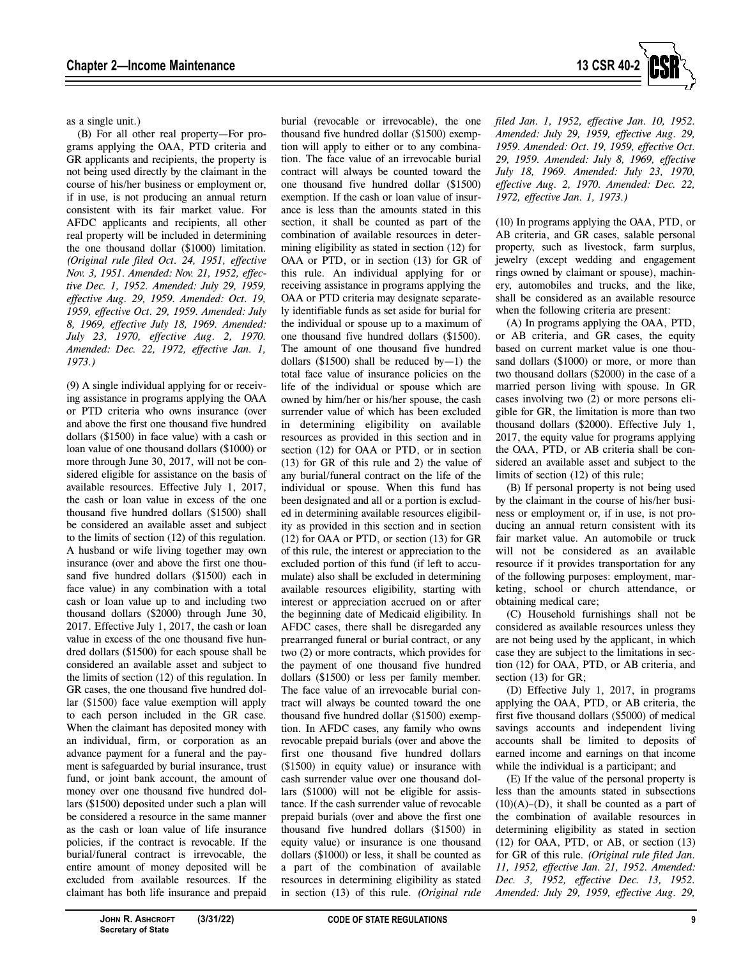

as a single unit.)

(B) For all other real property—For programs applying the OAA, PTD criteria and GR applicants and recipients, the property is not being used directly by the claimant in the course of his/her business or employment or, if in use, is not producing an annual return consistent with its fair market value. For AFDC applicants and recipients, all other real property will be included in determining the one thousand dollar (\$1000) limitation. *(Original rule filed Oct. 24, 1951, effective Nov. 3, 1951. Amended: Nov. 21, 1952, effective Dec. 1, 1952. Amended: July 29, 1959, effective Aug. 29, 1959. Amended: Oct. 19, 1959, effective Oct. 29, 1959. Amended: July 8, 1969, effective July 18, 1969. Amended: July 23, 1970, effective Aug. 2, 1970. Amended: Dec. 22, 1972, effective Jan. 1, 1973.)*

(9) A single individual applying for or receiving assistance in programs applying the OAA or PTD criteria who owns insurance (over and above the first one thousand five hundred dollars (\$1500) in face value) with a cash or loan value of one thousand dollars (\$1000) or more through June 30, 2017, will not be considered eligible for assistance on the basis of available resources. Effective July 1, 2017, the cash or loan value in excess of the one thousand five hundred dollars (\$1500) shall be considered an available asset and subject to the limits of section (12) of this regulation. A husband or wife living together may own insurance (over and above the first one thousand five hundred dollars (\$1500) each in face value) in any combination with a total cash or loan value up to and including two thousand dollars (\$2000) through June 30, 2017. Effective July 1, 2017, the cash or loan value in excess of the one thousand five hundred dollars (\$1500) for each spouse shall be considered an available asset and subject to the limits of section (12) of this regulation. In GR cases, the one thousand five hundred dollar (\$1500) face value exemption will apply to each person included in the GR case. When the claimant has deposited money with an individual, firm, or corporation as an advance payment for a funeral and the payment is safeguarded by burial insurance, trust fund, or joint bank account, the amount of money over one thousand five hundred dollars (\$1500) deposited under such a plan will be considered a resource in the same manner as the cash or loan value of life insurance policies, if the contract is revocable. If the burial/funeral contract is irrevocable, the entire amount of money deposited will be excluded from available resources. If the claimant has both life insurance and prepaid

burial (revocable or irrevocable), the one thousand five hundred dollar (\$1500) exemption will apply to either or to any combination. The face value of an irrevocable burial contract will always be counted toward the one thousand five hundred dollar (\$1500) exemption. If the cash or loan value of insurance is less than the amounts stated in this section, it shall be counted as part of the combination of available resources in determining eligibility as stated in section (12) for OAA or PTD, or in section (13) for GR of this rule. An individual applying for or receiving assistance in programs applying the OAA or PTD criteria may designate separately identifiable funds as set aside for burial for the individual or spouse up to a maximum of one thousand five hundred dollars (\$1500). The amount of one thousand five hundred dollars  $(\$1500)$  shall be reduced by-1) the total face value of insurance policies on the life of the individual or spouse which are owned by him/her or his/her spouse, the cash surrender value of which has been excluded in determining eligibility on available resources as provided in this section and in section (12) for OAA or PTD, or in section (13) for GR of this rule and 2) the value of any burial/funeral contract on the life of the individual or spouse. When this fund has been designated and all or a portion is excluded in determining available resources eligibility as provided in this section and in section (12) for OAA or PTD, or section (13) for GR of this rule, the interest or appreciation to the excluded portion of this fund (if left to accumulate) also shall be excluded in determining available resources eligibility, starting with interest or appreciation accrued on or after the beginning date of Medicaid eligibility. In AFDC cases, there shall be disregarded any prearranged funeral or burial contract, or any two (2) or more contracts, which provides for the payment of one thousand five hundred dollars (\$1500) or less per family member. The face value of an irrevocable burial contract will always be counted toward the one thousand five hundred dollar (\$1500) exemption. In AFDC cases, any family who owns revocable prepaid burials (over and above the first one thousand five hundred dollars (\$1500) in equity value) or insurance with cash surrender value over one thousand dollars (\$1000) will not be eligible for assistance. If the cash surrender value of revocable prepaid burials (over and above the first one thousand five hundred dollars (\$1500) in equity value) or insurance is one thousand dollars (\$1000) or less, it shall be counted as a part of the combination of available resources in determining eligibility as stated in section (13) of this rule. *(Original rule* 

*filed Jan. 1, 1952, effective Jan. 10, 1952. Amended: July 29, 1959, effective Aug. 29, 1959. Amended: Oct. 19, 1959, effective Oct. 29, 1959. Amended: July 8, 1969, effective July 18, 1969. Amended: July 23, 1970, effective Aug. 2, 1970. Amended: Dec. 22, 1972, effective Jan. 1, 1973.)*

(10) In programs applying the OAA, PTD, or AB criteria, and GR cases, salable personal property, such as livestock, farm surplus, jewelry (except wedding and engagement rings owned by claimant or spouse), machinery, automobiles and trucks, and the like, shall be considered as an available resource when the following criteria are present:

(A) In programs applying the OAA, PTD, or AB criteria, and GR cases, the equity based on current market value is one thousand dollars (\$1000) or more, or more than two thousand dollars (\$2000) in the case of a married person living with spouse. In GR cases involving two (2) or more persons eligible for GR, the limitation is more than two thousand dollars (\$2000). Effective July 1, 2017, the equity value for programs applying the OAA, PTD, or AB criteria shall be considered an available asset and subject to the limits of section (12) of this rule;

(B) If personal property is not being used by the claimant in the course of his/her business or employment or, if in use, is not producing an annual return consistent with its fair market value. An automobile or truck will not be considered as an available resource if it provides transportation for any of the following purposes: employment, marketing, school or church attendance, or obtaining medical care;

(C) Household furnishings shall not be considered as available resources unless they are not being used by the applicant, in which case they are subject to the limitations in section (12) for OAA, PTD, or AB criteria, and section (13) for GR;

(D) Effective July 1, 2017, in programs applying the OAA, PTD, or AB criteria, the first five thousand dollars (\$5000) of medical savings accounts and independent living accounts shall be limited to deposits of earned income and earnings on that income while the individual is a participant; and

(E) If the value of the personal property is less than the amounts stated in subsections  $(10)(A)$ – $(D)$ , it shall be counted as a part of the combination of available resources in determining eligibility as stated in section (12) for OAA, PTD, or AB, or section (13) for GR of this rule. *(Original rule filed Jan. 11, 1952, effective Jan. 21, 1952. Amended: Dec. 3, 1952, effective Dec. 13, 1952. Amended: July 29, 1959, effective Aug. 29,*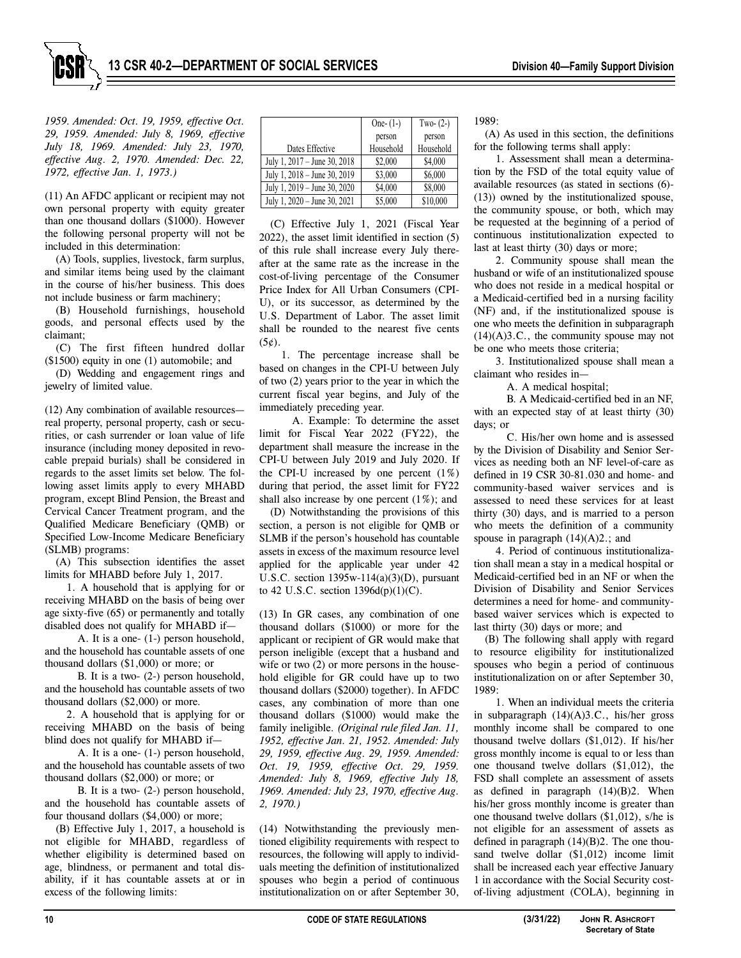

*1959. Amended: Oct. 19, 1959, effective Oct. 29, 1959. Amended: July 8, 1969, effective July 18, 1969. Amended: July 23, 1970, effective Aug. 2, 1970. Amended: Dec. 22, 1972, effective Jan. 1, 1973.)*

(11) An AFDC applicant or recipient may not own personal property with equity greater than one thousand dollars (\$1000). However the following personal property will not be included in this determination:

(A) Tools, supplies, livestock, farm surplus, and similar items being used by the claimant in the course of his/her business. This does not include business or farm machinery;

(B) Household furnishings, household goods, and personal effects used by the claimant;

(C) The first fifteen hundred dollar (\$1500) equity in one (1) automobile; and

(D) Wedding and engagement rings and jewelry of limited value.

(12) Any combination of available resources real property, personal property, cash or securities, or cash surrender or loan value of life insurance (including money deposited in revocable prepaid burials) shall be considered in regards to the asset limits set below. The following asset limits apply to every MHABD program, except Blind Pension, the Breast and Cervical Cancer Treatment program, and the Qualified Medicare Beneficiary (QMB) or Specified Low-Income Medicare Beneficiary (SLMB) programs:

(A) This subsection identifies the asset limits for MHABD before July 1, 2017.

1. A household that is applying for or receiving MHABD on the basis of being over age sixty-five (65) or permanently and totally disabled does not qualify for MHABD if—

A. It is a one- (1-) person household, and the household has countable assets of one thousand dollars (\$1,000) or more; or

B. It is a two- (2-) person household, and the household has countable assets of two thousand dollars (\$2,000) or more.

2. A household that is applying for or receiving MHABD on the basis of being blind does not qualify for MHABD if—

A. It is a one- (1-) person household, and the household has countable assets of two thousand dollars (\$2,000) or more; or

B. It is a two- (2-) person household, and the household has countable assets of four thousand dollars (\$4,000) or more;

(B) Effective July 1, 2017, a household is not eligible for MHABD, regardless of whether eligibility is determined based on age, blindness, or permanent and total disability, if it has countable assets at or in excess of the following limits:

|                              | One- $(1-)$ | Two- $(2-)$ |
|------------------------------|-------------|-------------|
|                              | person      | person      |
| Dates Effective              | Household   | Household   |
| July 1, 2017 – June 30, 2018 | \$2,000     | \$4,000     |
| July 1, 2018 - June 30, 2019 | \$3,000     | \$6,000     |
| July 1, 2019 - June 30, 2020 | \$4,000     | \$8,000     |
| July 1, 2020 - June 30, 2021 | \$5,000     | \$10,000    |

(C) Effective July 1, 2021 (Fiscal Year 2022), the asset limit identified in section (5) of this rule shall increase every July thereafter at the same rate as the increase in the cost-of-living percentage of the Consumer Price Index for All Urban Consumers (CPI-U), or its successor, as determined by the U.S. Department of Labor. The asset limit shall be rounded to the nearest five cents  $(5¢).$ 

1. The percentage increase shall be based on changes in the CPI-U between July of two (2) years prior to the year in which the current fiscal year begins, and July of the immediately preceding year.

A. Example: To determine the asset limit for Fiscal Year 2022 (FY22), the department shall measure the increase in the CPI-U between July 2019 and July 2020. If the CPI-U increased by one percent  $(1%)$ during that period, the asset limit for FY22 shall also increase by one percent (1%); and

(D) Notwithstanding the provisions of this section, a person is not eligible for QMB or SLMB if the person's household has countable assets in excess of the maximum resource level applied for the applicable year under 42 U.S.C. section  $1395w-114(a)(3)(D)$ , pursuant to 42 U.S.C. section  $1396d(p)(1)(C)$ .

(13) In GR cases, any combination of one thousand dollars (\$1000) or more for the applicant or recipient of GR would make that person ineligible (except that a husband and wife or two (2) or more persons in the household eligible for GR could have up to two thousand dollars (\$2000) together). In AFDC cases, any combination of more than one thousand dollars (\$1000) would make the family ineligible. *(Original rule filed Jan. 11, 1952, effective Jan. 21, 1952. Amended: July 29, 1959, effective Aug. 29, 1959. Amended: Oct. 19, 1959, effective Oct. 29, 1959. Amended: July 8, 1969, effective July 18, 1969. Amended: July 23, 1970, effective Aug. 2, 1970.)*

(14) Notwithstanding the previously mentioned eligibility requirements with respect to resources, the following will apply to individuals meeting the definition of institutionalized spouses who begin a period of continuous institutionalization on or after September 30,

1989:

(A) As used in this section, the definitions for the following terms shall apply:

1. Assessment shall mean a determination by the FSD of the total equity value of available resources (as stated in sections (6)- (13)) owned by the institutionalized spouse, the community spouse, or both, which may be requested at the beginning of a period of continuous institutionalization expected to last at least thirty (30) days or more;

2. Community spouse shall mean the husband or wife of an institutionalized spouse who does not reside in a medical hospital or a Medicaid-certified bed in a nursing facility (NF) and, if the institutionalized spouse is one who meets the definition in subparagraph  $(14)(A)3.C.,$  the community spouse may not be one who meets those criteria;

3. Institutionalized spouse shall mean a claimant who resides in—

A. A medical hospital;

B. A Medicaid-certified bed in an NF, with an expected stay of at least thirty (30) days; or

C. His/her own home and is assessed by the Division of Disability and Senior Services as needing both an NF level-of-care as defined in 19 CSR 30-81.030 and home- and community-based waiver services and is assessed to need these services for at least thirty (30) days, and is married to a person who meets the definition of a community spouse in paragraph  $(14)(A)2$ .; and

4. Period of continuous institutionalization shall mean a stay in a medical hospital or Medicaid-certified bed in an NF or when the Division of Disability and Senior Services determines a need for home- and communitybased waiver services which is expected to last thirty (30) days or more; and

(B) The following shall apply with regard to resource eligibility for institutionalized spouses who begin a period of continuous institutionalization on or after September 30, 1989:

1. When an individual meets the criteria in subparagraph (14)(A)3.C., his/her gross monthly income shall be compared to one thousand twelve dollars (\$1,012). If his/her gross monthly income is equal to or less than one thousand twelve dollars (\$1,012), the FSD shall complete an assessment of assets as defined in paragraph  $(14)(B)2$ . When his/her gross monthly income is greater than one thousand twelve dollars (\$1,012), s/he is not eligible for an assessment of assets as defined in paragraph  $(14)(B)2$ . The one thousand twelve dollar (\$1,012) income limit shall be increased each year effective January 1 in accordance with the Social Security costof-living adjustment (COLA), beginning in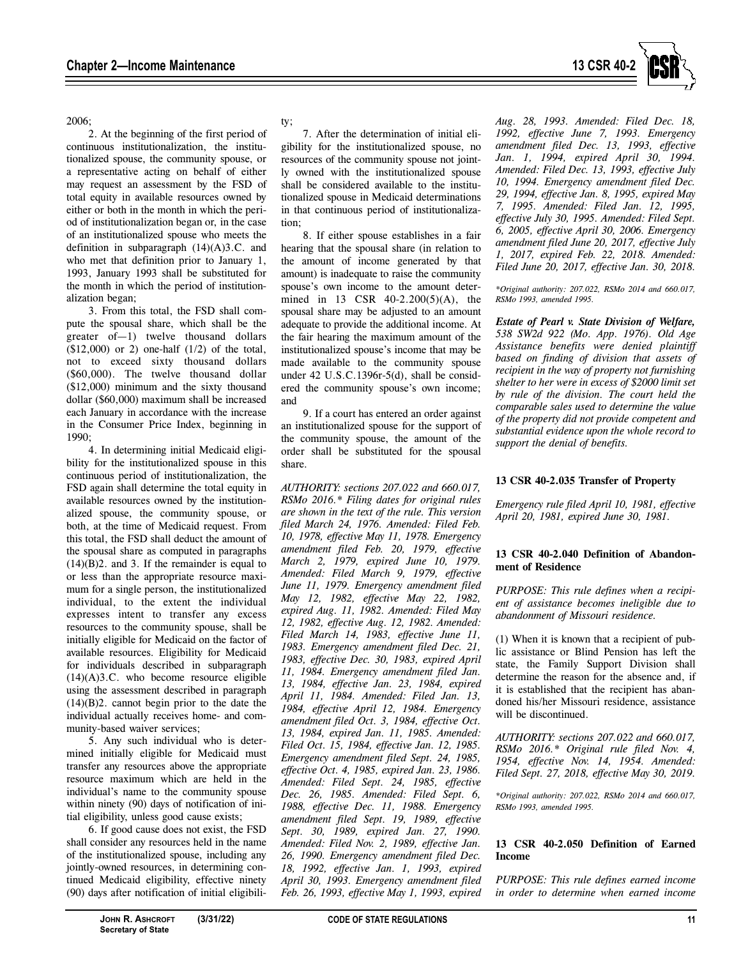

2006;

2. At the beginning of the first period of continuous institutionalization, the institutionalized spouse, the community spouse, or a representative acting on behalf of either may request an assessment by the FSD of total equity in available resources owned by either or both in the month in which the period of institutionalization began or, in the case of an institutionalized spouse who meets the definition in subparagraph  $(14)(A)3.C.$  and who met that definition prior to January 1, 1993, January 1993 shall be substituted for the month in which the period of institutionalization began;

3. From this total, the FSD shall compute the spousal share, which shall be the greater of—1) twelve thousand dollars  $(\$12,000)$  or 2) one-half  $(1/2)$  of the total, not to exceed sixty thousand dollars (\$60,000). The twelve thousand dollar (\$12,000) minimum and the sixty thousand dollar (\$60,000) maximum shall be increased each January in accordance with the increase in the Consumer Price Index, beginning in 1990;

4. In determining initial Medicaid eligibility for the institutionalized spouse in this continuous period of institutionalization, the FSD again shall determine the total equity in available resources owned by the institutionalized spouse, the community spouse, or both, at the time of Medicaid request. From this total, the FSD shall deduct the amount of the spousal share as computed in paragraphs  $(14)(B)2$ . and 3. If the remainder is equal to or less than the appropriate resource maximum for a single person, the institutionalized individual, to the extent the individual expresses intent to transfer any excess resources to the community spouse, shall be initially eligible for Medicaid on the factor of available resources. Eligibility for Medicaid for individuals described in subparagraph (14)(A)3.C. who become resource eligible using the assessment described in paragraph (14)(B)2. cannot begin prior to the date the individual actually receives home- and community-based waiver services;

5. Any such individual who is determined initially eligible for Medicaid must transfer any resources above the appropriate resource maximum which are held in the individual's name to the community spouse within ninety (90) days of notification of initial eligibility, unless good cause exists;

6. If good cause does not exist, the FSD shall consider any resources held in the name of the institutionalized spouse, including any jointly-owned resources, in determining continued Medicaid eligibility, effective ninety (90) days after notification of initial eligibili-

# ty;

7. After the determination of initial eligibility for the institutionalized spouse, no resources of the community spouse not jointly owned with the institutionalized spouse shall be considered available to the institutionalized spouse in Medicaid determinations in that continuous period of institutionalization;

8. If either spouse establishes in a fair hearing that the spousal share (in relation to the amount of income generated by that amount) is inadequate to raise the community spouse's own income to the amount determined in 13 CSR 40-2.200(5)(A), the spousal share may be adjusted to an amount adequate to provide the additional income. At the fair hearing the maximum amount of the institutionalized spouse's income that may be made available to the community spouse under 42 U.S.C.1396r-5(d), shall be considered the community spouse's own income; and

9. If a court has entered an order against an institutionalized spouse for the support of the community spouse, the amount of the order shall be substituted for the spousal share.

*AUTHORITY: sections 207.022 and 660.017, RSMo 2016.\* Filing dates for original rules are shown in the text of the rule. This version filed March 24, 1976. Amended: Filed Feb. 10, 1978, effective May 11, 1978. Emergency amendment filed Feb. 20, 1979, effective March 2, 1979, expired June 10, 1979. Amended: Filed March 9, 1979, effective June 11, 1979. Emergency amendment filed May 12, 1982, effective May 22, 1982, expired Aug. 11, 1982. Amended: Filed May 12, 1982, effective Aug. 12, 1982. Amended: Filed March 14, 1983, effective June 11, 1983. Emergency amendment filed Dec. 21, 1983, effective Dec. 30, 1983, expired April 11, 1984. Emergency amendment filed Jan. 13, 1984, effective Jan. 23, 1984, expired April 11, 1984. Amended: Filed Jan. 13, 1984, effective April 12, 1984. Emergency amendment filed Oct. 3, 1984, effective Oct. 13, 1984, expired Jan. 11, 1985. Amended: Filed Oct. 15, 1984, effective Jan. 12, 1985. Emergency amendment filed Sept. 24, 1985, effective Oct. 4, 1985, expired Jan. 23, 1986. Amended: Filed Sept. 24, 1985, effective Dec. 26, 1985. Amended: Filed Sept. 6, 1988, effective Dec. 11, 1988. Emergency amendment filed Sept. 19, 1989, effective Sept. 30, 1989, expired Jan. 27, 1990. Amended: Filed Nov. 2, 1989, effective Jan. 26, 1990. Emergency amendment filed Dec. 18, 1992, effective Jan. 1, 1993, expired April 30, 1993. Emergency amendment filed Feb. 26, 1993, effective May 1, 1993, expired*  *Aug. 28, 1993. Amended: Filed Dec. 18, 1992, effective June 7, 1993. Emergency amendment filed Dec. 13, 1993, effective Jan. 1, 1994, expired April 30, 1994. Amended: Filed Dec. 13, 1993, effective July 10, 1994. Emergency amendment filed Dec. 29, 1994, effective Jan. 8, 1995, expired May 7, 1995. Amended: Filed Jan. 12, 1995, effective July 30, 1995. Amended: Filed Sept. 6, 2005, effective April 30, 2006. Emergency amendment filed June 20, 2017, effective July 1, 2017, expired Feb. 22, 2018. Amended: Filed June 20, 2017, effective Jan. 30, 2018.* 

*\*Original authority: 207.022, RSMo 2014 and 660.017, RSMo 1993, amended 1995.* 

*Estate of Pearl v. State Division of Welfare, 538 SW2d 922 (Mo. App. 1976). Old Age Assistance benefits were denied plaintiff based on finding of division that assets of recipient in the way of property not furnishing shelter to her were in excess of \$2000 limit set by rule of the division. The court held the comparable sales used to determine the value of the property did not provide competent and substantial evidence upon the whole record to support the denial of benefits.* 

#### **13 CSR 40-2.035 Transfer of Property**

*Emergency rule filed April 10, 1981, effective April 20, 1981, expired June 30, 1981.* 

#### **13 CSR 40-2.040 Definition of Abandonment of Residence**

*PURPOSE: This rule defines when a recipient of assistance becomes ineligible due to abandonment of Missouri residence.* 

(1) When it is known that a recipient of public assistance or Blind Pension has left the state, the Family Support Division shall determine the reason for the absence and, if it is established that the recipient has abandoned his/her Missouri residence, assistance will be discontinued.

*AUTHORITY: sections 207.022 and 660.017, RSMo 2016.\* Original rule filed Nov. 4, 1954, effective Nov. 14, 1954. Amended: Filed Sept. 27, 2018, effective May 30, 2019.* 

*\*Original authority: 207.022, RSMo 2014 and 660.017, RSMo 1993, amended 1995.*

# **13 CSR 40-2.050 Definition of Earned Income**

*PURPOSE: This rule defines earned income in order to determine when earned income*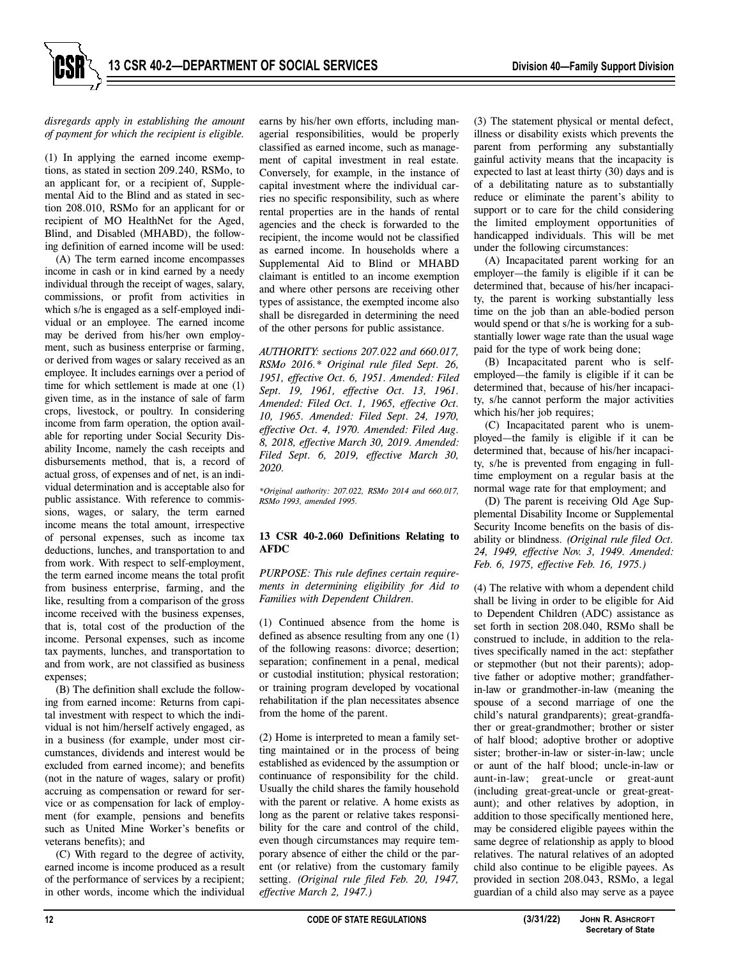# *disregards apply in establishing the amount of payment for which the recipient is eligible.*

(1) In applying the earned income exemptions, as stated in section 209.240, RSMo, to an applicant for, or a recipient of, Supplemental Aid to the Blind and as stated in section 208.010, RSMo for an applicant for or recipient of MO HealthNet for the Aged, Blind, and Disabled (MHABD), the following definition of earned income will be used:

(A) The term earned income encompasses income in cash or in kind earned by a needy individual through the receipt of wages, salary, commissions, or profit from activities in which s/he is engaged as a self-employed individual or an employee. The earned income may be derived from his/her own employment, such as business enterprise or farming, or derived from wages or salary received as an employee. It includes earnings over a period of time for which settlement is made at one (1) given time, as in the instance of sale of farm crops, livestock, or poultry. In considering income from farm operation, the option available for reporting under Social Security Disability Income, namely the cash receipts and disbursements method, that is, a record of actual gross, of expenses and of net, is an individual determination and is acceptable also for public assistance. With reference to commissions, wages, or salary, the term earned income means the total amount, irrespective of personal expenses, such as income tax deductions, lunches, and transportation to and from work. With respect to self-employment, the term earned income means the total profit from business enterprise, farming, and the like, resulting from a comparison of the gross income received with the business expenses, that is, total cost of the production of the income. Personal expenses, such as income tax payments, lunches, and transportation to and from work, are not classified as business expenses;

(B) The definition shall exclude the following from earned income: Returns from capital investment with respect to which the individual is not him/herself actively engaged, as in a business (for example, under most circumstances, dividends and interest would be excluded from earned income); and benefits (not in the nature of wages, salary or profit) accruing as compensation or reward for service or as compensation for lack of employment (for example, pensions and benefits such as United Mine Worker's benefits or veterans benefits); and

(C) With regard to the degree of activity, earned income is income produced as a result of the performance of services by a recipient; in other words, income which the individual

earns by his/her own efforts, including managerial responsibilities, would be properly classified as earned income, such as management of capital investment in real estate. Conversely, for example, in the instance of capital investment where the individual carries no specific responsibility, such as where rental properties are in the hands of rental agencies and the check is forwarded to the recipient, the income would not be classified as earned income. In households where a Supplemental Aid to Blind or MHABD claimant is entitled to an income exemption and where other persons are receiving other types of assistance, the exempted income also shall be disregarded in determining the need of the other persons for public assistance.

*AUTHORITY: sections 207.022 and 660.017, RSMo 2016.\* Original rule filed Sept. 26, 1951, effective Oct. 6, 1951. Amended: Filed Sept. 19, 1961, effective Oct. 13, 1961. Amended: Filed Oct. 1, 1965, effective Oct. 10, 1965. Amended: Filed Sept. 24, 1970, effective Oct. 4, 1970. Amended: Filed Aug. 8, 2018, effective March 30, 2019. Amended: Filed Sept. 6, 2019, effective March 30, 2020.* 

*\*Original authority: 207.022, RSMo 2014 and 660.017, RSMo 1993, amended 1995.* 

## **13 CSR 40-2.060 Definitions Relating to AFDC**

*PURPOSE: This rule defines certain requirements in determining eligibility for Aid to Families with Dependent Children.* 

(1) Continued absence from the home is defined as absence resulting from any one (1) of the following reasons: divorce; desertion; separation; confinement in a penal, medical or custodial institution; physical restoration; or training program developed by vocational rehabilitation if the plan necessitates absence from the home of the parent.

(2) Home is interpreted to mean a family setting maintained or in the process of being established as evidenced by the assumption or continuance of responsibility for the child. Usually the child shares the family household with the parent or relative. A home exists as long as the parent or relative takes responsibility for the care and control of the child, even though circumstances may require temporary absence of either the child or the parent (or relative) from the customary family setting. *(Original rule filed Feb. 20, 1947, effective March 2, 1947.)*

(3) The statement physical or mental defect, illness or disability exists which prevents the parent from performing any substantially gainful activity means that the incapacity is expected to last at least thirty (30) days and is of a debilitating nature as to substantially reduce or eliminate the parent's ability to support or to care for the child considering the limited employment opportunities of handicapped individuals. This will be met under the following circumstances:

(A) Incapacitated parent working for an employer—the family is eligible if it can be determined that, because of his/her incapacity, the parent is working substantially less time on the job than an able-bodied person would spend or that s/he is working for a substantially lower wage rate than the usual wage paid for the type of work being done;

(B) Incapacitated parent who is selfemployed—the family is eligible if it can be determined that, because of his/her incapacity, s/he cannot perform the major activities which his/her job requires;

(C) Incapacitated parent who is unemployed—the family is eligible if it can be determined that, because of his/her incapacity, s/he is prevented from engaging in fulltime employment on a regular basis at the normal wage rate for that employment; and

(D) The parent is receiving Old Age Supplemental Disability Income or Supplemental Security Income benefits on the basis of disability or blindness. *(Original rule filed Oct. 24, 1949, effective Nov. 3, 1949. Amended: Feb. 6, 1975, effective Feb. 16, 1975.)*

(4) The relative with whom a dependent child shall be living in order to be eligible for Aid to Dependent Children (ADC) assistance as set forth in section 208.040, RSMo shall be construed to include, in addition to the relatives specifically named in the act: stepfather or stepmother (but not their parents); adoptive father or adoptive mother; grandfatherin-law or grandmother-in-law (meaning the spouse of a second marriage of one the child's natural grandparents); great-grandfather or great-grandmother; brother or sister of half blood; adoptive brother or adoptive sister; brother-in-law or sister-in-law; uncle or aunt of the half blood; uncle-in-law or aunt-in-law; great-uncle or great-aunt (including great-great-uncle or great-greataunt); and other relatives by adoption, in addition to those specifically mentioned here, may be considered eligible payees within the same degree of relationship as apply to blood relatives. The natural relatives of an adopted child also continue to be eligible payees. As provided in section 208.043, RSMo, a legal guardian of a child also may serve as a payee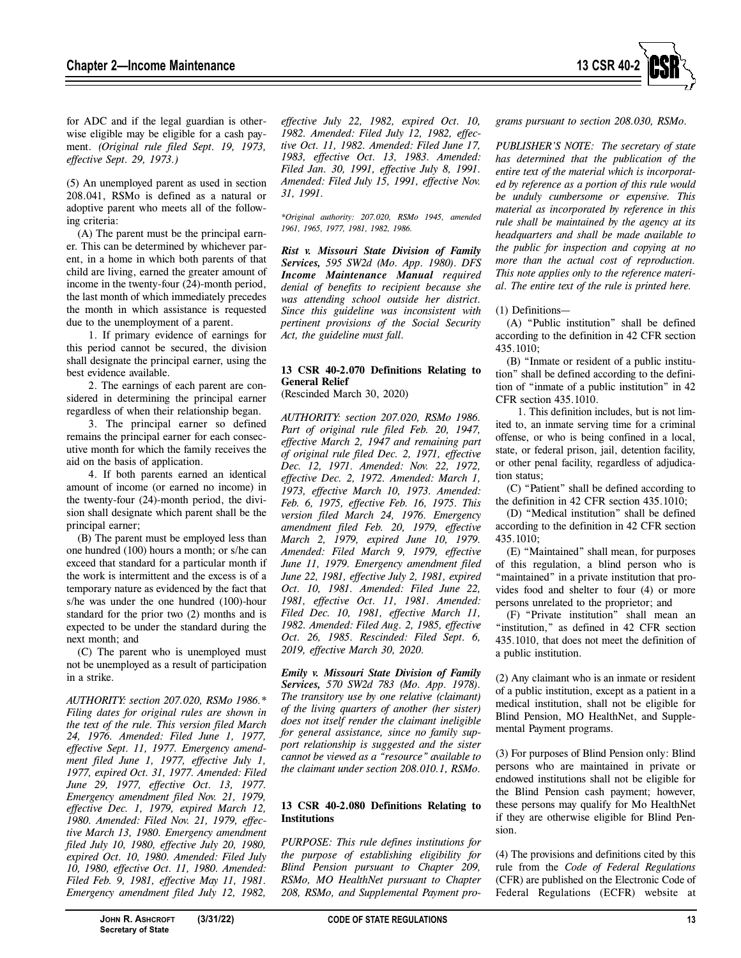

for ADC and if the legal guardian is otherwise eligible may be eligible for a cash payment. *(Original rule filed Sept. 19, 1973, effective Sept. 29, 1973.)*

(5) An unemployed parent as used in section 208.041, RSMo is defined as a natural or adoptive parent who meets all of the following criteria:

(A) The parent must be the principal earner. This can be determined by whichever parent, in a home in which both parents of that child are living, earned the greater amount of income in the twenty-four (24)-month period, the last month of which immediately precedes the month in which assistance is requested due to the unemployment of a parent.

1. If primary evidence of earnings for this period cannot be secured, the division shall designate the principal earner, using the best evidence available.

2. The earnings of each parent are considered in determining the principal earner regardless of when their relationship began.

3. The principal earner so defined remains the principal earner for each consecutive month for which the family receives the aid on the basis of application.

4. If both parents earned an identical amount of income (or earned no income) in the twenty-four (24)-month period, the division shall designate which parent shall be the principal earner;

(B) The parent must be employed less than one hundred (100) hours a month; or s/he can exceed that standard for a particular month if the work is intermittent and the excess is of a temporary nature as evidenced by the fact that s/he was under the one hundred (100)-hour standard for the prior two (2) months and is expected to be under the standard during the next month; and

(C) The parent who is unemployed must not be unemployed as a result of participation in a strike.

*AUTHORITY: section 207.020, RSMo 1986.\* Filing dates for original rules are shown in the text of the rule. This version filed March 24, 1976. Amended: Filed June 1, 1977, effective Sept. 11, 1977. Emergency amendment filed June 1, 1977, effective July 1, 1977, expired Oct. 31, 1977. Amended: Filed June 29, 1977, effective Oct. 13, 1977. Emergency amendment filed Nov. 21, 1979, effective Dec. 1, 1979, expired March 12, 1980. Amended: Filed Nov. 21, 1979, effective March 13, 1980. Emergency amendment filed July 10, 1980, effective July 20, 1980, expired Oct. 10, 1980. Amended: Filed July 10, 1980, effective Oct. 11, 1980. Amended: Filed Feb. 9, 1981, effective May 11, 1981. Emergency amendment filed July 12, 1982,* 

*effective July 22, 1982, expired Oct. 10, 1982. Amended: Filed July 12, 1982, effective Oct. 11, 1982. Amended: Filed June 17, 1983, effective Oct. 13, 1983. Amended: Filed Jan. 30, 1991, effective July 8, 1991. Amended: Filed July 15, 1991, effective Nov. 31, 1991.* 

*\*Original authority: 207.020, RSMo 1945, amended 1961, 1965, 1977, 1981, 1982, 1986.* 

*Rist v. Missouri State Division of Family Services, 595 SW2d (Mo. App. 1980). DFS Income Maintenance Manual required denial of benefits to recipient because she was attending school outside her district. Since this guideline was inconsistent with pertinent provisions of the Social Security Act, the guideline must fall.* 

# **13 CSR 40-2.070 Definitions Relating to General Relief**

(Rescinded March 30, 2020)

*AUTHORITY: section 207.020, RSMo 1986. Part of original rule filed Feb. 20, 1947, effective March 2, 1947 and remaining part of original rule filed Dec. 2, 1971, effective Dec. 12, 1971. Amended: Nov. 22, 1972, effective Dec. 2, 1972. Amended: March 1, 1973, effective March 10, 1973. Amended: Feb. 6, 1975, effective Feb. 16, 1975. This version filed March 24, 1976. Emergency amendment filed Feb. 20, 1979, effective March 2, 1979, expired June 10, 1979. Amended: Filed March 9, 1979, effective June 11, 1979. Emergency amendment filed June 22, 1981, effective July 2, 1981, expired Oct. 10, 1981. Amended: Filed June 22, 1981, effective Oct. 11, 1981. Amended: Filed Dec. 10, 1981, effective March 11, 1982. Amended: Filed Aug. 2, 1985, effective Oct. 26, 1985. Rescinded: Filed Sept. 6, 2019, effective March 30, 2020.* 

*Emily v. Missouri State Division of Family Services, 570 SW2d 783 (Mo. App. 1978). The transitory use by one relative (claimant) of the living quarters of another (her sister) does not itself render the claimant ineligible for general assistance, since no family support relationship is suggested and the sister cannot be viewed as a "resource" available to the claimant under section 208.010.1, RSMo.* 

## **13 CSR 40-2.080 Definitions Relating to Institutions**

*PURPOSE: This rule defines institutions for the purpose of establishing eligibility for Blind Pension pursuant to Chapter 209, RSMo, MO HealthNet pursuant to Chapter 208, RSMo, and Supplemental Payment pro-* *grams pursuant to section 208.030, RSMo.* 

*PUBLISHER'S NOTE: The secretary of state has determined that the publication of the entire text of the material which is incorporated by reference as a portion of this rule would be unduly cumbersome or expensive. This material as incorporated by reference in this rule shall be maintained by the agency at its headquarters and shall be made available to the public for inspection and copying at no more than the actual cost of reproduction. This note applies only to the reference material. The entire text of the rule is printed here.* 

(1) Definitions—

(A) "Public institution" shall be defined according to the definition in 42 CFR section 435.1010;

(B) "Inmate or resident of a public institution" shall be defined according to the definition of "inmate of a public institution" in 42 CFR section 435.1010.

1. This definition includes, but is not limited to, an inmate serving time for a criminal offense, or who is being confined in a local, state, or federal prison, jail, detention facility, or other penal facility, regardless of adjudication status;

(C) "Patient" shall be defined according to the definition in 42 CFR section 435.1010;

(D) "Medical institution" shall be defined according to the definition in 42 CFR section 435.1010;

(E) "Maintained" shall mean, for purposes of this regulation, a blind person who is "maintained" in a private institution that provides food and shelter to four (4) or more persons unrelated to the proprietor; and

(F) "Private institution" shall mean an "institution," as defined in 42 CFR section 435.1010, that does not meet the definition of a public institution.

(2) Any claimant who is an inmate or resident of a public institution, except as a patient in a medical institution, shall not be eligible for Blind Pension, MO HealthNet, and Supplemental Payment programs.

(3) For purposes of Blind Pension only: Blind persons who are maintained in private or endowed institutions shall not be eligible for the Blind Pension cash payment; however, these persons may qualify for Mo HealthNet if they are otherwise eligible for Blind Pension.

(4) The provisions and definitions cited by this rule from the *Code of Federal Regulations* (CFR) are published on the Electronic Code of Federal Regulations (ECFR) website at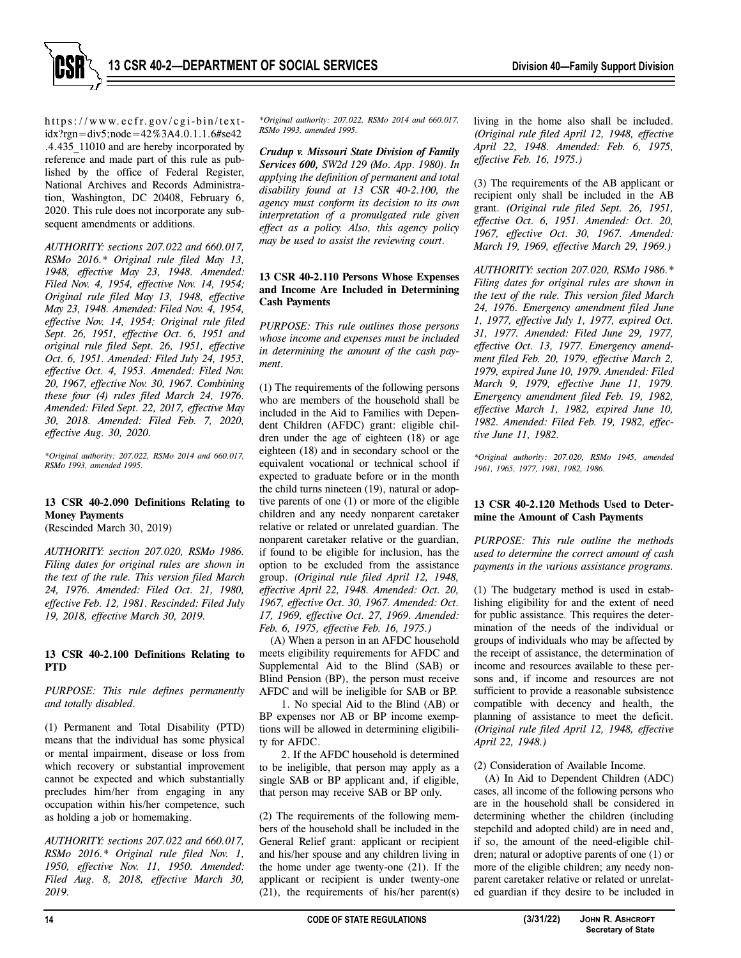

https://www.ecfr.gov/cgi-bin/textidx?rgn=div5;node=42%3A4.0.1.1.6#se42 .4.435\_11010 and are hereby incorporated by reference and made part of this rule as published by the office of Federal Register, National Archives and Records Administration, Washington, DC 20408, February 6, 2020. This rule does not incorporate any subsequent amendments or additions.

*AUTHORITY: sections 207.022 and 660.017, RSMo 2016.\* Original rule filed May 13, 1948, effective May 23, 1948. Amended: Filed Nov. 4, 1954, effective Nov. 14, 1954; Original rule filed May 13, 1948, effective May 23, 1948. Amended: Filed Nov. 4, 1954, effective Nov. 14, 1954; Original rule filed Sept. 26, 1951, effective Oct. 6, 1951 and original rule filed Sept. 26, 1951, effective Oct. 6, 1951. Amended: Filed July 24, 1953, effective Oct. 4, 1953. Amended: Filed Nov. 20, 1967, effective Nov. 30, 1967. Combining these four (4) rules filed March 24, 1976. Amended: Filed Sept. 22, 2017, effective May 30, 2018. Amended: Filed Feb. 7, 2020, effective Aug. 30, 2020.* 

*\*Original authority: 207.022, RSMo 2014 and 660.017, RSMo 1993, amended 1995.* 

# **13 CSR 40-2.090 Definitions Relating to Money Payments**

(Rescinded March 30, 2019)

*AUTHORITY: section 207.020, RSMo 1986. Filing dates for original rules are shown in the text of the rule. This version filed March 24, 1976. Amended: Filed Oct. 21, 1980, effective Feb. 12, 1981. Rescinded: Filed July 19, 2018, effective March 30, 2019.* 

## **13 CSR 40-2.100 Definitions Relating to PTD**

*PURPOSE: This rule defines permanently and totally disabled.* 

(1) Permanent and Total Disability (PTD) means that the individual has some physical or mental impairment, disease or loss from which recovery or substantial improvement cannot be expected and which substantially precludes him/her from engaging in any occupation within his/her competence, such as holding a job or homemaking.

*AUTHORITY: sections 207.022 and 660.017, RSMo 2016.\* Original rule filed Nov. 1, 1950, effective Nov. 11, 1950. Amended: Filed Aug. 8, 2018, effective March 30, 2019.* 

*\*Original authority: 207.022, RSMo 2014 and 660.017, RSMo 1993, amended 1995.* 

*Crudup v. Missouri State Division of Family Services 600, SW2d 129 (Mo. App. 1980). In applying the definition of permanent and total disability found at 13 CSR 40-2.100, the agency must conform its decision to its own interpretation of a promulgated rule given effect as a policy. Also, this agency policy may be used to assist the reviewing court.* 

# **13 CSR 40-2.110 Persons Whose Expenses and Income Are Included in Determining Cash Payments**

*PURPOSE: This rule outlines those persons whose income and expenses must be included in determining the amount of the cash payment.* 

(1) The requirements of the following persons who are members of the household shall be included in the Aid to Families with Dependent Children (AFDC) grant: eligible children under the age of eighteen (18) or age eighteen (18) and in secondary school or the equivalent vocational or technical school if expected to graduate before or in the month the child turns nineteen (19), natural or adoptive parents of one (1) or more of the eligible children and any needy nonparent caretaker relative or related or unrelated guardian. The nonparent caretaker relative or the guardian, if found to be eligible for inclusion, has the option to be excluded from the assistance group. *(Original rule filed April 12, 1948, effective April 22, 1948. Amended: Oct. 20, 1967, effective Oct. 30, 1967. Amended: Oct. 17, 1969, effective Oct. 27, 1969. Amended: Feb. 6, 1975, effective Feb. 16, 1975.)*

(A) When a person in an AFDC household meets eligibility requirements for AFDC and Supplemental Aid to the Blind (SAB) or Blind Pension (BP), the person must receive AFDC and will be ineligible for SAB or BP.

1. No special Aid to the Blind (AB) or BP expenses nor AB or BP income exemptions will be allowed in determining eligibility for AFDC.

2. If the AFDC household is determined to be ineligible, that person may apply as a single SAB or BP applicant and, if eligible, that person may receive SAB or BP only.

(2) The requirements of the following members of the household shall be included in the General Relief grant: applicant or recipient and his/her spouse and any children living in the home under age twenty-one (21). If the applicant or recipient is under twenty-one (21), the requirements of his/her parent(s)

living in the home also shall be included. *(Original rule filed April 12, 1948, effective April 22, 1948. Amended: Feb. 6, 1975, effective Feb. 16, 1975.)*

(3) The requirements of the AB applicant or recipient only shall be included in the AB grant. *(Original rule filed Sept. 26, 1951, effective Oct. 6, 1951. Amended: Oct. 20, 1967, effective Oct. 30, 1967. Amended: March 19, 1969, effective March 29, 1969.)*

*AUTHORITY: section 207.020, RSMo 1986.\* Filing dates for original rules are shown in the text of the rule. This version filed March 24, 1976. Emergency amendment filed June 1, 1977, effective July 1, 1977, expired Oct. 31, 1977. Amended: Filed June 29, 1977, effective Oct. 13, 1977. Emergency amendment filed Feb. 20, 1979, effective March 2, 1979, expired June 10, 1979. Amended: Filed March 9, 1979, effective June 11, 1979. Emergency amendment filed Feb. 19, 1982, effective March 1, 1982, expired June 10, 1982. Amended: Filed Feb. 19, 1982, effective June 11, 1982.* 

*\*Original authority: 207.020, RSMo 1945, amended 1961, 1965, 1977, 1981, 1982, 1986.*

#### **13 CSR 40-2.120 Methods Used to Determine the Amount of Cash Payments**

*PURPOSE: This rule outline the methods used to determine the correct amount of cash payments in the various assistance programs.* 

(1) The budgetary method is used in establishing eligibility for and the extent of need for public assistance. This requires the determination of the needs of the individual or groups of individuals who may be affected by the receipt of assistance, the determination of income and resources available to these persons and, if income and resources are not sufficient to provide a reasonable subsistence compatible with decency and health, the planning of assistance to meet the deficit. *(Original rule filed April 12, 1948, effective April 22, 1948.)*

(2) Consideration of Available Income.

(A) In Aid to Dependent Children (ADC) cases, all income of the following persons who are in the household shall be considered in determining whether the children (including stepchild and adopted child) are in need and, if so, the amount of the need-eligible children; natural or adoptive parents of one (1) or more of the eligible children; any needy nonparent caretaker relative or related or unrelated guardian if they desire to be included in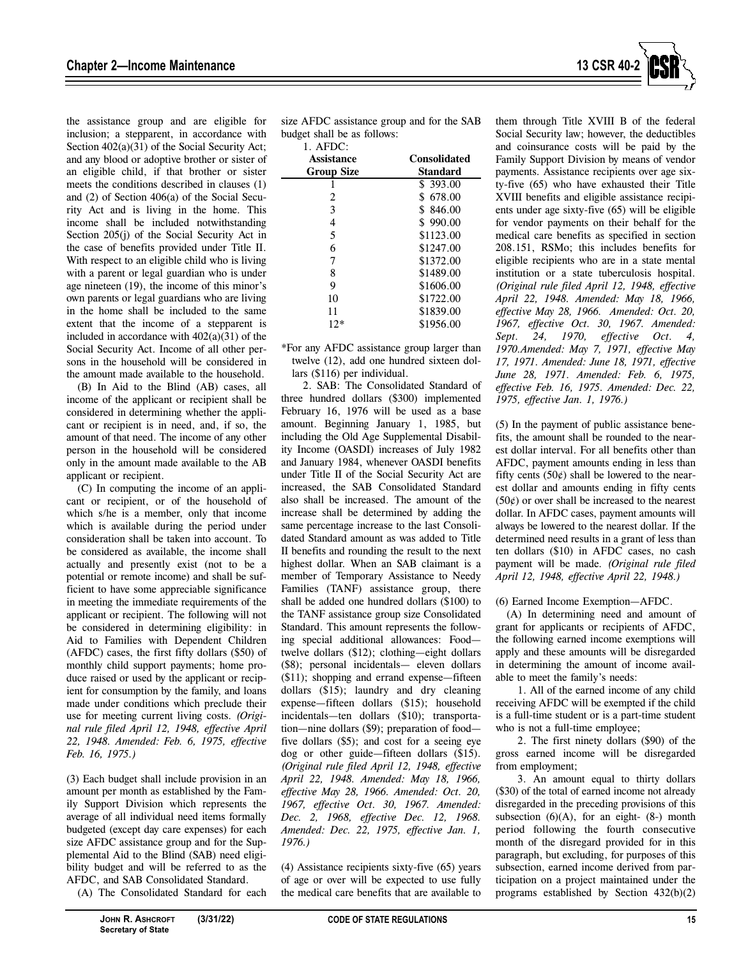

the assistance group and are eligible for inclusion; a stepparent, in accordance with Section  $402(a)(31)$  of the Social Security Act; and any blood or adoptive brother or sister of an eligible child, if that brother or sister meets the conditions described in clauses (1) and (2) of Section 406(a) of the Social Security Act and is living in the home. This income shall be included notwithstanding Section 205(j) of the Social Security Act in the case of benefits provided under Title II. With respect to an eligible child who is living with a parent or legal guardian who is under age nineteen (19), the income of this minor's own parents or legal guardians who are living in the home shall be included to the same extent that the income of a stepparent is included in accordance with  $402(a)(31)$  of the Social Security Act. Income of all other persons in the household will be considered in the amount made available to the household.

(B) In Aid to the Blind (AB) cases, all income of the applicant or recipient shall be considered in determining whether the applicant or recipient is in need, and, if so, the amount of that need. The income of any other person in the household will be considered only in the amount made available to the AB applicant or recipient.

(C) In computing the income of an applicant or recipient, or of the household of which s/he is a member, only that income which is available during the period under consideration shall be taken into account. To be considered as available, the income shall actually and presently exist (not to be a potential or remote income) and shall be sufficient to have some appreciable significance in meeting the immediate requirements of the applicant or recipient. The following will not be considered in determining eligibility: in Aid to Families with Dependent Children (AFDC) cases, the first fifty dollars (\$50) of monthly child support payments; home produce raised or used by the applicant or recipient for consumption by the family, and loans made under conditions which preclude their use for meeting current living costs. *(Original rule filed April 12, 1948, effective April 22, 1948. Amended: Feb. 6, 1975, effective Feb. 16, 1975.)* 

(3) Each budget shall include provision in an amount per month as established by the Family Support Division which represents the average of all individual need items formally budgeted (except day care expenses) for each size AFDC assistance group and for the Supplemental Aid to the Blind (SAB) need eligibility budget and will be referred to as the AFDC, and SAB Consolidated Standard.

(A) The Consolidated Standard for each

1. AFDC:

| Assistance        | <b>Consolidated</b> |
|-------------------|---------------------|
| <b>Group Size</b> | Standard            |
|                   | \$393.00            |
| 2                 | \$678.00            |
| 3                 | \$846.00            |
| 4                 | \$990.00            |
| 5                 | \$1123.00           |
| 6                 | \$1247.00           |
| 7                 | \$1372.00           |
| 8                 | \$1489.00           |
| 9                 | \$1606.00           |
| 10                | \$1722.00           |
| 11                | \$1839.00           |
| $12*$             | \$1956.00           |

\*For any AFDC assistance group larger than twelve (12), add one hundred sixteen dol lars (\$116) per individual.

2. SAB: The Consolidated Standard of three hundred dollars (\$300) implemented February 16, 1976 will be used as a base amount. Beginning January 1, 1985, but including the Old Age Supplemental Disability Income (OASDI) increases of July 1982 and January 1984, whenever OASDI benefits under Title II of the Social Security Act are increased, the SAB Consolidated Standard also shall be increased. The amount of the increase shall be determined by adding the same percentage increase to the last Consolidated Standard amount as was added to Title II benefits and rounding the result to the next highest dollar. When an SAB claimant is a member of Temporary Assistance to Needy Families (TANF) assistance group, there shall be added one hundred dollars (\$100) to the TANF assistance group size Consolidated Standard. This amount represents the following special additional allowances: Food twelve dollars (\$12); clothing—eight dollars (\$8); personal incidentals— eleven dollars (\$11); shopping and errand expense—fifteen dollars (\$15); laundry and dry cleaning expense—fifteen dollars (\$15); household incidentals—ten dollars (\$10); transportation—nine dollars (\$9); preparation of food five dollars (\$5); and cost for a seeing eye dog or other guide—fifteen dollars (\$15). *(Original rule filed April 12, 1948, effective April 22, 1948. Amended: May 18, 1966, effective May 28, 1966. Amended: Oct. 20, 1967, effective Oct. 30, 1967. Amended: Dec. 2, 1968, effective Dec. 12, 1968. Amended: Dec. 22, 1975, effective Jan. 1, 1976.)*

(4) Assistance recipients sixty-five (65) years of age or over will be expected to use fully the medical care benefits that are available to them through Title XVIII B of the federal Social Security law; however, the deductibles and coinsurance costs will be paid by the Family Support Division by means of vendor payments. Assistance recipients over age sixty-five (65) who have exhausted their Title XVIII benefits and eligible assistance recipients under age sixty-five (65) will be eligible for vendor payments on their behalf for the medical care benefits as specified in section 208.151, RSMo; this includes benefits for eligible recipients who are in a state mental institution or a state tuberculosis hospital. *(Original rule filed April 12, 1948, effective April 22, 1948. Amended: May 18, 1966, effective May 28, 1966. Amended: Oct. 20, 1967, effective Oct. 30, 1967. Amended: Sept. 24, 1970, effective Oct. 4, 1970.Amended: May 7, 1971, effective May 17, 1971. Amended: June 18, 1971, effective June 28, 1971. Amended: Feb. 6, 1975, effective Feb. 16, 1975. Amended: Dec. 22, 1975, effective Jan. 1, 1976.)* 

(5) In the payment of public assistance benefits, the amount shall be rounded to the nearest dollar interval. For all benefits other than AFDC, payment amounts ending in less than fifty cents  $(50¢)$  shall be lowered to the nearest dollar and amounts ending in fifty cents  $(50¢)$  or over shall be increased to the nearest dollar. In AFDC cases, payment amounts will always be lowered to the nearest dollar. If the determined need results in a grant of less than ten dollars (\$10) in AFDC cases, no cash payment will be made. *(Original rule filed April 12, 1948, effective April 22, 1948.)*

(6) Earned Income Exemption—AFDC.

(A) In determining need and amount of grant for applicants or recipients of AFDC, the following earned income exemptions will apply and these amounts will be disregarded in determining the amount of income available to meet the family's needs:

1. All of the earned income of any child receiving AFDC will be exempted if the child is a full-time student or is a part-time student who is not a full-time employee;

2. The first ninety dollars (\$90) of the gross earned income will be disregarded from employment;

3. An amount equal to thirty dollars (\$30) of the total of earned income not already disregarded in the preceding provisions of this subsection  $(6)(A)$ , for an eight-  $(8-)$  month period following the fourth consecutive month of the disregard provided for in this paragraph, but excluding, for purposes of this subsection, earned income derived from participation on a project maintained under the programs established by Section 432(b)(2)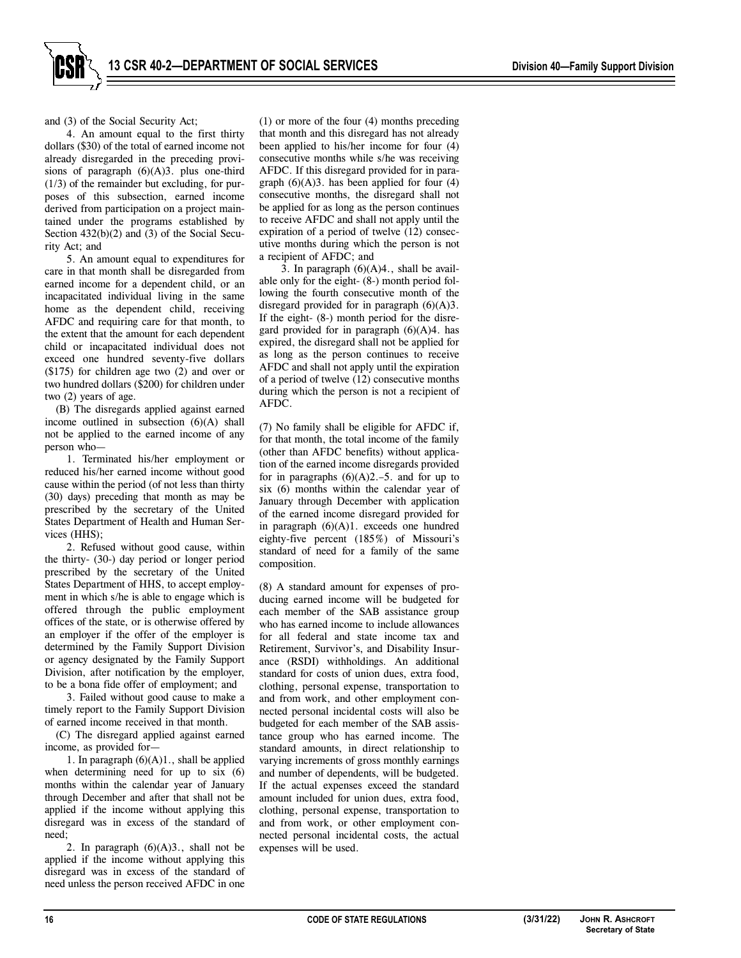and (3) of the Social Security Act;

4. An amount equal to the first thirty dollars (\$30) of the total of earned income not already disregarded in the preceding provisions of paragraph  $(6)(A)3$ . plus one-third (1/3) of the remainder but excluding, for purposes of this subsection, earned income derived from participation on a project maintained under the programs established by Section 432(b)(2) and (3) of the Social Security Act; and

5. An amount equal to expenditures for care in that month shall be disregarded from earned income for a dependent child, or an incapacitated individual living in the same home as the dependent child, receiving AFDC and requiring care for that month, to the extent that the amount for each dependent child or incapacitated individual does not exceed one hundred seventy-five dollars (\$175) for children age two (2) and over or two hundred dollars (\$200) for children under two (2) years of age.

(B) The disregards applied against earned income outlined in subsection (6)(A) shall not be applied to the earned income of any person who—

1. Terminated his/her employment or reduced his/her earned income without good cause within the period (of not less than thirty (30) days) preceding that month as may be prescribed by the secretary of the United States Department of Health and Human Services (HHS);

2. Refused without good cause, within the thirty- (30-) day period or longer period prescribed by the secretary of the United States Department of HHS, to accept employment in which s/he is able to engage which is offered through the public employment offices of the state, or is otherwise offered by an employer if the offer of the employer is determined by the Family Support Division or agency designated by the Family Support Division, after notification by the employer, to be a bona fide offer of employment; and

3. Failed without good cause to make a timely report to the Family Support Division of earned income received in that month.

(C) The disregard applied against earned income, as provided for—

1. In paragraph  $(6)(A)1$ ., shall be applied when determining need for up to six  $(6)$ months within the calendar year of January through December and after that shall not be applied if the income without applying this disregard was in excess of the standard of need;

2. In paragraph  $(6)(A)3$ ., shall not be applied if the income without applying this disregard was in excess of the standard of need unless the person received AFDC in one

(1) or more of the four (4) months preceding that month and this disregard has not already been applied to his/her income for four (4) consecutive months while s/he was receiving AFDC. If this disregard provided for in paragraph  $(6)(A)$ 3. has been applied for four  $(4)$ consecutive months, the disregard shall not be applied for as long as the person continues to receive AFDC and shall not apply until the expiration of a period of twelve (12) consecutive months during which the person is not a recipient of AFDC; and

3. In paragraph  $(6)(A)4$ , shall be available only for the eight- (8-) month period following the fourth consecutive month of the disregard provided for in paragraph  $(6)(A)3$ . If the eight- (8-) month period for the disregard provided for in paragraph (6)(A)4. has expired, the disregard shall not be applied for as long as the person continues to receive AFDC and shall not apply until the expiration of a period of twelve (12) consecutive months during which the person is not a recipient of AFDC.

(7) No family shall be eligible for AFDC if, for that month, the total income of the family (other than AFDC benefits) without application of the earned income disregards provided for in paragraphs  $(6)(A)2.-5$ . and for up to six (6) months within the calendar year of January through December with application of the earned income disregard provided for in paragraph (6)(A)1. exceeds one hundred eighty-five percent (185%) of Missouri's standard of need for a family of the same composition.

(8) A standard amount for expenses of producing earned income will be budgeted for each member of the SAB assistance group who has earned income to include allowances for all federal and state income tax and Retirement, Survivor's, and Disability Insurance (RSDI) withholdings. An additional standard for costs of union dues, extra food, clothing, personal expense, transportation to and from work, and other employment connected personal incidental costs will also be budgeted for each member of the SAB assistance group who has earned income. The standard amounts, in direct relationship to varying increments of gross monthly earnings and number of dependents, will be budgeted. If the actual expenses exceed the standard amount included for union dues, extra food, clothing, personal expense, transportation to and from work, or other employment connected personal incidental costs, the actual expenses will be used.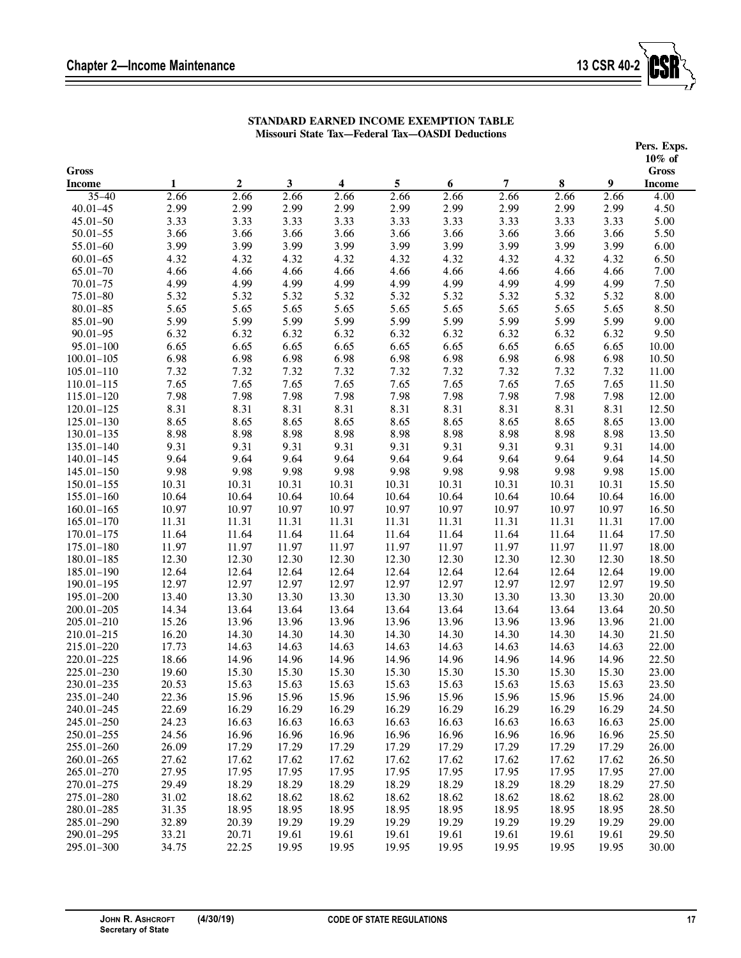Ξ



| STANDARD EARNED INCOME EXEMPTION TABLE          |
|-------------------------------------------------|
| Missouri State Tax—Federal Tax—OASDI Deductions |

|                              |                |                  |                |                |                |                |                |                |                | Pers. Exps.               |  |
|------------------------------|----------------|------------------|----------------|----------------|----------------|----------------|----------------|----------------|----------------|---------------------------|--|
| <b>Gross</b>                 |                |                  |                |                |                |                |                |                |                | $10\%$ of<br><b>Gross</b> |  |
| <b>Income</b>                | 1              | $\boldsymbol{2}$ | $\mathbf{3}$   | 4              | $\sqrt{5}$     | 6              | $\overline{7}$ | ${\bf 8}$      | 9              | <b>Income</b>             |  |
| $35 - 40$                    | 2.66           | 2.66             | 2.66           | 2.66           | 2.66           | 2.66           | 2.66           | 2.66           | 2.66           | 4.00                      |  |
| $40.01 - 45$                 | 2.99           | 2.99             | 2.99           | 2.99           | 2.99           | 2.99           | 2.99           | 2.99           | 2.99           | 4.50                      |  |
| $45.01 - 50$                 | 3.33           | 3.33             | 3.33           | 3.33           | 3.33           | 3.33           | 3.33           | 3.33           | 3.33           | 5.00                      |  |
| $50.01 - 55$                 | 3.66           | 3.66             | 3.66           | 3.66           | 3.66           | 3.66           | 3.66           | 3.66           | 3.66           | 5.50                      |  |
| $55.01 - 60$                 | 3.99           | 3.99             | 3.99           | 3.99           | 3.99           | 3.99           | 3.99           | 3.99           | 3.99           | 6.00                      |  |
| $60.01 - 65$                 | 4.32           | 4.32             | 4.32           | 4.32           | 4.32           | 4.32           | 4.32           | 4.32           | 4.32           | 6.50                      |  |
| $65.01 - 70$                 | 4.66           | 4.66             | 4.66           | 4.66           | 4.66           | 4.66           | 4.66           | 4.66           | 4.66           | 7.00                      |  |
| $70.01 - 75$                 | 4.99           | 4.99             | 4.99           | 4.99           | 4.99           | 4.99           | 4.99           | 4.99           | 4.99           | 7.50                      |  |
| $75.01 - 80$                 | 5.32           | 5.32             | 5.32           | 5.32           | 5.32           | 5.32           | 5.32           | 5.32           | 5.32           | 8.00                      |  |
| $80.01 - 85$                 | 5.65           | 5.65             | 5.65           | 5.65           | 5.65           | 5.65           | 5.65           | 5.65           | 5.65           | 8.50                      |  |
| 85.01-90                     | 5.99           | 5.99             | 5.99           | 5.99           | 5.99           | 5.99           | 5.99           | 5.99           | 5.99           | 9.00                      |  |
| $90.01 - 95$                 | 6.32           | 6.32             | 6.32           | 6.32           | 6.32           | 6.32           | 6.32           | 6.32           | 6.32           | 9.50                      |  |
| $95.01 - 100$                | 6.65           | 6.65             | 6.65           | 6.65           | 6.65           | 6.65           | 6.65           | 6.65           | 6.65           | 10.00                     |  |
| $100.01 - 105$               | 6.98           | 6.98             | 6.98           | 6.98           | 6.98           | 6.98           | 6.98           | 6.98           | 6.98           | 10.50                     |  |
| $105.01 - 110$               | 7.32           | 7.32             | 7.32           | 7.32           | 7.32           | 7.32           | 7.32           | 7.32           | 7.32           | 11.00                     |  |
| 110.01-115                   | 7.65           | 7.65             | 7.65           | 7.65           | 7.65           | 7.65           | 7.65           | 7.65           | 7.65           | 11.50                     |  |
| 115.01-120                   | 7.98           | 7.98             | 7.98           | 7.98           | 7.98           | 7.98           | 7.98           | 7.98           | 7.98           | 12.00                     |  |
| 120.01-125                   | 8.31           | 8.31             | 8.31           | 8.31           | 8.31           | 8.31           | 8.31           | 8.31           | 8.31           | 12.50                     |  |
| $125.01 - 130$               | 8.65           | 8.65             | 8.65           | 8.65           | 8.65           | 8.65           | 8.65           | 8.65           | 8.65           | 13.00                     |  |
| 130.01-135                   | 8.98           | 8.98             | 8.98           | 8.98           | 8.98           | 8.98           | 8.98           | 8.98           | 8.98           | 13.50                     |  |
| 135.01-140                   | 9.31           | 9.31             | 9.31           | 9.31           | 9.31           | 9.31           | 9.31           | 9.31           | 9.31           | 14.00                     |  |
| $140.01 - 145$               | 9.64           | 9.64             | 9.64           | 9.64           | 9.64           | 9.64           | 9.64           | 9.64           | 9.64           | 14.50                     |  |
| 145.01-150                   | 9.98           | 9.98             | 9.98           | 9.98           | 9.98           | 9.98           | 9.98           | 9.98           | 9.98           | 15.00                     |  |
| 150.01-155                   | 10.31          | 10.31            | 10.31          | 10.31          | 10.31          | 10.31          | 10.31          | 10.31          | 10.31          | 15.50                     |  |
| $155.01 - 160$               | 10.64          | 10.64            | 10.64          | 10.64          | 10.64          | 10.64          | 10.64          | 10.64          | 10.64          | 16.00                     |  |
| $160.01 - 165$               | 10.97          | 10.97            | 10.97          | 10.97          | 10.97          | 10.97          | 10.97          | 10.97          | 10.97          | 16.50                     |  |
| $165.01 - 170$               | 11.31          | 11.31            | 11.31          | 11.31          | 11.31          | 11.31          | 11.31          | 11.31          | 11.31          | 17.00                     |  |
| 170.01-175                   | 11.64          | 11.64            | 11.64          | 11.64          | 11.64          | 11.64          | 11.64          | 11.64          | 11.64          | 17.50                     |  |
| 175.01-180                   | 11.97          | 11.97            | 11.97          | 11.97          | 11.97          | 11.97          | 11.97          | 11.97          | 11.97          | 18.00                     |  |
| 180.01-185                   | 12.30          | 12.30            | 12.30          | 12.30          | 12.30          | 12.30          | 12.30          | 12.30          | 12.30          | 18.50                     |  |
| 185.01-190                   | 12.64          | 12.64            | 12.64          | 12.64          | 12.64          | 12.64          | 12.64          | 12.64          | 12.64          | 19.00                     |  |
| 190.01-195                   | 12.97          | 12.97            | 12.97          | 12.97          | 12.97          | 12.97          | 12.97          | 12.97          | 12.97          | 19.50                     |  |
| 195.01-200<br>$200.01 - 205$ | 13.40<br>14.34 | 13.30<br>13.64   | 13.30<br>13.64 | 13.30<br>13.64 | 13.30<br>13.64 | 13.30<br>13.64 | 13.30<br>13.64 | 13.30<br>13.64 | 13.30<br>13.64 | 20.00<br>20.50            |  |
| 205.01-210                   | 15.26          | 13.96            | 13.96          | 13.96          | 13.96          | 13.96          | 13.96          | 13.96          | 13.96          | 21.00                     |  |
| 210.01-215                   | 16.20          | 14.30            | 14.30          | 14.30          | 14.30          | 14.30          | 14.30          | 14.30          | 14.30          | 21.50                     |  |
| 215.01-220                   | 17.73          | 14.63            | 14.63          | 14.63          | 14.63          | 14.63          | 14.63          | 14.63          | 14.63          | 22.00                     |  |
| 220.01-225                   | 18.66          | 14.96            | 14.96          | 14.96          | 14.96          | 14.96          | 14.96          | 14.96          | 14.96          | 22.50                     |  |
| 225.01-230                   | 19.60          | 15.30            | 15.30          | 15.30          | 15.30          | 15.30          | 15.30          | 15.30          | 15.30          | 23.00                     |  |
| 230.01-235                   | 20.53          | 15.63            | 15.63          | 15.63          | 15.63          | 15.63          | 15.63          | 15.63          | 15.63          | 23.50                     |  |
| 235.01-240                   | 22.36          | 15.96            | 15.96          | 15.96          | 15.96          | 15.96          | 15.96          | 15.96          | 15.96          | 24.00                     |  |
| 240.01-245                   | 22.69          | 16.29            | 16.29          | 16.29          | 16.29          | 16.29          | 16.29          | 16.29          | 16.29          | 24.50                     |  |
| 245.01-250                   | 24.23          | 16.63            | 16.63          | 16.63          | 16.63          | 16.63          | 16.63          | 16.63          | 16.63          | 25.00                     |  |
| 250.01-255                   | 24.56          | 16.96            | 16.96          | 16.96          | 16.96          | 16.96          | 16.96          | 16.96          | 16.96          | 25.50                     |  |
| 255.01-260                   | 26.09          | 17.29            | 17.29          | 17.29          | 17.29          | 17.29          | 17.29          | 17.29          | 17.29          | 26.00                     |  |
| $260.01 - 265$               | 27.62          | 17.62            | 17.62          | 17.62          | 17.62          | 17.62          | 17.62          | 17.62          | 17.62          | 26.50                     |  |
| 265.01-270                   | 27.95          | 17.95            | 17.95          | 17.95          | 17.95          | 17.95          | 17.95          | 17.95          | 17.95          | 27.00                     |  |
| 270.01-275                   | 29.49          | 18.29            | 18.29          | 18.29          | 18.29          | 18.29          | 18.29          | 18.29          | 18.29          | 27.50                     |  |
| 275.01-280                   | 31.02          | 18.62            | 18.62          | 18.62          | 18.62          | 18.62          | 18.62          | 18.62          | 18.62          | 28.00                     |  |
| 280.01-285                   | 31.35          | 18.95            | 18.95          | 18.95          | 18.95          | 18.95          | 18.95          | 18.95          | 18.95          | 28.50                     |  |
| 285.01-290                   | 32.89          | 20.39            | 19.29          | 19.29          | 19.29          | 19.29          | 19.29          | 19.29          | 19.29          | 29.00                     |  |
| 290.01-295                   | 33.21          | 20.71            | 19.61          | 19.61          | 19.61          | 19.61          | 19.61          | 19.61          | 19.61          | 29.50                     |  |
| 295.01-300                   | 34.75          | 22.25            | 19.95          | 19.95          | 19.95          | 19.95          | 19.95          | 19.95          | 19.95          | 30.00                     |  |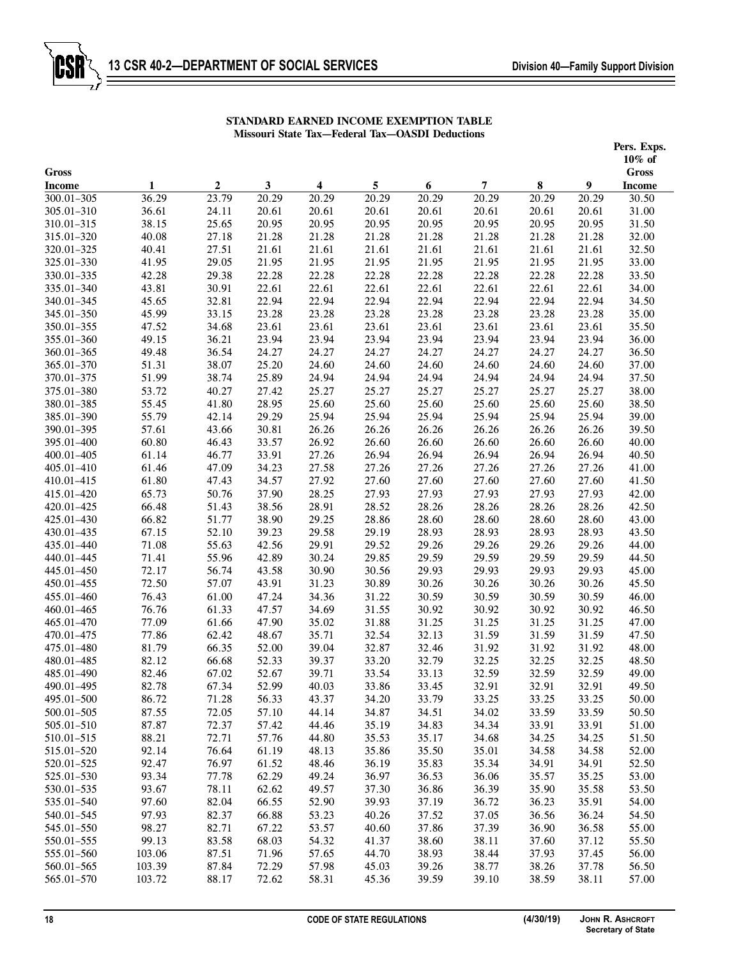|                             |        |                           |            |                         |       |       |                |       |       | Pers. Exps.                       |
|-----------------------------|--------|---------------------------|------------|-------------------------|-------|-------|----------------|-------|-------|-----------------------------------|
|                             |        |                           |            |                         |       |       |                |       |       | $10\%$ of                         |
| <b>Gross</b>                | 1      |                           |            | $\overline{\mathbf{4}}$ | 5     | 6     | $\overline{7}$ | 8     | 9     | $\mathbf{Gross}$<br><b>Income</b> |
| <b>Income</b><br>300.01-305 | 36.29  | $\boldsymbol{2}$<br>23.79 | 3<br>20.29 | 20.29                   | 20.29 | 20.29 | 20.29          | 20.29 | 20.29 | 30.50                             |
| 305.01-310                  | 36.61  | 24.11                     | 20.61      | 20.61                   | 20.61 | 20.61 | 20.61          | 20.61 | 20.61 | 31.00                             |
| 310.01-315                  | 38.15  | 25.65                     | 20.95      | 20.95                   | 20.95 | 20.95 | 20.95          | 20.95 | 20.95 | 31.50                             |
| 315.01-320                  | 40.08  | 27.18                     | 21.28      | 21.28                   | 21.28 | 21.28 | 21.28          | 21.28 | 21.28 | 32.00                             |
| 320.01-325                  | 40.41  | 27.51                     | 21.61      | 21.61                   | 21.61 | 21.61 | 21.61          | 21.61 | 21.61 | 32.50                             |
| 325.01-330                  | 41.95  | 29.05                     | 21.95      | 21.95                   | 21.95 | 21.95 | 21.95          | 21.95 | 21.95 | 33.00                             |
| 330.01-335                  | 42.28  | 29.38                     | 22.28      | 22.28                   | 22.28 | 22.28 | 22.28          | 22.28 | 22.28 | 33.50                             |
| 335.01-340                  | 43.81  | 30.91                     | 22.61      | 22.61                   | 22.61 | 22.61 | 22.61          | 22.61 | 22.61 | 34.00                             |
| 340.01-345                  | 45.65  | 32.81                     | 22.94      | 22.94                   | 22.94 | 22.94 | 22.94          | 22.94 | 22.94 | 34.50                             |
| 345.01-350                  | 45.99  | 33.15                     | 23.28      | 23.28                   | 23.28 | 23.28 | 23.28          | 23.28 | 23.28 | 35.00                             |
| 350.01-355                  | 47.52  | 34.68                     | 23.61      | 23.61                   | 23.61 | 23.61 | 23.61          | 23.61 | 23.61 | 35.50                             |
| 355.01-360                  | 49.15  | 36.21                     | 23.94      | 23.94                   | 23.94 | 23.94 | 23.94          | 23.94 | 23.94 | 36.00                             |
| 360.01-365                  | 49.48  | 36.54                     | 24.27      | 24.27                   | 24.27 | 24.27 | 24.27          | 24.27 | 24.27 | 36.50                             |
| 365.01-370                  | 51.31  | 38.07                     | 25.20      | 24.60                   | 24.60 | 24.60 | 24.60          | 24.60 | 24.60 | 37.00                             |
| 370.01-375                  | 51.99  | 38.74                     | 25.89      | 24.94                   | 24.94 | 24.94 | 24.94          | 24.94 | 24.94 | 37.50                             |
| 375.01-380                  | 53.72  | 40.27                     | 27.42      | 25.27                   | 25.27 | 25.27 | 25.27          | 25.27 | 25.27 | 38.00                             |
| 380.01-385                  | 55.45  | 41.80                     | 28.95      | 25.60                   | 25.60 | 25.60 | 25.60          | 25.60 | 25.60 | 38.50                             |
| 385.01-390                  | 55.79  | 42.14                     | 29.29      | 25.94                   | 25.94 | 25.94 | 25.94          | 25.94 | 25.94 | 39.00                             |
| 390.01-395                  | 57.61  | 43.66                     | 30.81      | 26.26                   | 26.26 | 26.26 | 26.26          | 26.26 | 26.26 | 39.50                             |
| 395.01-400                  | 60.80  | 46.43                     | 33.57      | 26.92                   | 26.60 | 26.60 | 26.60          | 26.60 | 26.60 | 40.00                             |
| 400.01-405                  | 61.14  | 46.77                     | 33.91      | 27.26                   | 26.94 | 26.94 | 26.94          | 26.94 | 26.94 | 40.50                             |
| 405.01-410                  | 61.46  | 47.09                     | 34.23      | 27.58                   | 27.26 | 27.26 | 27.26          | 27.26 | 27.26 | 41.00                             |
| 410.01-415                  | 61.80  | 47.43                     | 34.57      | 27.92                   | 27.60 | 27.60 | 27.60          | 27.60 | 27.60 | 41.50                             |
| 415.01-420                  | 65.73  | 50.76                     | 37.90      | 28.25                   | 27.93 | 27.93 | 27.93          | 27.93 | 27.93 | 42.00                             |
| 420.01-425                  | 66.48  | 51.43                     | 38.56      | 28.91                   | 28.52 | 28.26 | 28.26          | 28.26 | 28.26 | 42.50                             |
| 425.01-430                  | 66.82  | 51.77                     | 38.90      | 29.25                   | 28.86 | 28.60 | 28.60          | 28.60 | 28.60 | 43.00                             |
| 430.01-435                  | 67.15  | 52.10                     | 39.23      | 29.58                   | 29.19 | 28.93 | 28.93          | 28.93 | 28.93 | 43.50                             |
| 435.01-440                  | 71.08  | 55.63                     | 42.56      | 29.91                   | 29.52 | 29.26 | 29.26          | 29.26 | 29.26 | 44.00                             |
| 440.01-445                  | 71.41  | 55.96                     | 42.89      | 30.24                   | 29.85 | 29.59 | 29.59          | 29.59 | 29.59 | 44.50                             |
| 445.01-450                  | 72.17  | 56.74                     | 43.58      | 30.90                   | 30.56 | 29.93 | 29.93          | 29.93 | 29.93 | 45.00                             |
| 450.01-455                  | 72.50  | 57.07                     | 43.91      | 31.23                   | 30.89 | 30.26 | 30.26          | 30.26 | 30.26 | 45.50                             |
| 455.01-460                  | 76.43  | 61.00                     | 47.24      | 34.36                   | 31.22 | 30.59 | 30.59          | 30.59 | 30.59 | 46.00                             |
| 460.01-465                  | 76.76  | 61.33                     | 47.57      | 34.69                   | 31.55 | 30.92 | 30.92          | 30.92 | 30.92 | 46.50                             |
| 465.01-470                  | 77.09  | 61.66                     | 47.90      | 35.02                   | 31.88 | 31.25 | 31.25          | 31.25 | 31.25 | 47.00                             |
| 470.01-475                  | 77.86  | 62.42                     | 48.67      | 35.71                   | 32.54 | 32.13 | 31.59          | 31.59 | 31.59 | 47.50                             |
| 475.01-480                  | 81.79  | 66.35                     | 52.00      | 39.04                   | 32.87 | 32.46 | 31.92          | 31.92 | 31.92 | 48.00                             |
| 480.01-485                  | 82.12  | 66.68                     | 52.33      | 39.37                   | 33.20 | 32.79 | 32.25          | 32.25 | 32.25 | 48.50                             |
| 485.01-490                  | 82.46  | 67.02                     | 52.67      | 39.71                   | 33.54 | 33.13 | 32.59          | 32.59 | 32.59 | 49.00                             |
| 490.01-495                  | 82.78  | 67.34                     | 52.99      | 40.03                   | 33.86 | 33.45 | 32.91          | 32.91 | 32.91 | 49.50                             |
| 495.01-500                  | 86.72  | 71.28                     | 56.33      | 43.37                   | 34.20 | 33.79 | 33.25          | 33.25 | 33.25 | 50.00                             |
| 500.01-505                  | 87.55  | 72.05                     | 57.10      | 44.14                   | 34.87 | 34.51 | 34.02          | 33.59 | 33.59 | 50.50                             |
| 505.01-510                  | 87.87  | 72.37                     | 57.42      | 44.46                   | 35.19 | 34.83 | 34.34          | 33.91 | 33.91 | 51.00                             |
| 510.01-515                  | 88.21  | 72.71                     | 57.76      | 44.80                   | 35.53 | 35.17 | 34.68          | 34.25 | 34.25 | 51.50                             |
| 515.01-520                  | 92.14  | 76.64                     | 61.19      | 48.13                   | 35.86 | 35.50 | 35.01          | 34.58 | 34.58 | 52.00                             |
| 520.01-525                  | 92.47  | 76.97                     | 61.52      | 48.46                   | 36.19 | 35.83 | 35.34          | 34.91 | 34.91 | 52.50                             |
| 525.01-530                  | 93.34  | 77.78                     | 62.29      | 49.24                   | 36.97 | 36.53 | 36.06          | 35.57 | 35.25 | 53.00                             |
| 530.01-535                  | 93.67  | 78.11                     | 62.62      | 49.57                   | 37.30 | 36.86 | 36.39          | 35.90 | 35.58 | 53.50                             |
| 535.01-540                  | 97.60  | 82.04                     | 66.55      | 52.90                   | 39.93 | 37.19 | 36.72          | 36.23 | 35.91 | 54.00                             |
| 540.01-545                  | 97.93  | 82.37                     | 66.88      | 53.23                   | 40.26 | 37.52 | 37.05          | 36.56 | 36.24 | 54.50                             |
| 545.01-550                  | 98.27  | 82.71                     | 67.22      | 53.57                   | 40.60 | 37.86 | 37.39          | 36.90 | 36.58 | 55.00                             |
| 550.01-555                  | 99.13  | 83.58                     | 68.03      | 54.32                   | 41.37 | 38.60 | 38.11          | 37.60 | 37.12 | 55.50                             |
| 555.01-560                  | 103.06 | 87.51                     | 71.96      | 57.65                   | 44.70 | 38.93 | 38.44          | 37.93 | 37.45 | 56.00                             |
| 560.01-565                  | 103.39 | 87.84                     | 72.29      | 57.98                   | 45.03 | 39.26 | 38.77          | 38.26 | 37.78 | 56.50                             |
| 565.01-570                  | 103.72 | 88.17                     | 72.62      | 58.31                   | 45.36 | 39.59 | 39.10          | 38.59 | 38.11 | 57.00                             |
|                             |        |                           |            |                         |       |       |                |       |       |                                   |

# **STANDARD EARNED INCOME EXEMPTION TABLE Missouri State Tax—Federal Tax—OASDI Deductions**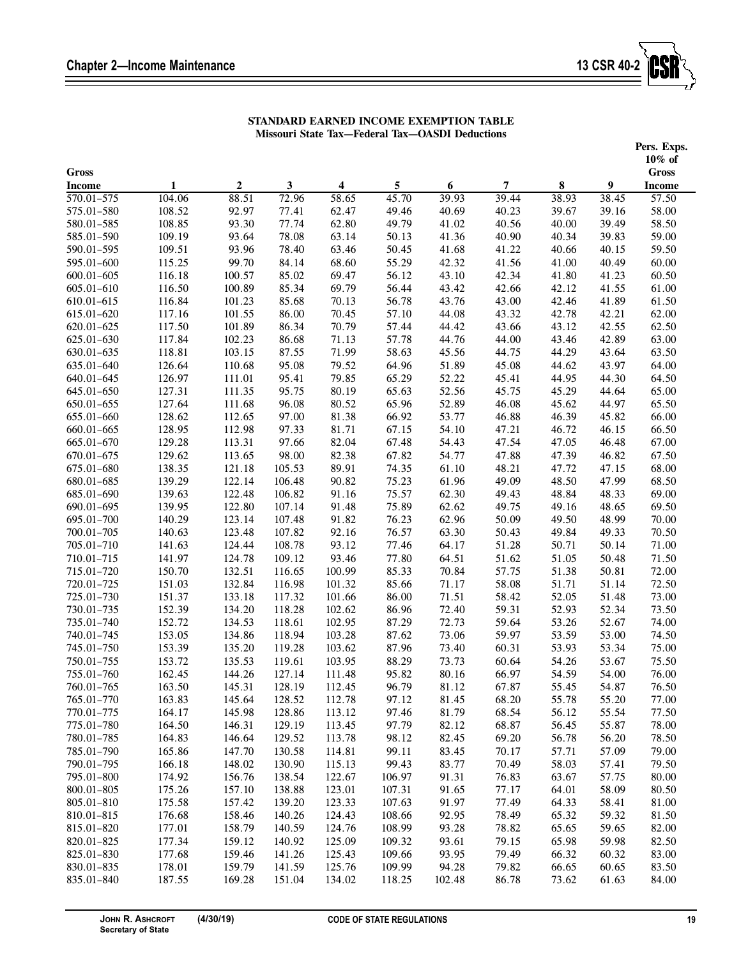

# **STANDARD EARNED INCOME EXEMPTION TABLE Missouri State Tax—Federal Tax—OASDI Deductions**

|                             |                  |                           |                       |                 |                |                |                |                |                | Pers. Exps.            |
|-----------------------------|------------------|---------------------------|-----------------------|-----------------|----------------|----------------|----------------|----------------|----------------|------------------------|
|                             |                  |                           |                       |                 |                |                |                |                |                | $10\%$ of              |
| <b>Gross</b>                |                  |                           |                       |                 |                |                |                |                |                | $\mathbf{Gross}$       |
| <b>Income</b><br>570.01-575 | 1<br>104.06      | $\boldsymbol{2}$<br>88.51 | $\mathbf{3}$<br>72.96 | 4<br>58.65      | 5<br>45.70     | 6<br>39.93     | 7<br>39.44     | 8<br>38.93     | 9<br>38.45     | <b>Income</b><br>57.50 |
| 575.01-580                  | 108.52           | 92.97                     | 77.41                 | 62.47           | 49.46          | 40.69          | 40.23          | 39.67          | 39.16          | 58.00                  |
| 580.01-585                  | 108.85           | 93.30                     | 77.74                 | 62.80           | 49.79          | 41.02          | 40.56          | 40.00          | 39.49          | 58.50                  |
| 585.01-590                  | 109.19           | 93.64                     | 78.08                 | 63.14           | 50.13          | 41.36          | 40.90          | 40.34          | 39.83          | 59.00                  |
| 590.01-595                  | 109.51           | 93.96                     | 78.40                 | 63.46           | 50.45          | 41.68          | 41.22          | 40.66          | 40.15          | 59.50                  |
| 595.01-600                  | 115.25           | 99.70                     | 84.14                 | 68.60           | 55.29          | 42.32          | 41.56          | 41.00          | 40.49          | 60.00                  |
| $600.01 - 605$              | 116.18           | 100.57                    | 85.02                 | 69.47           | 56.12          | 43.10          | 42.34          | 41.80          | 41.23          | 60.50                  |
| 605.01-610                  | 116.50           | 100.89                    | 85.34                 | 69.79           | 56.44          | 43.42          | 42.66          | 42.12          | 41.55          | 61.00                  |
| 610.01-615                  | 116.84           | 101.23                    | 85.68                 | 70.13           | 56.78          | 43.76          | 43.00          | 42.46          | 41.89          | 61.50                  |
| 615.01-620                  | 117.16           | 101.55                    | 86.00                 | 70.45           | 57.10          | 44.08          | 43.32          | 42.78          | 42.21          | 62.00                  |
| 620.01-625                  | 117.50           | 101.89                    | 86.34                 | 70.79           | 57.44          | 44.42          | 43.66          | 43.12          | 42.55          | 62.50                  |
| 625.01-630                  | 117.84           | 102.23                    | 86.68                 | 71.13           | 57.78          | 44.76          | 44.00          | 43.46          | 42.89          | 63.00                  |
| 630.01-635                  | 118.81           | 103.15                    | 87.55                 | 71.99           | 58.63          | 45.56          | 44.75          | 44.29          | 43.64          | 63.50                  |
| 635.01-640                  | 126.64           | 110.68                    | 95.08                 | 79.52           | 64.96          | 51.89          | 45.08          | 44.62          | 43.97          | 64.00                  |
| 640.01-645                  | 126.97           | 111.01                    | 95.41                 | 79.85           | 65.29          | 52.22          | 45.41          | 44.95          | 44.30          | 64.50                  |
| 645.01-650                  | 127.31           | 111.35                    | 95.75                 | 80.19           | 65.63          | 52.56          | 45.75          | 45.29          | 44.64          | 65.00                  |
| 650.01-655                  | 127.64           | 111.68                    | 96.08                 | 80.52           | 65.96          | 52.89          | 46.08          | 45.62          | 44.97          | 65.50                  |
| 655.01-660                  | 128.62           | 112.65                    | 97.00                 | 81.38           | 66.92          | 53.77          | 46.88          | 46.39          | 45.82          | 66.00                  |
| 660.01-665                  | 128.95           | 112.98                    | 97.33                 | 81.71           | 67.15          | 54.10          | 47.21          | 46.72          | 46.15          | 66.50                  |
| 665.01-670                  | 129.28           | 113.31                    | 97.66                 | 82.04           | 67.48          | 54.43          | 47.54          | 47.05          | 46.48          | 67.00                  |
| 670.01-675                  | 129.62           | 113.65                    | 98.00                 | 82.38           | 67.82          | 54.77          | 47.88          | 47.39          | 46.82          | 67.50                  |
| 675.01-680                  | 138.35           | 121.18                    | 105.53                | 89.91           | 74.35          | 61.10          | 48.21          | 47.72          | 47.15          | 68.00                  |
| 680.01-685                  | 139.29           | 122.14                    | 106.48                | 90.82           | 75.23          | 61.96          | 49.09          | 48.50          | 47.99          | 68.50                  |
| 685.01-690                  | 139.63           | 122.48                    | 106.82                | 91.16           | 75.57          | 62.30          | 49.43          | 48.84          | 48.33          | 69.00                  |
| 690.01-695                  | 139.95           | 122.80                    | 107.14                | 91.48           | 75.89          | 62.62          | 49.75          | 49.16          | 48.65          | 69.50                  |
| 695.01-700                  | 140.29           | 123.14                    | 107.48                | 91.82           | 76.23          | 62.96          | 50.09          | 49.50          | 48.99          | 70.00                  |
| 700.01-705                  | 140.63           | 123.48                    | 107.82                | 92.16           | 76.57          | 63.30          | 50.43          | 49.84          | 49.33          | 70.50                  |
| 705.01-710                  | 141.63<br>141.97 | 124.44                    | 108.78                | 93.12           | 77.46          | 64.17          | 51.28          | 50.71          | 50.14          | 71.00                  |
| 710.01-715<br>715.01-720    | 150.70           | 124.78<br>132.51          | 109.12<br>116.65      | 93.46<br>100.99 | 77.80<br>85.33 | 64.51<br>70.84 | 51.62<br>57.75 | 51.05<br>51.38 | 50.48<br>50.81 | 71.50<br>72.00         |
| 720.01-725                  | 151.03           | 132.84                    | 116.98                | 101.32          | 85.66          | 71.17          | 58.08          | 51.71          | 51.14          | 72.50                  |
| 725.01-730                  | 151.37           | 133.18                    | 117.32                | 101.66          | 86.00          | 71.51          | 58.42          | 52.05          | 51.48          | 73.00                  |
| 730.01-735                  | 152.39           | 134.20                    | 118.28                | 102.62          | 86.96          | 72.40          | 59.31          | 52.93          | 52.34          | 73.50                  |
| 735.01-740                  | 152.72           | 134.53                    | 118.61                | 102.95          | 87.29          | 72.73          | 59.64          | 53.26          | 52.67          | 74.00                  |
| 740.01-745                  | 153.05           | 134.86                    | 118.94                | 103.28          | 87.62          | 73.06          | 59.97          | 53.59          | 53.00          | 74.50                  |
| 745.01-750                  | 153.39           | 135.20                    | 119.28                | 103.62          | 87.96          | 73.40          | 60.31          | 53.93          | 53.34          | 75.00                  |
| 750.01-755                  | 153.72           | 135.53                    | 119.61                | 103.95          | 88.29          | 73.73          | 60.64          | 54.26          | 53.67          | 75.50                  |
| 755.01-760                  | 162.45           | 144.26                    | 127.14                | 111.48          | 95.82          | 80.16          | 66.97          | 54.59          | 54.00          | 76.00                  |
| 760.01-765                  | 163.50           | 145.31                    | 128.19                | 112.45          | 96.79          | 81.12          | 67.87          | 55.45          | 54.87          | 76.50                  |
| 765.01-770                  | 163.83           | 145.64                    | 128.52                | 112.78          | 97.12          | 81.45          | 68.20          | 55.78          | 55.20          | 77.00                  |
| 770.01-775                  | 164.17           | 145.98                    | 128.86                | 113.12          | 97.46          | 81.79          | 68.54          | 56.12          | 55.54          | 77.50                  |
| 775.01-780                  | 164.50           | 146.31                    | 129.19                | 113.45          | 97.79          | 82.12          | 68.87          | 56.45          | 55.87          | 78.00                  |
| 780.01-785                  | 164.83           | 146.64                    | 129.52                | 113.78          | 98.12          | 82.45          | 69.20          | 56.78          | 56.20          | 78.50                  |
| 785.01-790                  | 165.86           | 147.70                    | 130.58                | 114.81          | 99.11          | 83.45          | 70.17          | 57.71          | 57.09          | 79.00                  |
| 790.01-795                  | 166.18           | 148.02                    | 130.90                | 115.13          | 99.43          | 83.77          | 70.49          | 58.03          | 57.41          | 79.50                  |
| 795.01-800                  | 174.92           | 156.76                    | 138.54                | 122.67          | 106.97         | 91.31          | 76.83          | 63.67          | 57.75          | 80.00                  |
| 800.01-805                  | 175.26           | 157.10                    | 138.88                | 123.01          | 107.31         | 91.65          | 77.17          | 64.01          | 58.09          | 80.50                  |
| 805.01-810                  | 175.58           | 157.42                    | 139.20                | 123.33          | 107.63         | 91.97          | 77.49          | 64.33          | 58.41          | 81.00                  |
| 810.01-815                  | 176.68           | 158.46                    | 140.26                | 124.43          | 108.66         | 92.95          | 78.49          | 65.32          | 59.32          | 81.50                  |
| 815.01-820                  | 177.01           | 158.79                    | 140.59                | 124.76          | 108.99         | 93.28          | 78.82          | 65.65          | 59.65          | 82.00                  |
| 820.01-825                  | 177.34           | 159.12                    | 140.92                | 125.09          | 109.32         | 93.61          | 79.15          | 65.98          | 59.98          | 82.50                  |
| 825.01-830                  | 177.68           | 159.46                    | 141.26                | 125.43          | 109.66         | 93.95          | 79.49          | 66.32          | 60.32          | 83.00                  |
| 830.01-835                  | 178.01           | 159.79                    | 141.59                | 125.76          | 109.99         | 94.28          | 79.82          | 66.65          | 60.65          | 83.50                  |
| 835.01-840                  | 187.55           | 169.28                    | 151.04                | 134.02          | 118.25         | 102.48         | 86.78          | 73.62          | 61.63          | 84.00                  |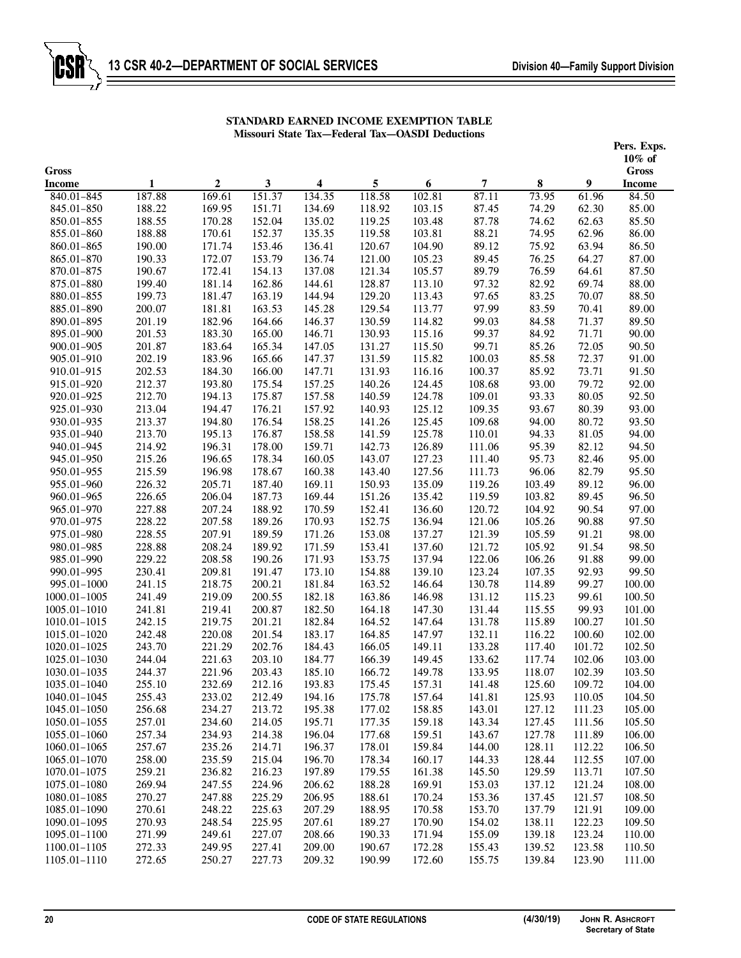|                               |        |                  |              |        |                  |                  |        |        |        | Pers. Exps.                   |
|-------------------------------|--------|------------------|--------------|--------|------------------|------------------|--------|--------|--------|-------------------------------|
|                               |        |                  |              |        |                  |                  |        |        |        | $10\%$ of                     |
| <b>Gross</b><br><b>Income</b> | 1      | $\boldsymbol{2}$ | $\mathbf{3}$ | 4      | 5                | $\boldsymbol{6}$ | 7      | 8      | 9      | <b>Gross</b><br><b>Income</b> |
| 840.01-845                    | 187.88 | 169.61           | 151.37       | 134.35 | 118.58           | 102.81           | 87.11  | 73.95  | 61.96  | 84.50                         |
| 845.01-850                    | 188.22 | 169.95           | 151.71       | 134.69 | 118.92           | 103.15           | 87.45  | 74.29  | 62.30  | 85.00                         |
| 850.01-855                    | 188.55 | 170.28           | 152.04       | 135.02 | 119.25           | 103.48           | 87.78  | 74.62  | 62.63  | 85.50                         |
| 855.01-860                    | 188.88 | 170.61           | 152.37       | 135.35 | 119.58           | 103.81           | 88.21  | 74.95  | 62.96  | 86.00                         |
| 860.01-865                    | 190.00 | 171.74           | 153.46       | 136.41 | 120.67           | 104.90           | 89.12  | 75.92  | 63.94  | 86.50                         |
| 865.01-870                    | 190.33 | 172.07           | 153.79       | 136.74 | 121.00           | 105.23           | 89.45  | 76.25  | 64.27  | 87.00                         |
| 870.01-875                    | 190.67 | 172.41           | 154.13       | 137.08 | 121.34           | 105.57           | 89.79  | 76.59  | 64.61  | 87.50                         |
| 875.01-880                    | 199.40 | 181.14           | 162.86       | 144.61 | 128.87           | 113.10           | 97.32  | 82.92  | 69.74  | 88.00                         |
| 880.01-855                    | 199.73 | 181.47           | 163.19       | 144.94 | 129.20           | 113.43           | 97.65  | 83.25  | 70.07  | 88.50                         |
| 885.01-890                    | 200.07 | 181.81           | 163.53       | 145.28 | 129.54           | 113.77           | 97.99  | 83.59  | 70.41  | 89.00                         |
| 890.01-895                    | 201.19 | 182.96           | 164.66       | 146.37 | 130.59           | 114.82           | 99.03  | 84.58  | 71.37  | 89.50                         |
| 895.01-900                    | 201.53 | 183.30           | 165.00       | 146.71 | 130.93           | 115.16           | 99.37  | 84.92  | 71.71  | 90.00                         |
| 900.01-905                    | 201.87 | 183.64           | 165.34       | 147.05 | 131.27           | 115.50           | 99.71  | 85.26  | 72.05  | 90.50                         |
| 905.01-910                    | 202.19 | 183.96           | 165.66       | 147.37 | 131.59           | 115.82           | 100.03 | 85.58  | 72.37  | 91.00                         |
| 910.01-915                    | 202.53 | 184.30           | 166.00       | 147.71 | 131.93           | 116.16           | 100.37 | 85.92  | 73.71  | 91.50                         |
| 915.01-920                    | 212.37 | 193.80           | 175.54       | 157.25 | 140.26           | 124.45           | 108.68 | 93.00  | 79.72  | 92.00                         |
| 920.01-925                    | 212.70 | 194.13           | 175.87       | 157.58 | 140.59           | 124.78           | 109.01 | 93.33  | 80.05  | 92.50                         |
| 925.01-930                    | 213.04 | 194.47           | 176.21       | 157.92 | 140.93           | 125.12           | 109.35 | 93.67  | 80.39  | 93.00                         |
| 930.01-935                    | 213.37 | 194.80           | 176.54       | 158.25 | 141.26           | 125.45           | 109.68 | 94.00  | 80.72  | 93.50                         |
| 935.01-940                    | 213.70 | 195.13           | 176.87       | 158.58 | 141.59           | 125.78           | 110.01 | 94.33  | 81.05  | 94.00                         |
| 940.01-945                    | 214.92 | 196.31           | 178.00       | 159.71 | 142.73           | 126.89           | 111.06 | 95.39  | 82.12  | 94.50                         |
| 945.01-950                    | 215.26 | 196.65           | 178.34       | 160.05 | 143.07           | 127.23           | 111.40 | 95.73  | 82.46  | 95.00                         |
| 950.01-955                    | 215.59 | 196.98           | 178.67       | 160.38 | 143.40           | 127.56           | 111.73 | 96.06  | 82.79  | 95.50                         |
| 955.01-960                    | 226.32 | 205.71           | 187.40       | 169.11 | 150.93           | 135.09           | 119.26 | 103.49 | 89.12  | 96.00                         |
| 960.01-965                    | 226.65 | 206.04           | 187.73       | 169.44 | 151.26           | 135.42           | 119.59 | 103.82 | 89.45  | 96.50                         |
| 965.01-970                    | 227.88 | 207.24           | 188.92       | 170.59 | 152.41           | 136.60           | 120.72 | 104.92 | 90.54  | 97.00                         |
| 970.01-975                    | 228.22 | 207.58           | 189.26       | 170.93 | 152.75           | 136.94           | 121.06 | 105.26 | 90.88  | 97.50                         |
| 975.01-980                    | 228.55 | 207.91           | 189.59       | 171.26 | 153.08           | 137.27           | 121.39 | 105.59 | 91.21  | 98.00                         |
| 980.01-985                    | 228.88 | 208.24           | 189.92       | 171.59 | 153.41           | 137.60           | 121.72 | 105.92 | 91.54  | 98.50                         |
| 985.01-990                    | 229.22 | 208.58           | 190.26       | 171.93 | 153.75           | 137.94           | 122.06 | 106.26 | 91.88  | 99.00                         |
| 990.01-995                    | 230.41 | 209.81           | 191.47       | 173.10 | 154.88           | 139.10           | 123.24 | 107.35 | 92.93  | 99.50                         |
| 995.01-1000                   | 241.15 | 218.75           | 200.21       | 181.84 | 163.52           | 146.64           | 130.78 | 114.89 | 99.27  | 100.00                        |
| 1000.01-1005                  | 241.49 | 219.09           | 200.55       | 182.18 | 163.86           | 146.98           | 131.12 | 115.23 | 99.61  | 100.50                        |
| 1005.01-1010                  | 241.81 | 219.41           | 200.87       | 182.50 | 164.18           | 147.30           | 131.44 | 115.55 | 99.93  | 101.00                        |
| 1010.01-1015                  | 242.15 | 219.75           | 201.21       | 182.84 | 164.52           | 147.64           | 131.78 | 115.89 | 100.27 | 101.50                        |
| 1015.01-1020                  | 242.48 | 220.08           | 201.54       | 183.17 | 164.85           | 147.97           | 132.11 | 116.22 | 100.60 | 102.00                        |
| 1020.01-1025                  | 243.70 | 221.29           | 202.76       | 184.43 | 166.05           | 149.11           | 133.28 | 117.40 | 101.72 | 102.50                        |
| 1025.01-1030                  | 244.04 | 221.63           | 203.10       | 184.77 | 166.39           | 149.45           | 133.62 | 117.74 | 102.06 | 103.00                        |
| 1030.01-1035                  | 244.37 | 221.96           | 203.43       | 185.10 | 166.72           | 149.78           | 133.95 | 118.07 | 102.39 | 103.50                        |
| 1035.01-1040                  | 255.10 | 232.69           | 212.16       | 193.83 | 175.45           | 157.31           | 141.48 | 125.60 | 109.72 | 104.00                        |
| 1040.01-1045                  | 255.43 | 233.02           | 212.49       | 194.16 | 175.78           | 157.64           | 141.81 | 125.93 | 110.05 | 104.50                        |
| 1045.01-1050                  | 256.68 | 234.27           | 213.72       | 195.38 | 177.02           | 158.85           | 143.01 | 127.12 | 111.23 | 105.00                        |
| 1050.01-1055                  | 257.01 | 234.60           | 214.05       | 195.71 | 177.35           | 159.18           | 143.34 | 127.45 | 111.56 | 105.50                        |
| 1055.01-1060                  | 257.34 | 234.93           | 214.38       | 196.04 | 177.68           | 159.51           | 143.67 | 127.78 | 111.89 | 106.00                        |
| 1060.01-1065                  | 257.67 | 235.26           | 214.71       | 196.37 | 178.01           | 159.84           | 144.00 | 128.11 | 112.22 | 106.50                        |
| 1065.01-1070                  | 258.00 | 235.59           | 215.04       | 196.70 | 178.34           | 160.17           | 144.33 | 128.44 | 112.55 | 107.00                        |
| 1070.01-1075                  | 259.21 | 236.82           | 216.23       | 197.89 | 179.55           | 161.38           | 145.50 | 129.59 | 113.71 | 107.50                        |
| 1075.01-1080                  | 269.94 | 247.55           | 224.96       | 206.62 | 188.28           | 169.91           | 153.03 | 137.12 | 121.24 | 108.00                        |
| 1080.01-1085                  | 270.27 | 247.88           | 225.29       | 206.95 | 188.61           | 170.24           | 153.36 | 137.45 | 121.57 | 108.50                        |
| 1085.01-1090                  | 270.61 | 248.22           | 225.63       | 207.29 | 188.95           | 170.58           | 153.70 | 137.79 | 121.91 | 109.00                        |
| 1090.01-1095                  | 270.93 | 248.54           | 225.95       | 207.61 | 189.27           | 170.90           | 154.02 | 138.11 | 122.23 | 109.50                        |
| 1095.01-1100                  | 271.99 | 249.61           | 227.07       | 208.66 | 190.33           | 171.94           | 155.09 | 139.18 | 123.24 | 110.00                        |
| 1100.01-1105                  | 272.33 | 249.95           | 227.41       | 209.00 | 190.67<br>190.99 | 172.28           | 155.43 | 139.52 | 123.58 | 110.50                        |
| 1105.01-1110                  | 272.65 | 250.27           | 227.73       | 209.32 |                  | 172.60           | 155.75 | 139.84 | 123.90 | 111.00                        |

# **STANDARD EARNED INCOME EXEMPTION TABLE Missouri State Tax—Federal Tax—OASDI Deductions**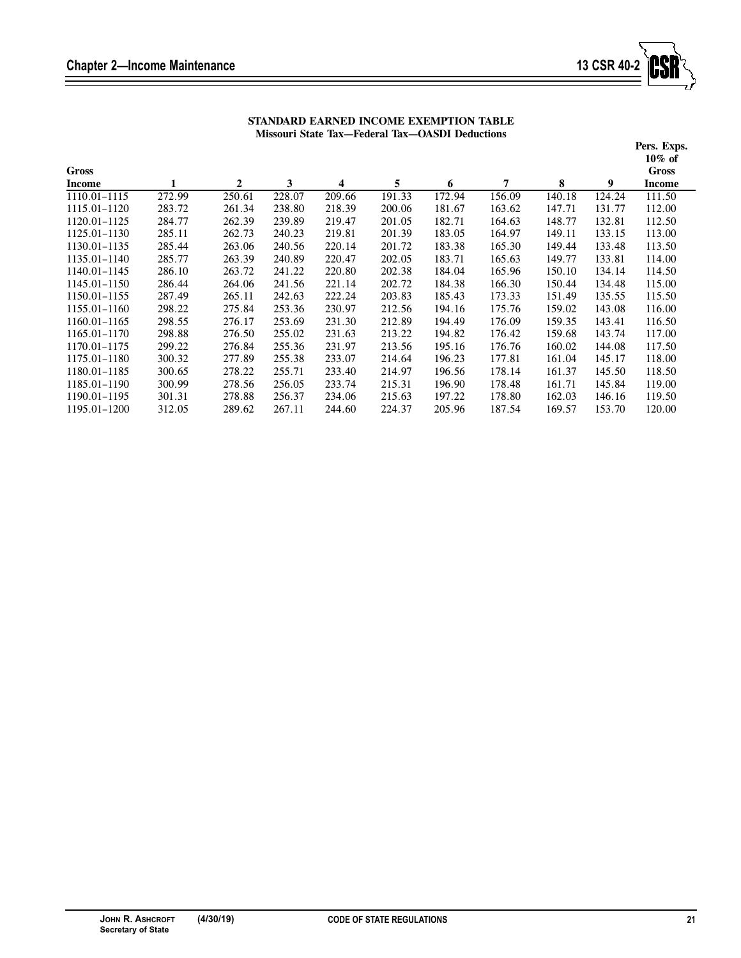Ξ



| STANDARD EARNED INCOME EXEMPTION TABLE          |
|-------------------------------------------------|
| Missouri State Tax—Federal Tax—OASDI Deductions |

|                  |        |              |        |        |        |        |        |        |        | Pers. Exps.  |
|------------------|--------|--------------|--------|--------|--------|--------|--------|--------|--------|--------------|
|                  |        |              |        |        |        |        |        |        |        | $10\%$ of    |
| <b>Gross</b>     |        |              |        |        |        |        |        |        |        | <b>Gross</b> |
| Income           | 1      | $\mathbf{2}$ | 3      | 4      | 5      | 6      | 7      | 8      | 9      | Income       |
| 1110.01-1115     | 272.99 | 250.61       | 228.07 | 209.66 | 191.33 | 172.94 | 156.09 | 140.18 | 124.24 | 111.50       |
| 1115.01-1120     | 283.72 | 261.34       | 238.80 | 218.39 | 200.06 | 181.67 | 163.62 | 147.71 | 131.77 | 112.00       |
| 1120.01-1125     | 284.77 | 262.39       | 239.89 | 219.47 | 201.05 | 182.71 | 164.63 | 148.77 | 132.81 | 112.50       |
| 1125.01-1130     | 285.11 | 262.73       | 240.23 | 219.81 | 201.39 | 183.05 | 164.97 | 149.11 | 133.15 | 113.00       |
| 1130.01-1135     | 285.44 | 263.06       | 240.56 | 220.14 | 201.72 | 183.38 | 165.30 | 149.44 | 133.48 | 113.50       |
| 1135.01-1140     | 285.77 | 263.39       | 240.89 | 220.47 | 202.05 | 183.71 | 165.63 | 149.77 | 133.81 | 114.00       |
| 1140.01-1145     | 286.10 | 263.72       | 241.22 | 220.80 | 202.38 | 184.04 | 165.96 | 150.10 | 134.14 | 114.50       |
| 1145.01-1150     | 286.44 | 264.06       | 241.56 | 221.14 | 202.72 | 184.38 | 166.30 | 150.44 | 134.48 | 115.00       |
| 1150.01-1155     | 287.49 | 265.11       | 242.63 | 222.24 | 203.83 | 185.43 | 173.33 | 151.49 | 135.55 | 115.50       |
| $1155.01 - 1160$ | 298.22 | 275.84       | 253.36 | 230.97 | 212.56 | 194.16 | 175.76 | 159.02 | 143.08 | 116.00       |
| 1160.01-1165     | 298.55 | 276.17       | 253.69 | 231.30 | 212.89 | 194.49 | 176.09 | 159.35 | 143.41 | 116.50       |
| $1165.01 - 1170$ | 298.88 | 276.50       | 255.02 | 231.63 | 213.22 | 194.82 | 176.42 | 159.68 | 143.74 | 117.00       |
| 1170.01-1175     | 299.22 | 276.84       | 255.36 | 231.97 | 213.56 | 195.16 | 176.76 | 160.02 | 144.08 | 117.50       |
| 1175.01-1180     | 300.32 | 277.89       | 255.38 | 233.07 | 214.64 | 196.23 | 177.81 | 161.04 | 145.17 | 118.00       |
| 1180.01-1185     | 300.65 | 278.22       | 255.71 | 233.40 | 214.97 | 196.56 | 178.14 | 161.37 | 145.50 | 118.50       |
| 1185.01-1190     | 300.99 | 278.56       | 256.05 | 233.74 | 215.31 | 196.90 | 178.48 | 161.71 | 145.84 | 119.00       |
| 1190.01-1195     | 301.31 | 278.88       | 256.37 | 234.06 | 215.63 | 197.22 | 178.80 | 162.03 | 146.16 | 119.50       |
| 1195.01-1200     | 312.05 | 289.62       | 267.11 | 244.60 | 224.37 | 205.96 | 187.54 | 169.57 | 153.70 | 120.00       |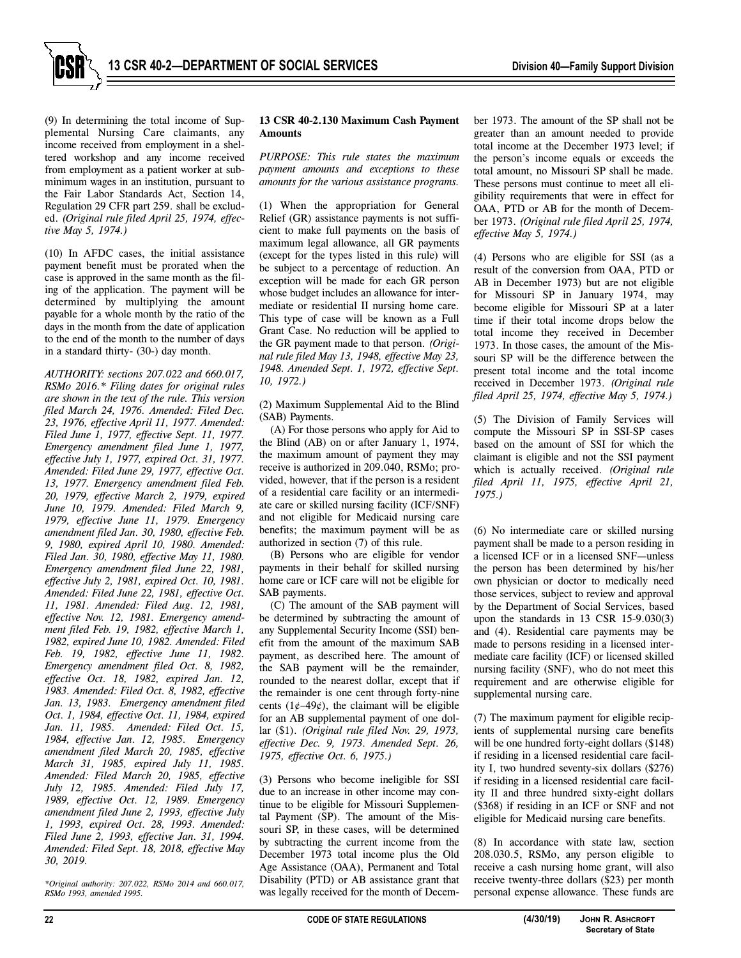

(9) In determining the total income of Supplemental Nursing Care claimants, any income received from employment in a sheltered workshop and any income received from employment as a patient worker at subminimum wages in an institution, pursuant to the Fair Labor Standards Act, Section 14, Regulation 29 CFR part 259. shall be excluded. *(Original rule filed April 25, 1974, effective May 5, 1974.)*

(10) In AFDC cases, the initial assistance payment benefit must be prorated when the case is approved in the same month as the filing of the application. The payment will be determined by multiplying the amount payable for a whole month by the ratio of the days in the month from the date of application to the end of the month to the number of days in a standard thirty- (30-) day month.

*AUTHORITY: sections 207.022 and 660.017, RSMo 2016.\* Filing dates for original rules are shown in the text of the rule. This version filed March 24, 1976. Amended: Filed Dec. 23, 1976, effective April 11, 1977. Amended: Filed June 1, 1977, effective Sept. 11, 1977. Emergency amendment filed June 1, 1977, effective July 1, 1977, expired Oct. 31, 1977. Amended: Filed June 29, 1977, effective Oct. 13, 1977. Emergency amendment filed Feb. 20, 1979, effective March 2, 1979, expired June 10, 1979. Amended: Filed March 9, 1979, effective June 11, 1979. Emergency amendment filed Jan. 30, 1980, effective Feb. 9, 1980, expired April 10, 1980. Amended: Filed Jan. 30, 1980, effective May 11, 1980. Emergency amendment filed June 22, 1981, effective July 2, 1981, expired Oct. 10, 1981. Amended: Filed June 22, 1981, effective Oct. 11, 1981. Amended: Filed Aug. 12, 1981, effective Nov. 12, 1981. Emergency amendment filed Feb. 19, 1982, effective March 1, 1982, expired June 10, 1982. Amended: Filed Feb. 19, 1982, effective June 11, 1982. Emergency amendment filed Oct. 8, 1982, effective Oct. 18, 1982, expired Jan. 12, 1983. Amended: Filed Oct. 8, 1982, effective Jan. 13, 1983. Emergency amendment filed Oct. 1, 1984, effective Oct. 11, 1984, expired Jan. 11, 1985. Amended: Filed Oct. 15, 1984, effective Jan. 12, 1985. Emergency amendment filed March 20, 1985, effective March 31, 1985, expired July 11, 1985. Amended: Filed March 20, 1985, effective July 12, 1985. Amended: Filed July 17, 1989, effective Oct. 12, 1989. Emergency amendment filed June 2, 1993, effective July 1, 1993, expired Oct. 28, 1993. Amended: Filed June 2, 1993, effective Jan. 31, 1994. Amended: Filed Sept. 18, 2018, effective May 30, 2019.* 

*\*Original authority: 207.022, RSMo 2014 and 660.017, RSMo 1993, amended 1995.* 

## **13 CSR 40-2.130 Maximum Cash Payment Amounts**

*PURPOSE: This rule states the maximum payment amounts and exceptions to these amounts for the various assistance programs.* 

(1) When the appropriation for General Relief (GR) assistance payments is not sufficient to make full payments on the basis of maximum legal allowance, all GR payments (except for the types listed in this rule) will be subject to a percentage of reduction. An exception will be made for each GR person whose budget includes an allowance for intermediate or residential II nursing home care. This type of case will be known as a Full Grant Case. No reduction will be applied to the GR payment made to that person. *(Original rule filed May 13, 1948, effective May 23, 1948. Amended Sept. 1, 1972, effective Sept. 10, 1972.)*

(2) Maximum Supplemental Aid to the Blind (SAB) Payments.

(A) For those persons who apply for Aid to the Blind (AB) on or after January 1, 1974, the maximum amount of payment they may receive is authorized in 209.040, RSMo; provided, however, that if the person is a resident of a residential care facility or an intermediate care or skilled nursing facility (ICF/SNF) and not eligible for Medicaid nursing care benefits; the maximum payment will be as authorized in section (7) of this rule.

(B) Persons who are eligible for vendor payments in their behalf for skilled nursing home care or ICF care will not be eligible for SAB payments.

(C) The amount of the SAB payment will be determined by subtracting the amount of any Supplemental Security Income (SSI) benefit from the amount of the maximum SAB payment, as described here. The amount of the SAB payment will be the remainder, rounded to the nearest dollar, except that if the remainder is one cent through forty-nine cents  $(1¢-49¢)$ , the claimant will be eligible for an AB supplemental payment of one dollar (\$1). *(Original rule filed Nov. 29, 1973, effective Dec. 9, 1973. Amended Sept. 26, 1975, effective Oct. 6, 1975.)*

(3) Persons who become ineligible for SSI due to an increase in other income may continue to be eligible for Missouri Supplemental Payment (SP). The amount of the Missouri SP, in these cases, will be determined by subtracting the current income from the December 1973 total income plus the Old Age Assistance (OAA), Permanent and Total Disability (PTD) or AB assistance grant that was legally received for the month of December 1973. The amount of the SP shall not be greater than an amount needed to provide total income at the December 1973 level; if the person's income equals or exceeds the total amount, no Missouri SP shall be made. These persons must continue to meet all eligibility requirements that were in effect for OAA, PTD or AB for the month of December 1973. *(Original rule filed April 25, 1974, effective May 5, 1974.)* 

(4) Persons who are eligible for SSI (as a result of the conversion from OAA, PTD or AB in December 1973) but are not eligible for Missouri SP in January 1974, may become eligible for Missouri SP at a later time if their total income drops below the total income they received in December 1973. In those cases, the amount of the Missouri SP will be the difference between the present total income and the total income received in December 1973. *(Original rule filed April 25, 1974, effective May 5, 1974.)*

(5) The Division of Family Services will compute the Missouri SP in SSI-SP cases based on the amount of SSI for which the claimant is eligible and not the SSI payment which is actually received. *(Original rule filed April 11, 1975, effective April 21, 1975.)* 

(6) No intermediate care or skilled nursing payment shall be made to a person residing in a licensed ICF or in a licensed SNF—unless the person has been determined by his/her own physician or doctor to medically need those services, subject to review and approval by the Department of Social Services, based upon the standards in 13 CSR 15-9.030(3) and (4). Residential care payments may be made to persons residing in a licensed intermediate care facility (ICF) or licensed skilled nursing facility (SNF), who do not meet this requirement and are otherwise eligible for supplemental nursing care.

(7) The maximum payment for eligible recipients of supplemental nursing care benefits will be one hundred forty-eight dollars (\$148) if residing in a licensed residential care facility I, two hundred seventy-six dollars (\$276) if residing in a licensed residential care facility II and three hundred sixty-eight dollars (\$368) if residing in an ICF or SNF and not eligible for Medicaid nursing care benefits.

(8) In accordance with state law, section 208.030.5, RSMo, any person eligible to receive a cash nursing home grant, will also receive twenty-three dollars (\$23) per month personal expense allowance. These funds are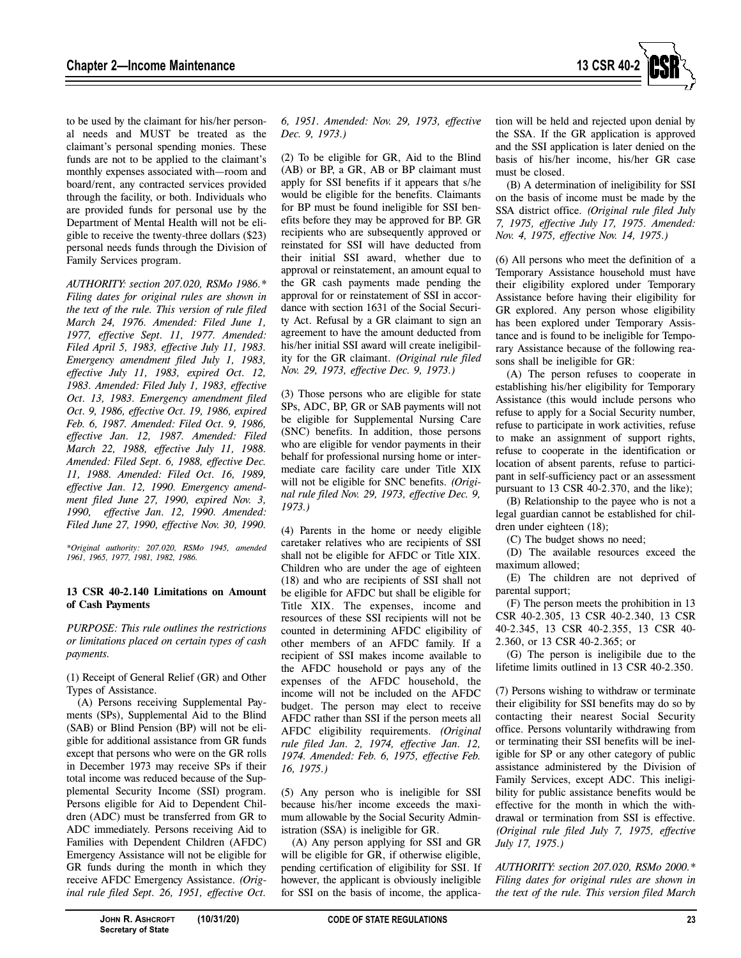

to be used by the claimant for his/her personal needs and MUST be treated as the claimant's personal spending monies. These funds are not to be applied to the claimant's monthly expenses associated with—room and board/rent, any contracted services provided through the facility, or both. Individuals who are provided funds for personal use by the Department of Mental Health will not be eligible to receive the twenty-three dollars (\$23) personal needs funds through the Division of Family Services program.

*AUTHORITY: section 207.020, RSMo 1986.\* Filing dates for original rules are shown in the text of the rule. This version of rule filed March 24, 1976. Amended: Filed June 1, 1977, effective Sept. 11, 1977. Amended: Filed April 5, 1983, effective July 11, 1983. Emergency amendment filed July 1, 1983, effective July 11, 1983, expired Oct. 12, 1983. Amended: Filed July 1, 1983, effective Oct. 13, 1983. Emergency amendment filed Oct. 9, 1986, effective Oct. 19, 1986, expired Feb. 6, 1987. Amended: Filed Oct. 9, 1986, effective Jan. 12, 1987. Amended: Filed March 22, 1988, effective July 11, 1988. Amended: Filed Sept. 6, 1988, effective Dec. 11, 1988. Amended: Filed Oct. 16, 1989, effective Jan. 12, 1990. Emergency amendment filed June 27, 1990, expired Nov. 3, 1990, effective Jan. 12, 1990. Amended: Filed June 27, 1990, effective Nov. 30, 1990.* 

*\*Original authority: 207.020, RSMo 1945, amended 1961, 1965, 1977, 1981, 1982, 1986.* 

#### **13 CSR 40-2.140 Limitations on Amount of Cash Payments**

*PURPOSE: This rule outlines the restrictions or limitations placed on certain types of cash payments.* 

(1) Receipt of General Relief (GR) and Other Types of Assistance.

(A) Persons receiving Supplemental Payments (SPs), Supplemental Aid to the Blind (SAB) or Blind Pension (BP) will not be eligible for additional assistance from GR funds except that persons who were on the GR rolls in December 1973 may receive SPs if their total income was reduced because of the Supplemental Security Income (SSI) program. Persons eligible for Aid to Dependent Children (ADC) must be transferred from GR to ADC immediately. Persons receiving Aid to Families with Dependent Children (AFDC) Emergency Assistance will not be eligible for GR funds during the month in which they receive AFDC Emergency Assistance. *(Original rule filed Sept. 26, 1951, effective Oct.* 

*6, 1951. Amended: Nov. 29, 1973, effective Dec. 9, 1973.)*

(2) To be eligible for GR, Aid to the Blind (AB) or BP, a GR, AB or BP claimant must apply for SSI benefits if it appears that s/he would be eligible for the benefits. Claimants for BP must be found ineligible for SSI benefits before they may be approved for BP. GR recipients who are subsequently approved or reinstated for SSI will have deducted from their initial SSI award, whether due to approval or reinstatement, an amount equal to the GR cash payments made pending the approval for or reinstatement of SSI in accordance with section 1631 of the Social Security Act. Refusal by a GR claimant to sign an agreement to have the amount deducted from his/her initial SSI award will create ineligibility for the GR claimant. *(Original rule filed Nov. 29, 1973, effective Dec. 9, 1973.)*

(3) Those persons who are eligible for state SPs, ADC, BP, GR or SAB payments will not be eligible for Supplemental Nursing Care (SNC) benefits. In addition, those persons who are eligible for vendor payments in their behalf for professional nursing home or intermediate care facility care under Title XIX will not be eligible for SNC benefits. *(Original rule filed Nov. 29, 1973, effective Dec. 9, 1973.)*

(4) Parents in the home or needy eligible caretaker relatives who are recipients of SSI shall not be eligible for AFDC or Title XIX. Children who are under the age of eighteen (18) and who are recipients of SSI shall not be eligible for AFDC but shall be eligible for Title XIX. The expenses, income and resources of these SSI recipients will not be counted in determining AFDC eligibility of other members of an AFDC family. If a recipient of SSI makes income available to the AFDC household or pays any of the expenses of the AFDC household, the income will not be included on the AFDC budget. The person may elect to receive AFDC rather than SSI if the person meets all AFDC eligibility requirements. *(Original rule filed Jan. 2, 1974, effective Jan. 12, 1974. Amended: Feb. 6, 1975, effective Feb. 16, 1975.)*

(5) Any person who is ineligible for SSI because his/her income exceeds the maximum allowable by the Social Security Administration (SSA) is ineligible for GR.

(A) Any person applying for SSI and GR will be eligible for GR, if otherwise eligible, pending certification of eligibility for SSI. If however, the applicant is obviously ineligible for SSI on the basis of income, the application will be held and rejected upon denial by the SSA. If the GR application is approved and the SSI application is later denied on the basis of his/her income, his/her GR case must be closed.

(B) A determination of ineligibility for SSI on the basis of income must be made by the SSA district office. *(Original rule filed July 7, 1975, effective July 17, 1975. Amended: Nov. 4, 1975, effective Nov. 14, 1975.)* 

(6) All persons who meet the definition of a Temporary Assistance household must have their eligibility explored under Temporary Assistance before having their eligibility for GR explored. Any person whose eligibility has been explored under Temporary Assistance and is found to be ineligible for Temporary Assistance because of the following reasons shall be ineligible for GR:

(A) The person refuses to cooperate in establishing his/her eligibility for Temporary Assistance (this would include persons who refuse to apply for a Social Security number, refuse to participate in work activities, refuse to make an assignment of support rights, refuse to cooperate in the identification or location of absent parents, refuse to participant in self-sufficiency pact or an assessment pursuant to 13 CSR 40-2.370, and the like);

(B) Relationship to the payee who is not a legal guardian cannot be established for children under eighteen (18);

(C) The budget shows no need;

(D) The available resources exceed the maximum allowed;

(E) The children are not deprived of parental support;

(F) The person meets the prohibition in 13 CSR 40-2.305, 13 CSR 40-2.340, 13 CSR 40-2.345, 13 CSR 40-2.355, 13 CSR 40- 2.360, or 13 CSR 40-2.365; or

(G) The person is ineligibile due to the lifetime limits outlined in 13 CSR 40-2.350.

(7) Persons wishing to withdraw or terminate their eligibility for SSI benefits may do so by contacting their nearest Social Security office. Persons voluntarily withdrawing from or terminating their SSI benefits will be ineligible for SP or any other category of public assistance administered by the Division of Family Services, except ADC. This ineligibility for public assistance benefits would be effective for the month in which the withdrawal or termination from SSI is effective. *(Original rule filed July 7, 1975, effective July 17, 1975.)* 

*AUTHORITY: section 207.020, RSMo 2000.\* Filing dates for original rules are shown in the text of the rule. This version filed March*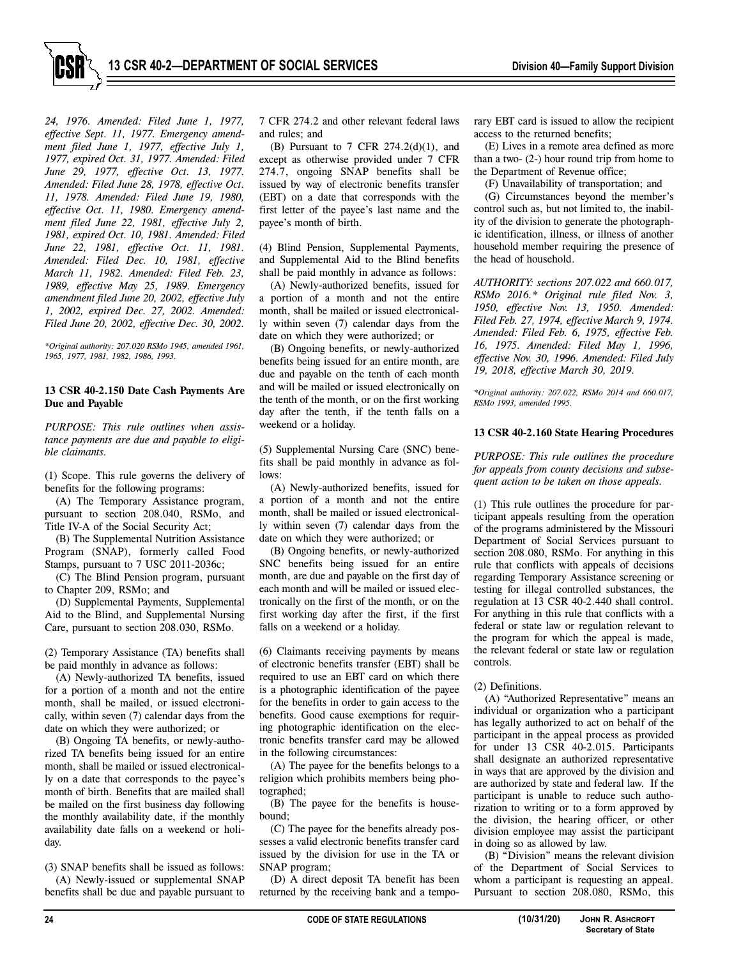

*24, 1976. Amended: Filed June 1, 1977, effective Sept. 11, 1977. Emergency amendment filed June 1, 1977, effective July 1, 1977, expired Oct. 31, 1977. Amended: Filed June 29, 1977, effective Oct. 13, 1977. Amended: Filed June 28, 1978, effective Oct. 11, 1978. Amended: Filed June 19, 1980, effective Oct. 11, 1980. Emergency amendment filed June 22, 1981, effective July 2, 1981, expired Oct. 10, 1981. Amended: Filed June 22, 1981, effective Oct. 11, 1981. Amended: Filed Dec. 10, 1981, effective March 11, 1982. Amended: Filed Feb. 23, 1989, effective May 25, 1989. Emergency amendment filed June 20, 2002, effective July 1, 2002, expired Dec. 27, 2002. Amended: Filed June 20, 2002, effective Dec. 30, 2002.* 

*\*Original authority: 207.020 RSMo 1945, amended 1961, 1965, 1977, 1981, 1982, 1986, 1993.* 

## **13 CSR 40-2.150 Date Cash Payments Are Due and Payable**

*PURPOSE: This rule outlines when assistance payments are due and payable to eligible claimants.* 

(1) Scope. This rule governs the delivery of benefits for the following programs:

(A) The Temporary Assistance program, pursuant to section 208.040, RSMo, and Title IV-A of the Social Security Act;

(B) The Supplemental Nutrition Assistance Program (SNAP), formerly called Food Stamps, pursuant to 7 USC 2011-2036c;

(C) The Blind Pension program, pursuant to Chapter 209, RSMo; and

(D) Supplemental Payments, Supplemental Aid to the Blind, and Supplemental Nursing Care, pursuant to section 208.030, RSMo.

(2) Temporary Assistance (TA) benefits shall be paid monthly in advance as follows:

(A) Newly-authorized TA benefits, issued for a portion of a month and not the entire month, shall be mailed, or issued electronically, within seven (7) calendar days from the date on which they were authorized; or

(B) Ongoing TA benefits, or newly-authorized TA benefits being issued for an entire month, shall be mailed or issued electronically on a date that corresponds to the payee's month of birth. Benefits that are mailed shall be mailed on the first business day following the monthly availability date, if the monthly availability date falls on a weekend or holiday.

(3) SNAP benefits shall be issued as follows: (A) Newly-issued or supplemental SNAP benefits shall be due and payable pursuant to 7 CFR 274.2 and other relevant federal laws and rules; and

(B) Pursuant to 7 CFR  $274.2(d)(1)$ , and except as otherwise provided under 7 CFR 274.7, ongoing SNAP benefits shall be issued by way of electronic benefits transfer (EBT) on a date that corresponds with the first letter of the payee's last name and the payee's month of birth.

(4) Blind Pension, Supplemental Payments, and Supplemental Aid to the Blind benefits shall be paid monthly in advance as follows:

(A) Newly-authorized benefits, issued for a portion of a month and not the entire month, shall be mailed or issued electronically within seven (7) calendar days from the date on which they were authorized; or

(B) Ongoing benefits, or newly-authorized benefits being issued for an entire month, are due and payable on the tenth of each month and will be mailed or issued electronically on the tenth of the month, or on the first working day after the tenth, if the tenth falls on a weekend or a holiday.

(5) Supplemental Nursing Care (SNC) benefits shall be paid monthly in advance as follows:

(A) Newly-authorized benefits, issued for a portion of a month and not the entire month, shall be mailed or issued electronically within seven (7) calendar days from the date on which they were authorized; or

(B) Ongoing benefits, or newly-authorized SNC benefits being issued for an entire month, are due and payable on the first day of each month and will be mailed or issued electronically on the first of the month, or on the first working day after the first, if the first falls on a weekend or a holiday.

(6) Claimants receiving payments by means of electronic benefits transfer (EBT) shall be required to use an EBT card on which there is a photographic identification of the payee for the benefits in order to gain access to the benefits. Good cause exemptions for requiring photographic identification on the electronic benefits transfer card may be allowed in the following circumstances:

(A) The payee for the benefits belongs to a religion which prohibits members being photographed;

(B) The payee for the benefits is housebound;

(C) The payee for the benefits already possesses a valid electronic benefits transfer card issued by the division for use in the TA or SNAP program;

(D) A direct deposit TA benefit has been returned by the receiving bank and a temporary EBT card is issued to allow the recipient access to the returned benefits;

(E) Lives in a remote area defined as more than a two- (2-) hour round trip from home to the Department of Revenue office;

(F) Unavailability of transportation; and

(G) Circumstances beyond the member's control such as, but not limited to, the inability of the division to generate the photographic identification, illness, or illness of another household member requiring the presence of the head of household.

*AUTHORITY: sections 207.022 and 660.017, RSMo 2016.\* Original rule filed Nov. 3, 1950, effective Nov. 13, 1950. Amended: Filed Feb. 27, 1974, effective March 9, 1974. Amended: Filed Feb. 6, 1975, effective Feb. 16, 1975. Amended: Filed May 1, 1996, effective Nov. 30, 1996. Amended: Filed July 19, 2018, effective March 30, 2019.* 

*\*Original authority: 207.022, RSMo 2014 and 660.017, RSMo 1993, amended 1995.* 

#### **13 CSR 40-2.160 State Hearing Procedures**

*PURPOSE: This rule outlines the procedure for appeals from county decisions and subsequent action to be taken on those appeals.* 

(1) This rule outlines the procedure for participant appeals resulting from the operation of the programs administered by the Missouri Department of Social Services pursuant to section 208.080, RSMo. For anything in this rule that conflicts with appeals of decisions regarding Temporary Assistance screening or testing for illegal controlled substances, the regulation at 13 CSR 40-2.440 shall control. For anything in this rule that conflicts with a federal or state law or regulation relevant to the program for which the appeal is made, the relevant federal or state law or regulation controls.

# (2) Definitions.

(A) "Authorized Representative" means an individual or organization who a participant has legally authorized to act on behalf of the participant in the appeal process as provided for under 13 CSR 40-2.015. Participants shall designate an authorized representative in ways that are approved by the division and are authorized by state and federal law. If the participant is unable to reduce such authorization to writing or to a form approved by the division, the hearing officer, or other division employee may assist the participant in doing so as allowed by law.

(B) "Division" means the relevant division of the Department of Social Services to whom a participant is requesting an appeal. Pursuant to section 208.080, RSMo, this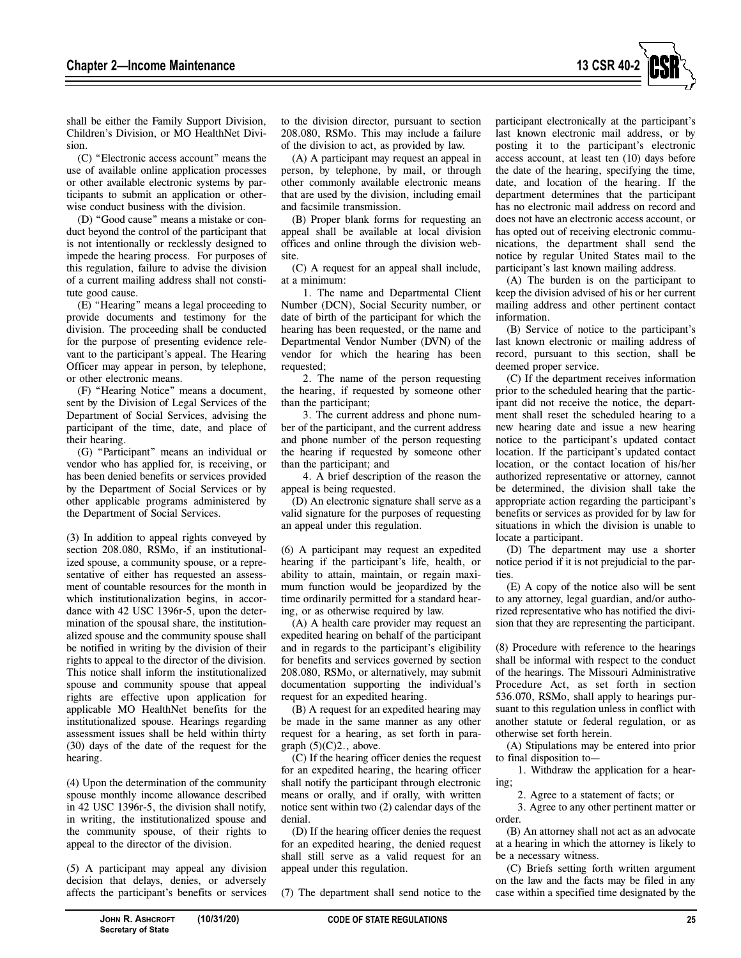

shall be either the Family Support Division, Children's Division, or MO HealthNet Division.

(C) "Electronic access account" means the use of available online application processes or other available electronic systems by participants to submit an application or otherwise conduct business with the division.

(D) "Good cause" means a mistake or conduct beyond the control of the participant that is not intentionally or recklessly designed to impede the hearing process. For purposes of this regulation, failure to advise the division of a current mailing address shall not constitute good cause.

(E) "Hearing" means a legal proceeding to provide documents and testimony for the division. The proceeding shall be conducted for the purpose of presenting evidence relevant to the participant's appeal. The Hearing Officer may appear in person, by telephone, or other electronic means.

(F) "Hearing Notice" means a document, sent by the Division of Legal Services of the Department of Social Services, advising the participant of the time, date, and place of their hearing.

(G) "Participant" means an individual or vendor who has applied for, is receiving, or has been denied benefits or services provided by the Department of Social Services or by other applicable programs administered by the Department of Social Services.

(3) In addition to appeal rights conveyed by section 208.080, RSMo, if an institutionalized spouse, a community spouse, or a representative of either has requested an assessment of countable resources for the month in which institutionalization begins, in accordance with 42 USC 1396r-5, upon the determination of the spousal share, the institutionalized spouse and the community spouse shall be notified in writing by the division of their rights to appeal to the director of the division. This notice shall inform the institutionalized spouse and community spouse that appeal rights are effective upon application for applicable MO HealthNet benefits for the institutionalized spouse. Hearings regarding assessment issues shall be held within thirty (30) days of the date of the request for the hearing.

(4) Upon the determination of the community spouse monthly income allowance described in 42 USC 1396r-5, the division shall notify, in writing, the institutionalized spouse and the community spouse, of their rights to appeal to the director of the division.

(5) A participant may appeal any division decision that delays, denies, or adversely affects the participant's benefits or services

to the division director, pursuant to section 208.080, RSMo. This may include a failure of the division to act, as provided by law.

(A) A participant may request an appeal in person, by telephone, by mail, or through other commonly available electronic means that are used by the division, including email and facsimile transmission.

(B) Proper blank forms for requesting an appeal shall be available at local division offices and online through the division website.

(C) A request for an appeal shall include, at a minimum:

1. The name and Departmental Client Number (DCN), Social Security number, or date of birth of the participant for which the hearing has been requested, or the name and Departmental Vendor Number (DVN) of the vendor for which the hearing has been requested;

2. The name of the person requesting the hearing, if requested by someone other than the participant;

3. The current address and phone number of the participant, and the current address and phone number of the person requesting the hearing if requested by someone other than the participant; and

4. A brief description of the reason the appeal is being requested.

(D) An electronic signature shall serve as a valid signature for the purposes of requesting an appeal under this regulation.

(6) A participant may request an expedited hearing if the participant's life, health, or ability to attain, maintain, or regain maximum function would be jeopardized by the time ordinarily permitted for a standard hearing, or as otherwise required by law.

(A) A health care provider may request an expedited hearing on behalf of the participant and in regards to the participant's eligibility for benefits and services governed by section 208.080, RSMo, or alternatively, may submit documentation supporting the individual's request for an expedited hearing.

(B) A request for an expedited hearing may be made in the same manner as any other request for a hearing, as set forth in paragraph  $(5)(C)2$ ., above.

(C) If the hearing officer denies the request for an expedited hearing, the hearing officer shall notify the participant through electronic means or orally, and if orally, with written notice sent within two (2) calendar days of the denial.

(D) If the hearing officer denies the request for an expedited hearing, the denied request shall still serve as a valid request for an appeal under this regulation.

(7) The department shall send notice to the

participant electronically at the participant's last known electronic mail address, or by posting it to the participant's electronic access account, at least ten (10) days before the date of the hearing, specifying the time, date, and location of the hearing. If the department determines that the participant has no electronic mail address on record and does not have an electronic access account, or has opted out of receiving electronic communications, the department shall send the notice by regular United States mail to the participant's last known mailing address.

(A) The burden is on the participant to keep the division advised of his or her current mailing address and other pertinent contact information.

(B) Service of notice to the participant's last known electronic or mailing address of record, pursuant to this section, shall be deemed proper service.

(C) If the department receives information prior to the scheduled hearing that the participant did not receive the notice, the department shall reset the scheduled hearing to a new hearing date and issue a new hearing notice to the participant's updated contact location. If the participant's updated contact location, or the contact location of his/her authorized representative or attorney, cannot be determined, the division shall take the appropriate action regarding the participant's benefits or services as provided for by law for situations in which the division is unable to locate a participant.

(D) The department may use a shorter notice period if it is not prejudicial to the parties.

(E) A copy of the notice also will be sent to any attorney, legal guardian, and/or authorized representative who has notified the division that they are representing the participant.

(8) Procedure with reference to the hearings shall be informal with respect to the conduct of the hearings. The Missouri Administrative Procedure Act, as set forth in section 536.070, RSMo, shall apply to hearings pursuant to this regulation unless in conflict with another statute or federal regulation, or as otherwise set forth herein.

(A) Stipulations may be entered into prior to final disposition to—

1. Withdraw the application for a hearing;

2. Agree to a statement of facts; or

3. Agree to any other pertinent matter or order.

(B) An attorney shall not act as an advocate at a hearing in which the attorney is likely to be a necessary witness.

(C) Briefs setting forth written argument on the law and the facts may be filed in any case within a specified time designated by the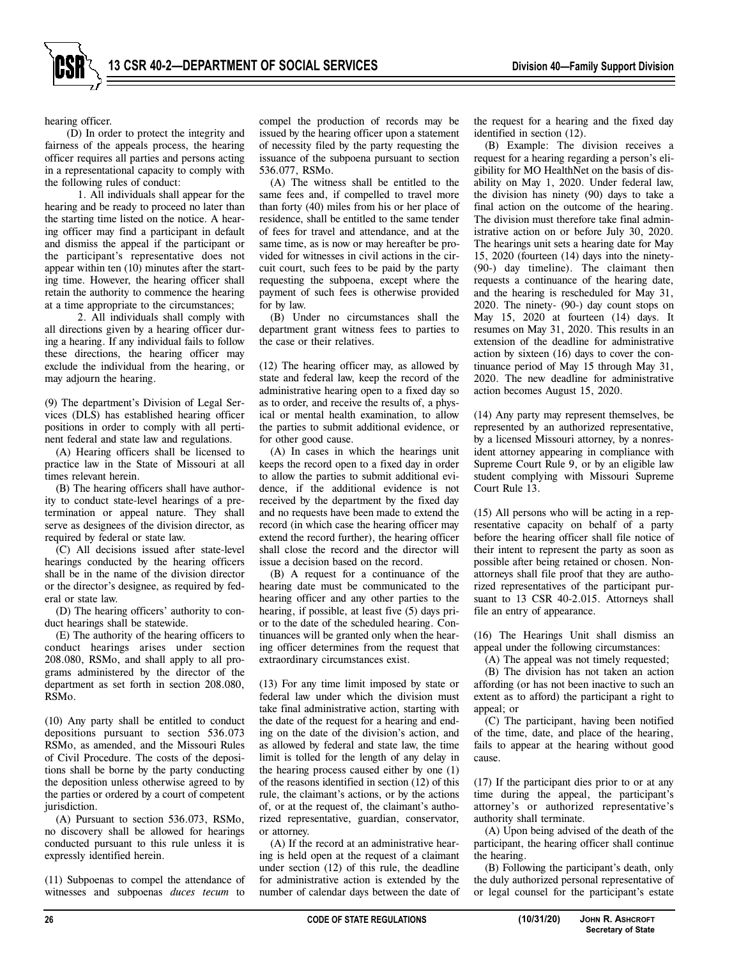

hearing officer.

(D) In order to protect the integrity and fairness of the appeals process, the hearing officer requires all parties and persons acting in a representational capacity to comply with the following rules of conduct:

1. All individuals shall appear for the hearing and be ready to proceed no later than the starting time listed on the notice. A hearing officer may find a participant in default and dismiss the appeal if the participant or the participant's representative does not appear within ten (10) minutes after the starting time. However, the hearing officer shall retain the authority to commence the hearing at a time appropriate to the circumstances;

2. All individuals shall comply with all directions given by a hearing officer during a hearing. If any individual fails to follow these directions, the hearing officer may exclude the individual from the hearing, or may adjourn the hearing.

(9) The department's Division of Legal Services (DLS) has established hearing officer positions in order to comply with all pertinent federal and state law and regulations.

(A) Hearing officers shall be licensed to practice law in the State of Missouri at all times relevant herein.

(B) The hearing officers shall have authority to conduct state-level hearings of a pretermination or appeal nature. They shall serve as designees of the division director, as required by federal or state law.

(C) All decisions issued after state-level hearings conducted by the hearing officers shall be in the name of the division director or the director's designee, as required by federal or state law.

(D) The hearing officers' authority to conduct hearings shall be statewide.

(E) The authority of the hearing officers to conduct hearings arises under section 208.080, RSMo, and shall apply to all programs administered by the director of the department as set forth in section 208.080, RSMo.

(10) Any party shall be entitled to conduct depositions pursuant to section 536.073 RSMo, as amended, and the Missouri Rules of Civil Procedure. The costs of the depositions shall be borne by the party conducting the deposition unless otherwise agreed to by the parties or ordered by a court of competent jurisdiction.

(A) Pursuant to section 536.073, RSMo, no discovery shall be allowed for hearings conducted pursuant to this rule unless it is expressly identified herein.

(11) Subpoenas to compel the attendance of witnesses and subpoenas *duces tecum* to

compel the production of records may be issued by the hearing officer upon a statement of necessity filed by the party requesting the issuance of the subpoena pursuant to section 536.077, RSMo.

(A) The witness shall be entitled to the same fees and, if compelled to travel more than forty (40) miles from his or her place of residence, shall be entitled to the same tender of fees for travel and attendance, and at the same time, as is now or may hereafter be provided for witnesses in civil actions in the circuit court, such fees to be paid by the party requesting the subpoena, except where the payment of such fees is otherwise provided for by law.

(B) Under no circumstances shall the department grant witness fees to parties to the case or their relatives.

(12) The hearing officer may, as allowed by state and federal law, keep the record of the administrative hearing open to a fixed day so as to order, and receive the results of, a physical or mental health examination, to allow the parties to submit additional evidence, or for other good cause.

(A) In cases in which the hearings unit keeps the record open to a fixed day in order to allow the parties to submit additional evidence, if the additional evidence is not received by the department by the fixed day and no requests have been made to extend the record (in which case the hearing officer may extend the record further), the hearing officer shall close the record and the director will issue a decision based on the record.

(B) A request for a continuance of the hearing date must be communicated to the hearing officer and any other parties to the hearing, if possible, at least five (5) days prior to the date of the scheduled hearing. Continuances will be granted only when the hearing officer determines from the request that extraordinary circumstances exist.

(13) For any time limit imposed by state or federal law under which the division must take final administrative action, starting with the date of the request for a hearing and ending on the date of the division's action, and as allowed by federal and state law, the time limit is tolled for the length of any delay in the hearing process caused either by one (1) of the reasons identified in section (12) of this rule, the claimant's actions, or by the actions of, or at the request of, the claimant's authorized representative, guardian, conservator, or attorney.

(A) If the record at an administrative hearing is held open at the request of a claimant under section (12) of this rule, the deadline for administrative action is extended by the number of calendar days between the date of the request for a hearing and the fixed day identified in section (12).

(B) Example: The division receives a request for a hearing regarding a person's eligibility for MO HealthNet on the basis of disability on May 1, 2020. Under federal law, the division has ninety (90) days to take a final action on the outcome of the hearing. The division must therefore take final administrative action on or before July 30, 2020. The hearings unit sets a hearing date for May 15, 2020 (fourteen (14) days into the ninety- (90-) day timeline). The claimant then requests a continuance of the hearing date, and the hearing is rescheduled for May 31, 2020. The ninety- (90-) day count stops on May 15, 2020 at fourteen (14) days. It resumes on May 31, 2020. This results in an extension of the deadline for administrative action by sixteen (16) days to cover the continuance period of May 15 through May 31, 2020. The new deadline for administrative action becomes August 15, 2020.

(14) Any party may represent themselves, be represented by an authorized representative, by a licensed Missouri attorney, by a nonresident attorney appearing in compliance with Supreme Court Rule 9, or by an eligible law student complying with Missouri Supreme Court Rule 13.

(15) All persons who will be acting in a representative capacity on behalf of a party before the hearing officer shall file notice of their intent to represent the party as soon as possible after being retained or chosen. Nonattorneys shall file proof that they are authorized representatives of the participant pursuant to 13 CSR 40-2.015. Attorneys shall file an entry of appearance.

(16) The Hearings Unit shall dismiss an appeal under the following circumstances:

(A) The appeal was not timely requested;

(B) The division has not taken an action affording (or has not been inactive to such an extent as to afford) the participant a right to appeal; or

(C) The participant, having been notified of the time, date, and place of the hearing, fails to appear at the hearing without good cause.

(17) If the participant dies prior to or at any time during the appeal, the participant's attorney's or authorized representative's authority shall terminate.

(A) Upon being advised of the death of the participant, the hearing officer shall continue the hearing.

(B) Following the participant's death, only the duly authorized personal representative of or legal counsel for the participant's estate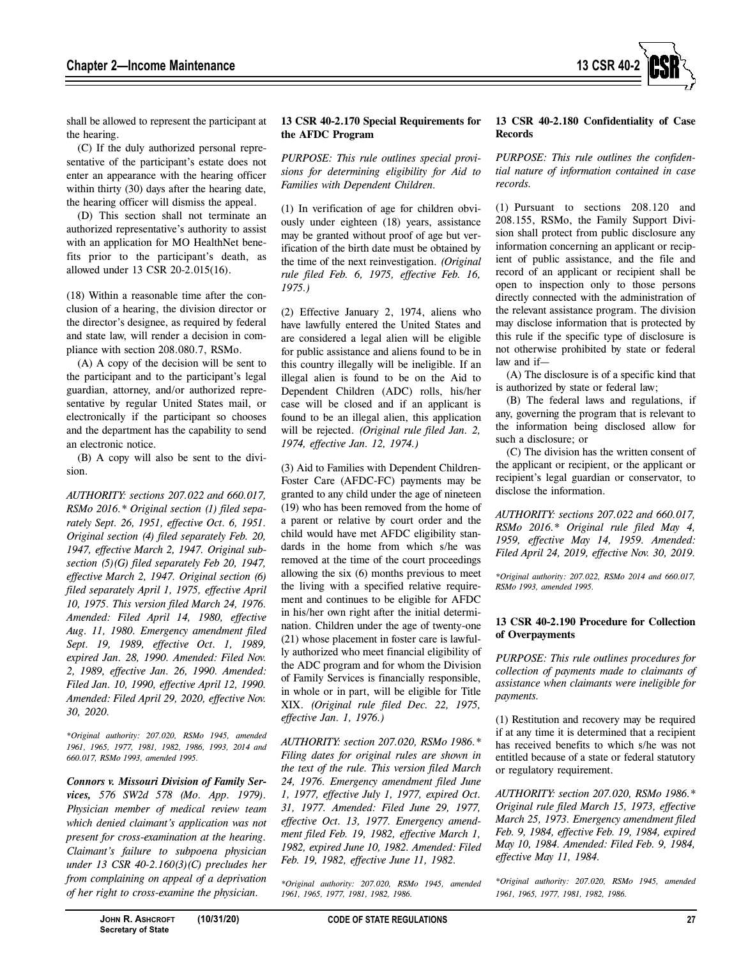

shall be allowed to represent the participant at the hearing.

(C) If the duly authorized personal representative of the participant's estate does not enter an appearance with the hearing officer within thirty (30) days after the hearing date, the hearing officer will dismiss the appeal.

(D) This section shall not terminate an authorized representative's authority to assist with an application for MO HealthNet benefits prior to the participant's death, as allowed under 13 CSR 20-2.015(16).

(18) Within a reasonable time after the conclusion of a hearing, the division director or the director's designee, as required by federal and state law, will render a decision in compliance with section 208.080.7, RSMo.

(A) A copy of the decision will be sent to the participant and to the participant's legal guardian, attorney, and/or authorized representative by regular United States mail, or electronically if the participant so chooses and the department has the capability to send an electronic notice.

(B) A copy will also be sent to the division.

*AUTHORITY: sections 207.022 and 660.017, RSMo 2016.\* Original section (1) filed separately Sept. 26, 1951, effective Oct. 6, 1951. Original section (4) filed separately Feb. 20, 1947, effective March 2, 1947. Original subsection (5)(G) filed separately Feb 20, 1947, effective March 2, 1947. Original section (6) filed separately April 1, 1975, effective April 10, 1975. This version filed March 24, 1976. Amended: Filed April 14, 1980, effective Aug. 11, 1980. Emergency amendment filed Sept. 19, 1989, effective Oct. 1, 1989, expired Jan. 28, 1990. Amended: Filed Nov. 2, 1989, effective Jan. 26, 1990. Amended: Filed Jan. 10, 1990, effective April 12, 1990. Amended: Filed April 29, 2020, effective Nov. 30, 2020.* 

*\*Original authority: 207.020, RSMo 1945, amended 1961, 1965, 1977, 1981, 1982, 1986, 1993, 2014 and 660.017, RSMo 1993, amended 1995.* 

*Connors v. Missouri Division of Family Services, 576 SW2d 578 (Mo. App. 1979). Physician member of medical review team which denied claimant's application was not present for cross-examination at the hearing. Claimant's failure to subpoena physician under 13 CSR 40-2.160(3)(C) precludes her from complaining on appeal of a deprivation of her right to cross-examine the physician.*

## **13 CSR 40-2.170 Special Requirements for the AFDC Program**

*PURPOSE: This rule outlines special provisions for determining eligibility for Aid to Families with Dependent Children.* 

(1) In verification of age for children obviously under eighteen (18) years, assistance may be granted without proof of age but verification of the birth date must be obtained by the time of the next reinvestigation. *(Original rule filed Feb. 6, 1975, effective Feb. 16, 1975.)*

(2) Effective January 2, 1974, aliens who have lawfully entered the United States and are considered a legal alien will be eligible for public assistance and aliens found to be in this country illegally will be ineligible. If an illegal alien is found to be on the Aid to Dependent Children (ADC) rolls, his/her case will be closed and if an applicant is found to be an illegal alien, this application will be rejected. *(Original rule filed Jan. 2, 1974, effective Jan. 12, 1974.)*

(3) Aid to Families with Dependent Children-Foster Care (AFDC-FC) payments may be granted to any child under the age of nineteen (19) who has been removed from the home of a parent or relative by court order and the child would have met AFDC eligibility standards in the home from which s/he was removed at the time of the court proceedings allowing the six (6) months previous to meet the living with a specified relative requirement and continues to be eligible for AFDC in his/her own right after the initial determination. Children under the age of twenty-one (21) whose placement in foster care is lawfully authorized who meet financial eligibility of the ADC program and for whom the Division of Family Services is financially responsible, in whole or in part, will be eligible for Title XIX. *(Original rule filed Dec. 22, 1975, effective Jan. 1, 1976.)*

*AUTHORITY: section 207.020, RSMo 1986.\* Filing dates for original rules are shown in the text of the rule. This version filed March 24, 1976. Emergency amendment filed June 1, 1977, effective July 1, 1977, expired Oct. 31, 1977. Amended: Filed June 29, 1977, effective Oct. 13, 1977. Emergency amendment filed Feb. 19, 1982, effective March 1, 1982, expired June 10, 1982. Amended: Filed Feb. 19, 1982, effective June 11, 1982.* 

*\*Original authority: 207.020, RSMo 1945, amended 1961, 1965, 1977, 1981, 1982, 1986.*

#### **13 CSR 40-2.180 Confidentiality of Case Records**

*PURPOSE: This rule outlines the confidential nature of information contained in case records.* 

(1) Pursuant to sections 208.120 and 208.155, RSMo, the Family Support Division shall protect from public disclosure any information concerning an applicant or recipient of public assistance, and the file and record of an applicant or recipient shall be open to inspection only to those persons directly connected with the administration of the relevant assistance program. The division may disclose information that is protected by this rule if the specific type of disclosure is not otherwise prohibited by state or federal law and if—

(A) The disclosure is of a specific kind that is authorized by state or federal law;

(B) The federal laws and regulations, if any, governing the program that is relevant to the information being disclosed allow for such a disclosure; or

(C) The division has the written consent of the applicant or recipient, or the applicant or recipient's legal guardian or conservator, to disclose the information.

*AUTHORITY: sections 207.022 and 660.017, RSMo 2016.\* Original rule filed May 4, 1959, effective May 14, 1959. Amended: Filed April 24, 2019, effective Nov. 30, 2019.* 

*\*Original authority: 207.022, RSMo 2014 and 660.017, RSMo 1993, amended 1995.* 

#### **13 CSR 40-2.190 Procedure for Collection of Overpayments**

*PURPOSE: This rule outlines procedures for collection of payments made to claimants of assistance when claimants were ineligible for payments.* 

(1) Restitution and recovery may be required if at any time it is determined that a recipient has received benefits to which s/he was not entitled because of a state or federal statutory or regulatory requirement.

*AUTHORITY: section 207.020, RSMo 1986.\* Original rule filed March 15, 1973, effective March 25, 1973. Emergency amendment filed Feb. 9, 1984, effective Feb. 19, 1984, expired May 10, 1984. Amended: Filed Feb. 9, 1984, effective May 11, 1984.* 

*\*Original authority: 207.020, RSMo 1945, amended 1961, 1965, 1977, 1981, 1982, 1986.*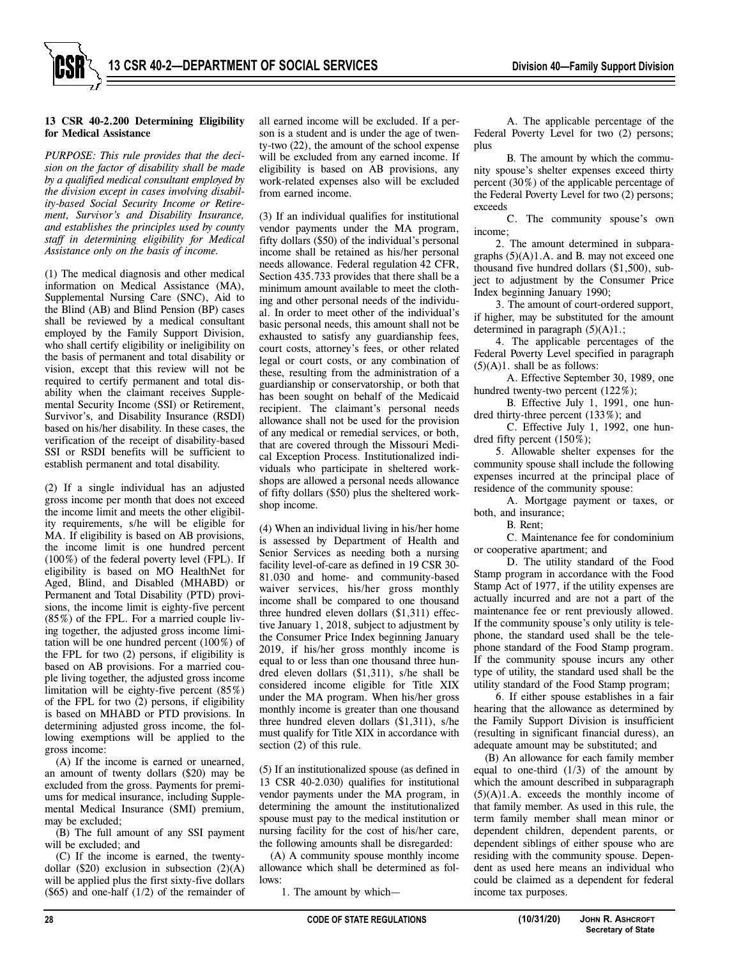#### **13 CSR 40-2.200 Determining Eligibility for Medical Assistance**

*PURPOSE: This rule provides that the decision on the factor of disability shall be made by a qualified medical consultant employed by the division except in cases involving disability-based Social Security Income or Retirement, Survivor's and Disability Insurance, and establishes the principles used by county staff in determining eligibility for Medical Assistance only on the basis of income.* 

(1) The medical diagnosis and other medical information on Medical Assistance (MA), Supplemental Nursing Care (SNC), Aid to the Blind (AB) and Blind Pension (BP) cases shall be reviewed by a medical consultant employed by the Family Support Division, who shall certify eligibility or ineligibility on the basis of permanent and total disability or vision, except that this review will not be required to certify permanent and total disability when the claimant receives Supplemental Security Income (SSI) or Retirement, Survivor's, and Disability Insurance (RSDI) based on his/her disability. In these cases, the verification of the receipt of disability-based SSI or RSDI benefits will be sufficient to establish permanent and total disability.

(2) If a single individual has an adjusted gross income per month that does not exceed the income limit and meets the other eligibility requirements, s/he will be eligible for MA. If eligibility is based on AB provisions, the income limit is one hundred percent (100%) of the federal poverty level (FPL). If eligibility is based on MO HealthNet for Aged, Blind, and Disabled (MHABD) or Permanent and Total Disability (PTD) provisions, the income limit is eighty-five percent (85%) of the FPL. For a married couple living together, the adjusted gross income limitation will be one hundred percent (100%) of the FPL for two (2) persons, if eligibility is based on AB provisions. For a married couple living together, the adjusted gross income limitation will be eighty-five percent (85%) of the FPL for two (2) persons, if eligibility is based on MHABD or PTD provisions. In determining adjusted gross income, the following exemptions will be applied to the gross income:

(A) If the income is earned or unearned, an amount of twenty dollars (\$20) may be excluded from the gross. Payments for premiums for medical insurance, including Supplemental Medical Insurance (SMI) premium, may be excluded;

(B) The full amount of any SSI payment will be excluded; and

(C) If the income is earned, the twentydollar  $(\$20)$  exclusion in subsection  $(2)(A)$ will be applied plus the first sixty-five dollars  $(\$65)$  and one-half  $(1/2)$  of the remainder of all earned income will be excluded. If a person is a student and is under the age of twenty-two (22), the amount of the school expense will be excluded from any earned income. If eligibility is based on AB provisions, any work-related expenses also will be excluded from earned income.

(3) If an individual qualifies for institutional vendor payments under the MA program, fifty dollars (\$50) of the individual's personal income shall be retained as his/her personal needs allowance. Federal regulation 42 CFR, Section 435.733 provides that there shall be a minimum amount available to meet the clothing and other personal needs of the individual. In order to meet other of the individual's basic personal needs, this amount shall not be exhausted to satisfy any guardianship fees, court costs, attorney's fees, or other related legal or court costs, or any combination of these, resulting from the administration of a guardianship or conservatorship, or both that has been sought on behalf of the Medicaid recipient. The claimant's personal needs allowance shall not be used for the provision of any medical or remedial services, or both, that are covered through the Missouri Medical Exception Process. Institutionalized individuals who participate in sheltered workshops are allowed a personal needs allowance of fifty dollars (\$50) plus the sheltered workshop income.

(4) When an individual living in his/her home is assessed by Department of Health and Senior Services as needing both a nursing facility level-of-care as defined in 19 CSR 30- 81.030 and home- and community-based waiver services, his/her gross monthly income shall be compared to one thousand three hundred eleven dollars (\$1,311) effective January 1, 2018, subject to adjustment by the Consumer Price Index beginning January 2019, if his/her gross monthly income is equal to or less than one thousand three hundred eleven dollars (\$1,311), s/he shall be considered income eligible for Title XIX under the MA program. When his/her gross monthly income is greater than one thousand three hundred eleven dollars (\$1,311), s/he must qualify for Title XIX in accordance with section (2) of this rule.

(5) If an institutionalized spouse (as defined in 13 CSR 40-2.030) qualifies for institutional vendor payments under the MA program, in determining the amount the institutionalized spouse must pay to the medical institution or nursing facility for the cost of his/her care, the following amounts shall be disregarded:

(A) A community spouse monthly income allowance which shall be determined as follows:

1. The amount by which—

A. The applicable percentage of the Federal Poverty Level for two (2) persons; plus

B. The amount by which the community spouse's shelter expenses exceed thirty percent (30%) of the applicable percentage of the Federal Poverty Level for two (2) persons; exceeds

C. The community spouse's own income;

2. The amount determined in subparagraphs  $(5)(A)1.A.$  and B. may not exceed one thousand five hundred dollars (\$1,500), subject to adjustment by the Consumer Price Index beginning January 1990;

3. The amount of court-ordered support, if higher, may be substituted for the amount determined in paragraph  $(5)(A)1$ .;

4. The applicable percentages of the Federal Poverty Level specified in paragraph  $(5)(A)1$ . shall be as follows:

A. Effective September 30, 1989, one hundred twenty-two percent (122%);

B. Effective July 1, 1991, one hundred thirty-three percent (133%); and

C. Effective July 1, 1992, one hundred fifty percent (150%);

5. Allowable shelter expenses for the community spouse shall include the following expenses incurred at the principal place of residence of the community spouse:

A. Mortgage payment or taxes, or both, and insurance;

B. Rent;

C. Maintenance fee for condominium or cooperative apartment; and

D. The utility standard of the Food Stamp program in accordance with the Food Stamp Act of 1977, if the utility expenses are actually incurred and are not a part of the maintenance fee or rent previously allowed. If the community spouse's only utility is telephone, the standard used shall be the telephone standard of the Food Stamp program. If the community spouse incurs any other type of utility, the standard used shall be the utility standard of the Food Stamp program;

6. If either spouse establishes in a fair hearing that the allowance as determined by the Family Support Division is insufficient (resulting in significant financial duress), an adequate amount may be substituted; and

(B) An allowance for each family member equal to one-third  $(1/3)$  of the amount by which the amount described in subparagraph  $(5)(A)1.A.$  exceeds the monthly income of that family member. As used in this rule, the term family member shall mean minor or dependent children, dependent parents, or dependent siblings of either spouse who are residing with the community spouse. Dependent as used here means an individual who could be claimed as a dependent for federal income tax purposes.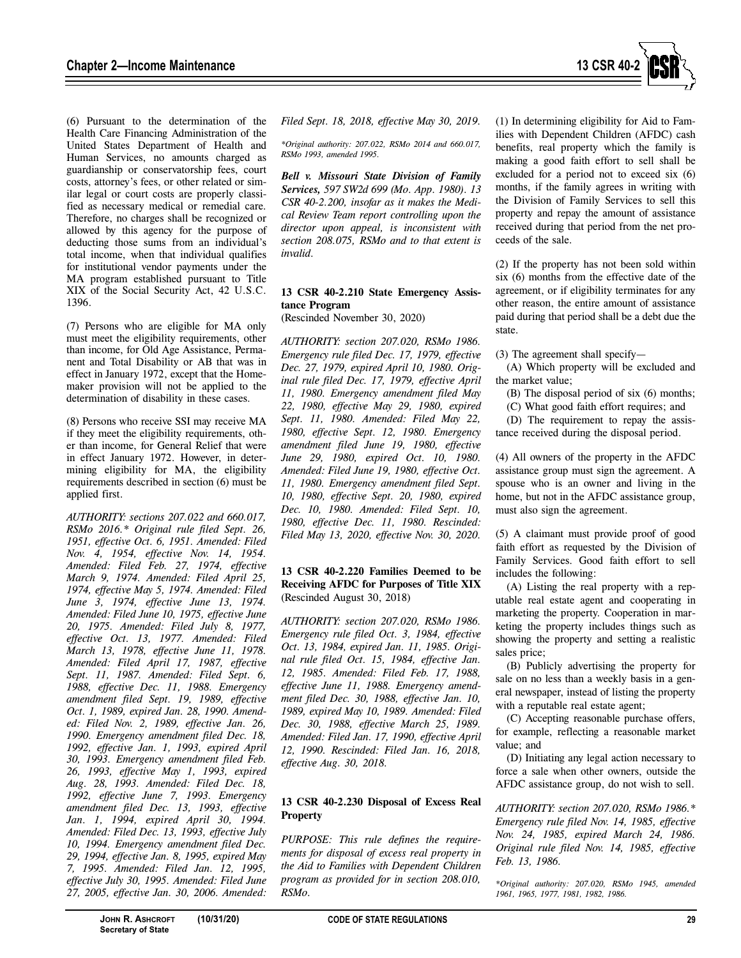

(6) Pursuant to the determination of the Health Care Financing Administration of the United States Department of Health and Human Services, no amounts charged as guardianship or conservatorship fees, court costs, attorney's fees, or other related or similar legal or court costs are properly classified as necessary medical or remedial care. Therefore, no charges shall be recognized or allowed by this agency for the purpose of deducting those sums from an individual's total income, when that individual qualifies for institutional vendor payments under the MA program established pursuant to Title XIX of the Social Security Act, 42 U.S.C. 1396.

(7) Persons who are eligible for MA only must meet the eligibility requirements, other than income, for Old Age Assistance, Permanent and Total Disability or AB that was in effect in January 1972, except that the Homemaker provision will not be applied to the determination of disability in these cases.

(8) Persons who receive SSI may receive MA if they meet the eligibility requirements, other than income, for General Relief that were in effect January 1972. However, in determining eligibility for MA, the eligibility requirements described in section (6) must be applied first.

*AUTHORITY: sections 207.022 and 660.017, RSMo 2016.\* Original rule filed Sept. 26, 1951, effective Oct. 6, 1951. Amended: Filed Nov. 4, 1954, effective Nov. 14, 1954. Amended: Filed Feb. 27, 1974, effective March 9, 1974. Amended: Filed April 25, 1974, effective May 5, 1974. Amended: Filed June 3, 1974, effective June 13, 1974. Amended: Filed June 10, 1975, effective June 20, 1975. Amended: Filed July 8, 1977, effective Oct. 13, 1977. Amended: Filed March 13, 1978, effective June 11, 1978. Amended: Filed April 17, 1987, effective Sept. 11, 1987. Amended: Filed Sept. 6, 1988, effective Dec. 11, 1988. Emergency amendment filed Sept. 19, 1989, effective Oct. 1, 1989, expired Jan. 28, 1990. Amended: Filed Nov. 2, 1989, effective Jan. 26, 1990. Emergency amendment filed Dec. 18, 1992, effective Jan. 1, 1993, expired April 30, 1993. Emergency amendment filed Feb. 26, 1993, effective May 1, 1993, expired Aug. 28, 1993. Amended: Filed Dec. 18, 1992, effective June 7, 1993. Emergency amendment filed Dec. 13, 1993, effective Jan. 1, 1994, expired April 30, 1994. Amended: Filed Dec. 13, 1993, effective July 10, 1994. Emergency amendment filed Dec. 29, 1994, effective Jan. 8, 1995, expired May 7, 1995. Amended: Filed Jan. 12, 1995, effective July 30, 1995. Amended: Filed June 27, 2005, effective Jan. 30, 2006. Amended:* 

*Filed Sept. 18, 2018, effective May 30, 2019.* 

*\*Original authority: 207.022, RSMo 2014 and 660.017, RSMo 1993, amended 1995.* 

*Bell v. Missouri State Division of Family Services, 597 SW2d 699 (Mo. App. 1980). 13 CSR 40-2.200, insofar as it makes the Medical Review Team report controlling upon the director upon appeal, is inconsistent with section 208.075, RSMo and to that extent is invalid.* 

## **13 CSR 40-2.210 State Emergency Assistance Program**

(Rescinded November 30, 2020)

*AUTHORITY: section 207.020, RSMo 1986. Emergency rule filed Dec. 17, 1979, effective Dec. 27, 1979, expired April 10, 1980. Original rule filed Dec. 17, 1979, effective April 11, 1980. Emergency amendment filed May 22, 1980, effective May 29, 1980, expired Sept. 11, 1980. Amended: Filed May 22, 1980, effective Sept. 12, 1980. Emergency amendment filed June 19, 1980, effective June 29, 1980, expired Oct. 10, 1980. Amended: Filed June 19, 1980, effective Oct. 11, 1980. Emergency amendment filed Sept. 10, 1980, effective Sept. 20, 1980, expired Dec. 10, 1980. Amended: Filed Sept. 10, 1980, effective Dec. 11, 1980. Rescinded: Filed May 13, 2020, effective Nov. 30, 2020.* 

# **13 CSR 40-2.220 Families Deemed to be Receiving AFDC for Purposes of Title XIX**  (Rescinded August 30, 2018)

*AUTHORITY: section 207.020, RSMo 1986. Emergency rule filed Oct. 3, 1984, effective Oct. 13, 1984, expired Jan. 11, 1985. Original rule filed Oct. 15, 1984, effective Jan. 12, 1985. Amended: Filed Feb. 17, 1988, effective June 11, 1988. Emergency amendment filed Dec. 30, 1988, effective Jan. 10, 1989, expired May 10, 1989. Amended: Filed Dec. 30, 1988, effective March 25, 1989. Amended: Filed Jan. 17, 1990, effective April 12, 1990. Rescinded: Filed Jan. 16, 2018, effective Aug. 30, 2018.* 

# **13 CSR 40-2.230 Disposal of Excess Real Property**

*PURPOSE: This rule defines the requirements for disposal of excess real property in the Aid to Families with Dependent Children program as provided for in section 208.010, RSMo.* 

(1) In determining eligibility for Aid to Families with Dependent Children (AFDC) cash benefits, real property which the family is making a good faith effort to sell shall be excluded for a period not to exceed six (6) months, if the family agrees in writing with the Division of Family Services to sell this property and repay the amount of assistance received during that period from the net proceeds of the sale.

(2) If the property has not been sold within six (6) months from the effective date of the agreement, or if eligibility terminates for any other reason, the entire amount of assistance paid during that period shall be a debt due the state.

(3) The agreement shall specify—

(A) Which property will be excluded and the market value;

(B) The disposal period of six (6) months;

(C) What good faith effort requires; and

(D) The requirement to repay the assistance received during the disposal period.

(4) All owners of the property in the AFDC assistance group must sign the agreement. A spouse who is an owner and living in the home, but not in the AFDC assistance group, must also sign the agreement.

(5) A claimant must provide proof of good faith effort as requested by the Division of Family Services. Good faith effort to sell includes the following:

(A) Listing the real property with a reputable real estate agent and cooperating in marketing the property. Cooperation in marketing the property includes things such as showing the property and setting a realistic sales price;

(B) Publicly advertising the property for sale on no less than a weekly basis in a general newspaper, instead of listing the property with a reputable real estate agent;

(C) Accepting reasonable purchase offers, for example, reflecting a reasonable market value; and

(D) Initiating any legal action necessary to force a sale when other owners, outside the AFDC assistance group, do not wish to sell.

*AUTHORITY: section 207.020, RSMo 1986.\* Emergency rule filed Nov. 14, 1985, effective Nov. 24, 1985, expired March 24, 1986. Original rule filed Nov. 14, 1985, effective Feb. 13, 1986.* 

*\*Original authority: 207.020, RSMo 1945, amended 1961, 1965, 1977, 1981, 1982, 1986.*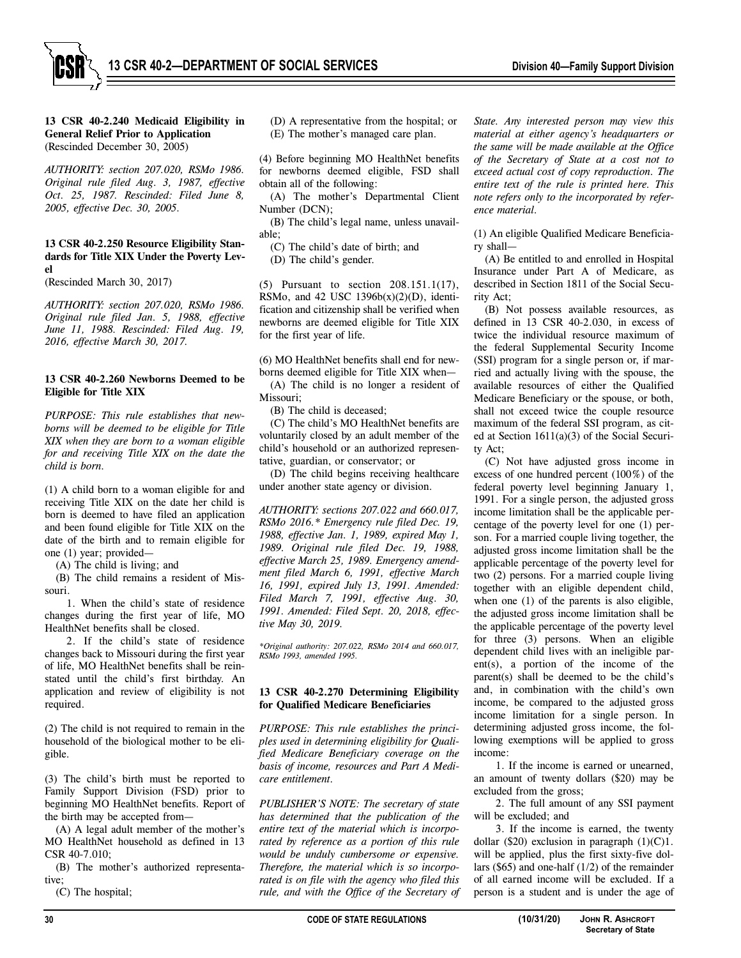

**13 CSR 40-2.240 Medicaid Eligibility in General Relief Prior to Application**  (Rescinded December 30, 2005)

*AUTHORITY: section 207.020, RSMo 1986. Original rule filed Aug. 3, 1987, effective Oct. 25, 1987. Rescinded: Filed June 8, 2005, effective Dec. 30, 2005.* 

## **13 CSR 40-2.250 Resource Eligibility Standards for Title XIX Under the Poverty Level**

(Rescinded March 30, 2017)

*AUTHORITY: section 207.020, RSMo 1986. Original rule filed Jan. 5, 1988, effective June 11, 1988. Rescinded: Filed Aug. 19, 2016, effective March 30, 2017.* 

### **13 CSR 40-2.260 Newborns Deemed to be Eligible for Title XIX**

*PURPOSE: This rule establishes that newborns will be deemed to be eligible for Title XIX when they are born to a woman eligible for and receiving Title XIX on the date the child is born.* 

(1) A child born to a woman eligible for and receiving Title XIX on the date her child is born is deemed to have filed an application and been found eligible for Title XIX on the date of the birth and to remain eligible for one (1) year; provided—

(A) The child is living; and

(B) The child remains a resident of Missouri.

1. When the child's state of residence changes during the first year of life, MO HealthNet benefits shall be closed.

2. If the child's state of residence changes back to Missouri during the first year of life, MO HealthNet benefits shall be reinstated until the child's first birthday. An application and review of eligibility is not required.

(2) The child is not required to remain in the household of the biological mother to be eligible.

(3) The child's birth must be reported to Family Support Division (FSD) prior to beginning MO HealthNet benefits. Report of the birth may be accepted from—

(A) A legal adult member of the mother's MO HealthNet household as defined in 13 CSR 40-7.010;

(B) The mother's authorized representative;

(C) The hospital;

(D) A representative from the hospital; or (E) The mother's managed care plan.

(4) Before beginning MO HealthNet benefits for newborns deemed eligible, FSD shall obtain all of the following:

(A) The mother's Departmental Client Number (DCN);

(B) The child's legal name, unless unavailable;

(C) The child's date of birth; and

(D) The child's gender.

(5) Pursuant to section 208.151.1(17), RSMo, and 42 USC  $1396b(x)(2)(D)$ , identification and citizenship shall be verified when newborns are deemed eligible for Title XIX for the first year of life.

(6) MO HealthNet benefits shall end for newborns deemed eligible for Title XIX when—

(A) The child is no longer a resident of Missouri<sup>:</sup>

(B) The child is deceased;

(C) The child's MO HealthNet benefits are voluntarily closed by an adult member of the child's household or an authorized representative, guardian, or conservator; or

(D) The child begins receiving healthcare under another state agency or division.

*AUTHORITY: sections 207.022 and 660.017, RSMo 2016.\* Emergency rule filed Dec. 19, 1988, effective Jan. 1, 1989, expired May 1, 1989. Original rule filed Dec. 19, 1988, effective March 25, 1989. Emergency amendment filed March 6, 1991, effective March 16, 1991, expired July 13, 1991. Amended: Filed March 7, 1991, effective Aug. 30, 1991. Amended: Filed Sept. 20, 2018, effective May 30, 2019.* 

*\*Original authority: 207.022, RSMo 2014 and 660.017, RSMo 1993, amended 1995.* 

#### **13 CSR 40-2.270 Determining Eligibility for Qualified Medicare Beneficiaries**

*PURPOSE: This rule establishes the principles used in determining eligibility for Qualified Medicare Beneficiary coverage on the basis of income, resources and Part A Medicare entitlement.* 

*PUBLISHER'S NOTE: The secretary of state has determined that the publication of the entire text of the material which is incorporated by reference as a portion of this rule would be unduly cumbersome or expensive. Therefore, the material which is so incorporated is on file with the agency who filed this rule, and with the Office of the Secretary of* 

*State. Any interested person may view this material at either agency's headquarters or the same will be made available at the Office of the Secretary of State at a cost not to exceed actual cost of copy reproduction. The entire text of the rule is printed here. This note refers only to the incorporated by reference material.* 

(1) An eligible Qualified Medicare Beneficiary shall—

(A) Be entitled to and enrolled in Hospital Insurance under Part A of Medicare, as described in Section 1811 of the Social Security Act;

(B) Not possess available resources, as defined in 13 CSR 40-2.030, in excess of twice the individual resource maximum of the federal Supplemental Security Income (SSI) program for a single person or, if married and actually living with the spouse, the available resources of either the Qualified Medicare Beneficiary or the spouse, or both, shall not exceed twice the couple resource maximum of the federal SSI program, as cited at Section 1611(a)(3) of the Social Security Act;

(C) Not have adjusted gross income in excess of one hundred percent (100%) of the federal poverty level beginning January 1, 1991. For a single person, the adjusted gross income limitation shall be the applicable percentage of the poverty level for one (1) person. For a married couple living together, the adjusted gross income limitation shall be the applicable percentage of the poverty level for two (2) persons. For a married couple living together with an eligible dependent child, when one (1) of the parents is also eligible, the adjusted gross income limitation shall be the applicable percentage of the poverty level for three (3) persons. When an eligible dependent child lives with an ineligible parent(s), a portion of the income of the parent(s) shall be deemed to be the child's and, in combination with the child's own income, be compared to the adjusted gross income limitation for a single person. In determining adjusted gross income, the following exemptions will be applied to gross income:

1. If the income is earned or unearned, an amount of twenty dollars (\$20) may be excluded from the gross;

2. The full amount of any SSI payment will be excluded; and

3. If the income is earned, the twenty dollar (\$20) exclusion in paragraph  $(1)(C)1$ . will be applied, plus the first sixty-five dollars (\$65) and one-half (1/2) of the remainder of all earned income will be excluded. If a person is a student and is under the age of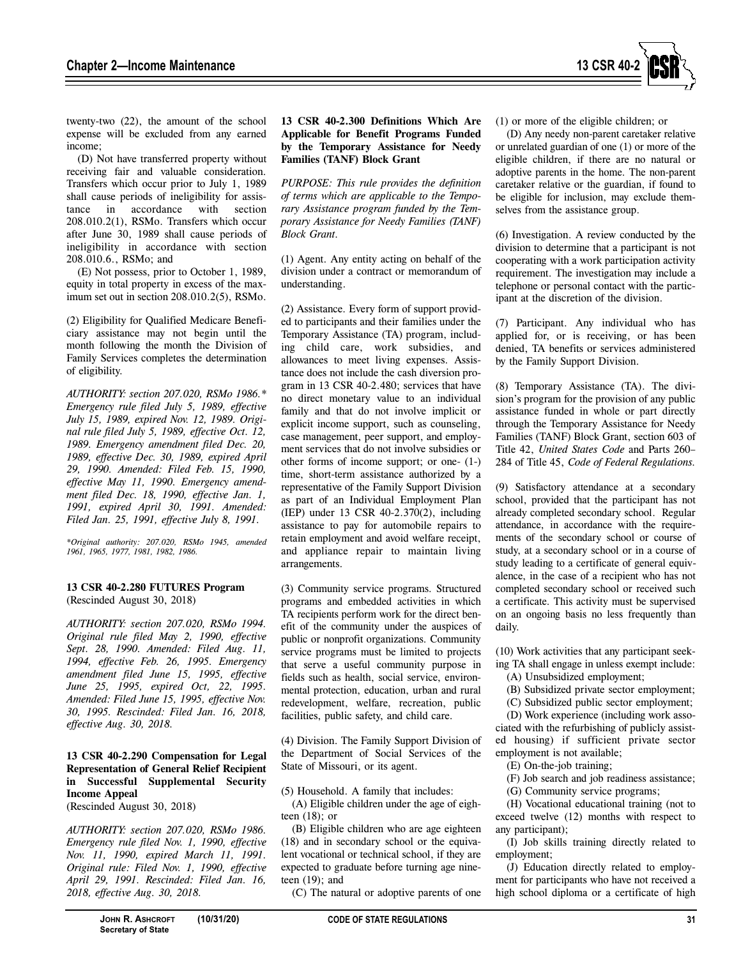

twenty-two (22), the amount of the school expense will be excluded from any earned income;

(D) Not have transferred property without receiving fair and valuable consideration. Transfers which occur prior to July 1, 1989 shall cause periods of ineligibility for assistance in accordance with section 208.010.2(1), RSMo. Transfers which occur after June 30, 1989 shall cause periods of ineligibility in accordance with section 208.010.6., RSMo; and

(E) Not possess, prior to October 1, 1989, equity in total property in excess of the maximum set out in section 208.010.2(5), RSMo.

(2) Eligibility for Qualified Medicare Beneficiary assistance may not begin until the month following the month the Division of Family Services completes the determination of eligibility.

*AUTHORITY: section 207.020, RSMo 1986.\* Emergency rule filed July 5, 1989, effective July 15, 1989, expired Nov. 12, 1989. Original rule filed July 5, 1989, effective Oct. 12, 1989. Emergency amendment filed Dec. 20, 1989, effective Dec. 30, 1989, expired April 29, 1990. Amended: Filed Feb. 15, 1990, effective May 11, 1990. Emergency amendment filed Dec. 18, 1990, effective Jan. 1, 1991, expired April 30, 1991. Amended: Filed Jan. 25, 1991, effective July 8, 1991.* 

*\*Original authority: 207.020, RSMo 1945, amended 1961, 1965, 1977, 1981, 1982, 1986.* 

#### **13 CSR 40-2.280 FUTURES Program**  (Rescinded August 30, 2018)

*AUTHORITY: section 207.020, RSMo 1994. Original rule filed May 2, 1990, effective Sept. 28, 1990. Amended: Filed Aug. 11, 1994, effective Feb. 26, 1995. Emergency amendment filed June 15, 1995, effective June 25, 1995, expired Oct, 22, 1995. Amended: Filed June 15, 1995, effective Nov. 30, 1995. Rescinded: Filed Jan. 16, 2018, effective Aug. 30, 2018.* 

# **13 CSR 40-2.290 Compensation for Legal Representation of General Relief Recipient in Successful Supplemental Security Income Appeal**

(Rescinded August 30, 2018)

*AUTHORITY: section 207.020, RSMo 1986. Emergency rule filed Nov. 1, 1990, effective Nov. 11, 1990, expired March 11, 1991. Original rule: Filed Nov. 1, 1990, effective April 29, 1991. Rescinded: Filed Jan. 16, 2018, effective Aug. 30, 2018.* 

# **13 CSR 40-2.300 Definitions Which Are Applicable for Benefit Programs Funded by the Temporary Assistance for Needy Families (TANF) Block Grant**

*PURPOSE: This rule provides the definition of terms which are applicable to the Temporary Assistance program funded by the Temporary Assistance for Needy Families (TANF) Block Grant.* 

(1) Agent. Any entity acting on behalf of the division under a contract or memorandum of understanding.

(2) Assistance. Every form of support provided to participants and their families under the Temporary Assistance (TA) program, including child care, work subsidies, and allowances to meet living expenses. Assistance does not include the cash diversion program in 13 CSR 40-2.480; services that have no direct monetary value to an individual family and that do not involve implicit or explicit income support, such as counseling, case management, peer support, and employment services that do not involve subsidies or other forms of income support; or one- (1-) time, short-term assistance authorized by a representative of the Family Support Division as part of an Individual Employment Plan (IEP) under 13 CSR 40-2.370(2), including assistance to pay for automobile repairs to retain employment and avoid welfare receipt, and appliance repair to maintain living arrangements.

(3) Community service programs. Structured programs and embedded activities in which TA recipients perform work for the direct benefit of the community under the auspices of public or nonprofit organizations. Community service programs must be limited to projects that serve a useful community purpose in fields such as health, social service, environmental protection, education, urban and rural redevelopment, welfare, recreation, public facilities, public safety, and child care.

(4) Division. The Family Support Division of the Department of Social Services of the State of Missouri, or its agent.

(5) Household. A family that includes:

(A) Eligible children under the age of eighteen (18); or

(B) Eligible children who are age eighteen (18) and in secondary school or the equivalent vocational or technical school, if they are expected to graduate before turning age nineteen (19); and

(C) The natural or adoptive parents of one

(1) or more of the eligible children; or

(D) Any needy non-parent caretaker relative or unrelated guardian of one (1) or more of the eligible children, if there are no natural or adoptive parents in the home. The non-parent caretaker relative or the guardian, if found to be eligible for inclusion, may exclude themselves from the assistance group.

(6) Investigation. A review conducted by the division to determine that a participant is not cooperating with a work participation activity requirement. The investigation may include a telephone or personal contact with the participant at the discretion of the division.

(7) Participant. Any individual who has applied for, or is receiving, or has been denied, TA benefits or services administered by the Family Support Division.

(8) Temporary Assistance (TA). The division's program for the provision of any public assistance funded in whole or part directly through the Temporary Assistance for Needy Families (TANF) Block Grant, section 603 of Title 42, *United States Code* and Parts 260– 284 of Title 45, *Code of Federal Regulations.*

(9) Satisfactory attendance at a secondary school, provided that the participant has not already completed secondary school. Regular attendance, in accordance with the requirements of the secondary school or course of study, at a secondary school or in a course of study leading to a certificate of general equivalence, in the case of a recipient who has not completed secondary school or received such a certificate. This activity must be supervised on an ongoing basis no less frequently than daily.

(10) Work activities that any participant seeking TA shall engage in unless exempt include:

- (A) Unsubsidized employment;
- (B) Subsidized private sector employment;

(C) Subsidized public sector employment;

(D) Work experience (including work associated with the refurbishing of publicly assisted housing) if sufficient private sector employment is not available;

(E) On-the-job training;

(F) Job search and job readiness assistance;

(G) Community service programs;

(H) Vocational educational training (not to exceed twelve (12) months with respect to any participant);

(I) Job skills training directly related to employment;

(J) Education directly related to employment for participants who have not received a high school diploma or a certificate of high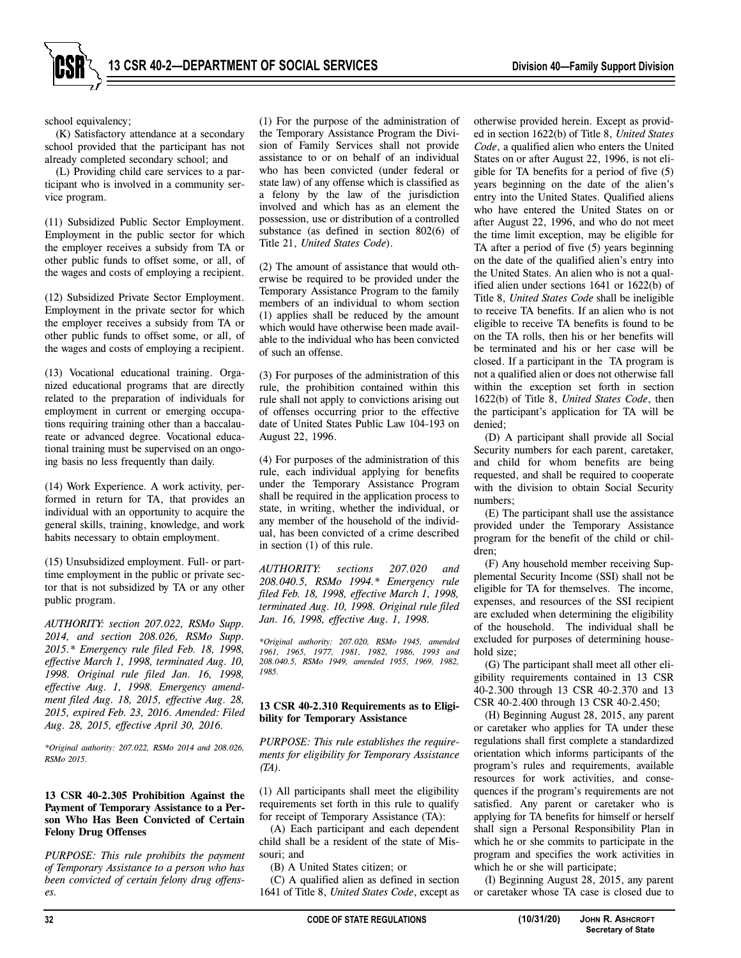

school equivalency;

(K) Satisfactory attendance at a secondary school provided that the participant has not already completed secondary school; and

(L) Providing child care services to a participant who is involved in a community service program.

(11) Subsidized Public Sector Employment. Employment in the public sector for which the employer receives a subsidy from TA or other public funds to offset some, or all, of the wages and costs of employing a recipient.

(12) Subsidized Private Sector Employment. Employment in the private sector for which the employer receives a subsidy from TA or other public funds to offset some, or all, of the wages and costs of employing a recipient.

(13) Vocational educational training. Organized educational programs that are directly related to the preparation of individuals for employment in current or emerging occupations requiring training other than a baccalaureate or advanced degree. Vocational educational training must be supervised on an ongoing basis no less frequently than daily.

(14) Work Experience. A work activity, performed in return for TA, that provides an individual with an opportunity to acquire the general skills, training, knowledge, and work habits necessary to obtain employment.

(15) Unsubsidized employment. Full- or parttime employment in the public or private sector that is not subsidized by TA or any other public program.

*AUTHORITY: section 207.022, RSMo Supp. 2014, and section 208.026, RSMo Supp. 2015.\* Emergency rule filed Feb. 18, 1998, effective March 1, 1998, terminated Aug. 10, 1998. Original rule filed Jan. 16, 1998, effective Aug. 1, 1998. Emergency amendment filed Aug. 18, 2015, effective Aug. 28, 2015, expired Feb. 23, 2016. Amended: Filed Aug. 28, 2015, effective April 30, 2016.*

*\*Original authority: 207.022, RSMo 2014 and 208.026, RSMo 2015.*

# **13 CSR 40-2.305 Prohibition Against the Payment of Temporary Assistance to a Person Who Has Been Convicted of Certain Felony Drug Offenses**

*PURPOSE: This rule prohibits the payment of Temporary Assistance to a person who has been convicted of certain felony drug offenses.*

(1) For the purpose of the administration of the Temporary Assistance Program the Division of Family Services shall not provide assistance to or on behalf of an individual who has been convicted (under federal or state law) of any offense which is classified as a felony by the law of the jurisdiction involved and which has as an element the possession, use or distribution of a controlled substance (as defined in section 802(6) of Title 21, *United States Code*).

(2) The amount of assistance that would otherwise be required to be provided under the Temporary Assistance Program to the family members of an individual to whom section (1) applies shall be reduced by the amount which would have otherwise been made available to the individual who has been convicted of such an offense.

(3) For purposes of the administration of this rule, the prohibition contained within this rule shall not apply to convictions arising out of offenses occurring prior to the effective date of United States Public Law 104-193 on August 22, 1996.

(4) For purposes of the administration of this rule, each individual applying for benefits under the Temporary Assistance Program shall be required in the application process to state, in writing, whether the individual, or any member of the household of the individual, has been convicted of a crime described in section (1) of this rule.

*AUTHORITY: sections 207.020 and 208.040.5, RSMo 1994.\* Emergency rule filed Feb. 18, 1998, effective March 1, 1998, terminated Aug. 10, 1998. Original rule filed Jan. 16, 1998, effective Aug. 1, 1998.* 

*\*Original authority: 207.020, RSMo 1945, amended 1961, 1965, 1977, 1981, 1982, 1986, 1993 and 208.040.5, RSMo 1949, amended 1955, 1969, 1982, 1985.* 

# **13 CSR 40-2.310 Requirements as to Eligibility for Temporary Assistance**

*PURPOSE: This rule establishes the requirements for eligibility for Temporary Assistance (TA).* 

(1) All participants shall meet the eligibility requirements set forth in this rule to qualify for receipt of Temporary Assistance (TA):

(A) Each participant and each dependent child shall be a resident of the state of Missouri; and

(B) A United States citizen; or

(C) A qualified alien as defined in section 1641 of Title 8, *United States Code*, except as otherwise provided herein. Except as provided in section 1622(b) of Title 8, *United States Code*, a qualified alien who enters the United States on or after August 22, 1996, is not eligible for TA benefits for a period of five (5) years beginning on the date of the alien's entry into the United States. Qualified aliens who have entered the United States on or after August 22, 1996, and who do not meet the time limit exception, may be eligible for TA after a period of five (5) years beginning on the date of the qualified alien's entry into the United States. An alien who is not a qualified alien under sections 1641 or 1622(b) of Title 8, *United States Code* shall be ineligible to receive TA benefits. If an alien who is not eligible to receive TA benefits is found to be on the TA rolls, then his or her benefits will be terminated and his or her case will be closed. If a participant in the TA program is not a qualified alien or does not otherwise fall within the exception set forth in section 1622(b) of Title 8, *United States Code*, then the participant's application for TA will be denied;

(D) A participant shall provide all Social Security numbers for each parent, caretaker, and child for whom benefits are being requested, and shall be required to cooperate with the division to obtain Social Security numbers;

(E) The participant shall use the assistance provided under the Temporary Assistance program for the benefit of the child or children;

(F) Any household member receiving Supplemental Security Income (SSI) shall not be eligible for TA for themselves. The income, expenses, and resources of the SSI recipient are excluded when determining the eligibility of the household. The individual shall be excluded for purposes of determining household size;

(G) The participant shall meet all other eligibility requirements contained in 13 CSR 40-2.300 through 13 CSR 40-2.370 and 13 CSR 40-2.400 through 13 CSR 40-2.450;

(H) Beginning August 28, 2015, any parent or caretaker who applies for TA under these regulations shall first complete a standardized orientation which informs participants of the program's rules and requirements, available resources for work activities, and consequences if the program's requirements are not satisfied. Any parent or caretaker who is applying for TA benefits for himself or herself shall sign a Personal Responsibility Plan in which he or she commits to participate in the program and specifies the work activities in which he or she will participate;

(I) Beginning August 28, 2015, any parent or caretaker whose TA case is closed due to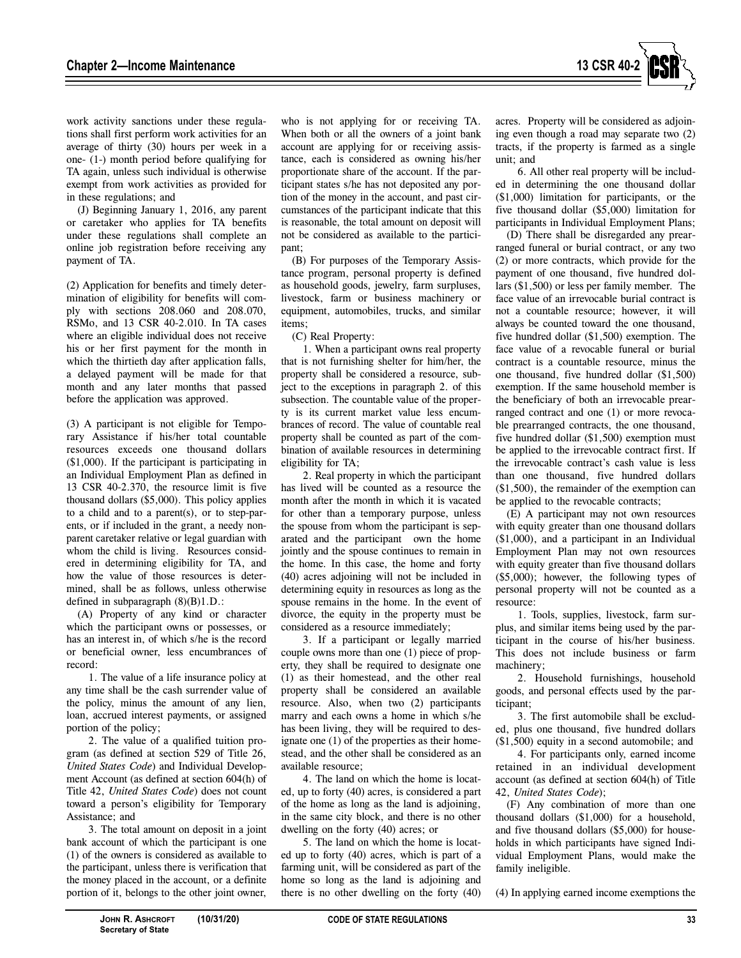

work activity sanctions under these regulations shall first perform work activities for an average of thirty (30) hours per week in a one- (1-) month period before qualifying for TA again, unless such individual is otherwise exempt from work activities as provided for in these regulations; and

(J) Beginning January 1, 2016, any parent or caretaker who applies for TA benefits under these regulations shall complete an online job registration before receiving any payment of TA.

(2) Application for benefits and timely determination of eligibility for benefits will comply with sections 208.060 and 208.070, RSMo, and 13 CSR 40-2.010. In TA cases where an eligible individual does not receive his or her first payment for the month in which the thirtieth day after application falls, a delayed payment will be made for that month and any later months that passed before the application was approved.

(3) A participant is not eligible for Temporary Assistance if his/her total countable resources exceeds one thousand dollars (\$1,000). If the participant is participating in an Individual Employment Plan as defined in 13 CSR 40-2.370, the resource limit is five thousand dollars (\$5,000). This policy applies to a child and to a parent(s), or to step-parents, or if included in the grant, a needy nonparent caretaker relative or legal guardian with whom the child is living. Resources considered in determining eligibility for TA, and how the value of those resources is determined, shall be as follows, unless otherwise defined in subparagraph (8)(B)1.D.:

(A) Property of any kind or character which the participant owns or possesses, or has an interest in, of which s/he is the record or beneficial owner, less encumbrances of record:

1. The value of a life insurance policy at any time shall be the cash surrender value of the policy, minus the amount of any lien, loan, accrued interest payments, or assigned portion of the policy;

2. The value of a qualified tuition program (as defined at section 529 of Title 26, *United States Code*) and Individual Development Account (as defined at section 604(h) of Title 42, *United States Code*) does not count toward a person's eligibility for Temporary Assistance; and

3. The total amount on deposit in a joint bank account of which the participant is one (1) of the owners is considered as available to the participant, unless there is verification that the money placed in the account, or a definite portion of it, belongs to the other joint owner,

who is not applying for or receiving TA. When both or all the owners of a joint bank account are applying for or receiving assistance, each is considered as owning his/her proportionate share of the account. If the participant states s/he has not deposited any portion of the money in the account, and past circumstances of the participant indicate that this is reasonable, the total amount on deposit will not be considered as available to the participant;

(B) For purposes of the Temporary Assistance program, personal property is defined as household goods, jewelry, farm surpluses, livestock, farm or business machinery or equipment, automobiles, trucks, and similar items;

(C) Real Property:

1. When a participant owns real property that is not furnishing shelter for him/her, the property shall be considered a resource, subject to the exceptions in paragraph 2. of this subsection. The countable value of the property is its current market value less encumbrances of record. The value of countable real property shall be counted as part of the combination of available resources in determining eligibility for TA;

2. Real property in which the participant has lived will be counted as a resource the month after the month in which it is vacated for other than a temporary purpose, unless the spouse from whom the participant is separated and the participant own the home jointly and the spouse continues to remain in the home. In this case, the home and forty (40) acres adjoining will not be included in determining equity in resources as long as the spouse remains in the home. In the event of divorce, the equity in the property must be considered as a resource immediately;

3. If a participant or legally married couple owns more than one (1) piece of property, they shall be required to designate one (1) as their homestead, and the other real property shall be considered an available resource. Also, when two (2) participants marry and each owns a home in which s/he has been living, they will be required to designate one (1) of the properties as their homestead, and the other shall be considered as an available resource;

4. The land on which the home is located, up to forty (40) acres, is considered a part of the home as long as the land is adjoining, in the same city block, and there is no other dwelling on the forty (40) acres; or

5. The land on which the home is located up to forty (40) acres, which is part of a farming unit, will be considered as part of the home so long as the land is adjoining and there is no other dwelling on the forty (40) acres. Property will be considered as adjoining even though a road may separate two (2) tracts, if the property is farmed as a single unit; and

6. All other real property will be included in determining the one thousand dollar (\$1,000) limitation for participants, or the five thousand dollar (\$5,000) limitation for participants in Individual Employment Plans;

(D) There shall be disregarded any prearranged funeral or burial contract, or any two (2) or more contracts, which provide for the payment of one thousand, five hundred dollars (\$1,500) or less per family member. The face value of an irrevocable burial contract is not a countable resource; however, it will always be counted toward the one thousand, five hundred dollar (\$1,500) exemption. The face value of a revocable funeral or burial contract is a countable resource, minus the one thousand, five hundred dollar (\$1,500) exemption. If the same household member is the beneficiary of both an irrevocable prearranged contract and one (1) or more revocable prearranged contracts, the one thousand, five hundred dollar (\$1,500) exemption must be applied to the irrevocable contract first. If the irrevocable contract's cash value is less than one thousand, five hundred dollars (\$1,500), the remainder of the exemption can be applied to the revocable contracts;

(E) A participant may not own resources with equity greater than one thousand dollars (\$1,000), and a participant in an Individual Employment Plan may not own resources with equity greater than five thousand dollars (\$5,000); however, the following types of personal property will not be counted as a resource:

1. Tools, supplies, livestock, farm surplus, and similar items being used by the participant in the course of his/her business. This does not include business or farm machinery;

2. Household furnishings, household goods, and personal effects used by the participant;

3. The first automobile shall be excluded, plus one thousand, five hundred dollars (\$1,500) equity in a second automobile; and

4. For participants only, earned income retained in an individual development account (as defined at section 604(h) of Title 42, *United States Code*);

(F) Any combination of more than one thousand dollars (\$1,000) for a household, and five thousand dollars (\$5,000) for households in which participants have signed Individual Employment Plans, would make the family ineligible.

(4) In applying earned income exemptions the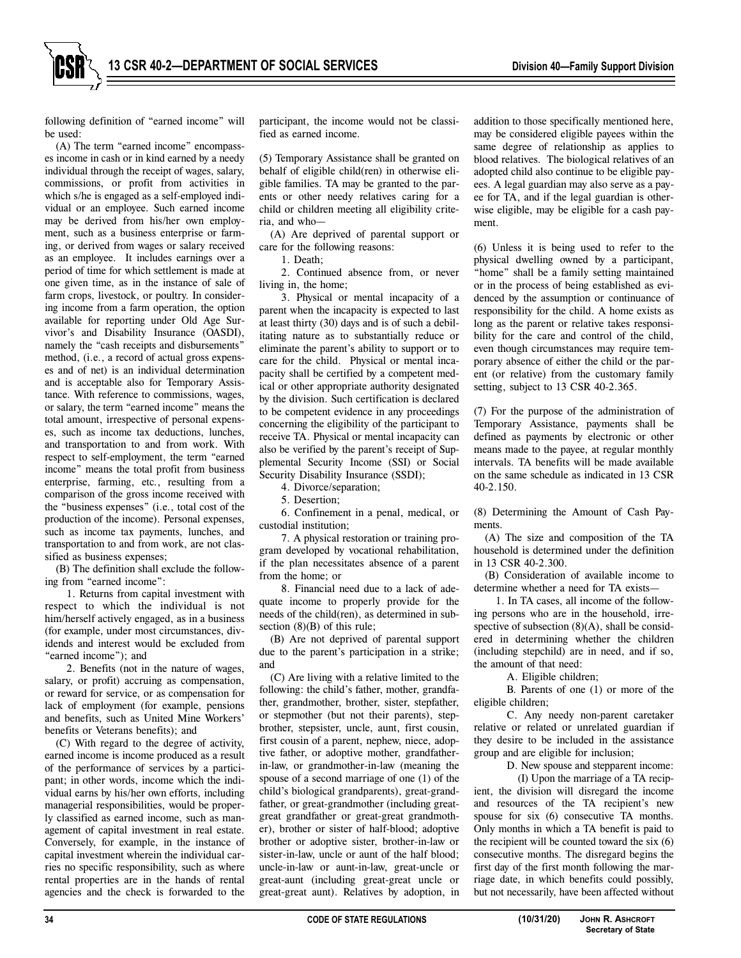following definition of "earned income" will be used:

(A) The term "earned income" encompasses income in cash or in kind earned by a needy individual through the receipt of wages, salary, commissions, or profit from activities in which s/he is engaged as a self-employed individual or an employee. Such earned income may be derived from his/her own employment, such as a business enterprise or farming, or derived from wages or salary received as an employee. It includes earnings over a period of time for which settlement is made at one given time, as in the instance of sale of farm crops, livestock, or poultry. In considering income from a farm operation, the option available for reporting under Old Age Survivor's and Disability Insurance (OASDI), namely the "cash receipts and disbursements" method, (i.e., a record of actual gross expenses and of net) is an individual determination and is acceptable also for Temporary Assistance. With reference to commissions, wages, or salary, the term "earned income" means the total amount, irrespective of personal expenses, such as income tax deductions, lunches, and transportation to and from work. With respect to self-employment, the term "earned income" means the total profit from business enterprise, farming, etc., resulting from a comparison of the gross income received with the "business expenses" (i.e., total cost of the production of the income). Personal expenses, such as income tax payments, lunches, and transportation to and from work, are not classified as business expenses;

(B) The definition shall exclude the following from "earned income":

1. Returns from capital investment with respect to which the individual is not him/herself actively engaged, as in a business (for example, under most circumstances, dividends and interest would be excluded from "earned income"); and

2. Benefits (not in the nature of wages, salary, or profit) accruing as compensation, or reward for service, or as compensation for lack of employment (for example, pensions and benefits, such as United Mine Workers' benefits or Veterans benefits); and

(C) With regard to the degree of activity, earned income is income produced as a result of the performance of services by a participant; in other words, income which the individual earns by his/her own efforts, including managerial responsibilities, would be properly classified as earned income, such as management of capital investment in real estate. Conversely, for example, in the instance of capital investment wherein the individual carries no specific responsibility, such as where rental properties are in the hands of rental agencies and the check is forwarded to the

participant, the income would not be classified as earned income.

(5) Temporary Assistance shall be granted on behalf of eligible child(ren) in otherwise eligible families. TA may be granted to the parents or other needy relatives caring for a child or children meeting all eligibility criteria, and who—

(A) Are deprived of parental support or care for the following reasons:

1. Death;

2. Continued absence from, or never living in, the home;

3. Physical or mental incapacity of a parent when the incapacity is expected to last at least thirty (30) days and is of such a debilitating nature as to substantially reduce or eliminate the parent's ability to support or to care for the child. Physical or mental incapacity shall be certified by a competent medical or other appropriate authority designated by the division. Such certification is declared to be competent evidence in any proceedings concerning the eligibility of the participant to receive TA. Physical or mental incapacity can also be verified by the parent's receipt of Supplemental Security Income (SSI) or Social Security Disability Insurance (SSDI);

4. Divorce/separation;

5. Desertion;

6. Confinement in a penal, medical, or custodial institution;

7. A physical restoration or training program developed by vocational rehabilitation, if the plan necessitates absence of a parent from the home; or

8. Financial need due to a lack of adequate income to properly provide for the needs of the child(ren), as determined in subsection  $(8)(B)$  of this rule;

(B) Are not deprived of parental support due to the parent's participation in a strike; and

(C) Are living with a relative limited to the following: the child's father, mother, grandfather, grandmother, brother, sister, stepfather, or stepmother (but not their parents), stepbrother, stepsister, uncle, aunt, first cousin, first cousin of a parent, nephew, niece, adoptive father, or adoptive mother, grandfatherin-law, or grandmother-in-law (meaning the spouse of a second marriage of one (1) of the child's biological grandparents), great-grandfather, or great-grandmother (including greatgreat grandfather or great-great grandmother), brother or sister of half-blood; adoptive brother or adoptive sister, brother-in-law or sister-in-law, uncle or aunt of the half blood; uncle-in-law or aunt-in-law, great-uncle or great-aunt (including great-great uncle or great-great aunt). Relatives by adoption, in

addition to those specifically mentioned here, may be considered eligible payees within the same degree of relationship as applies to blood relatives. The biological relatives of an adopted child also continue to be eligible payees. A legal guardian may also serve as a payee for TA, and if the legal guardian is otherwise eligible, may be eligible for a cash payment.

(6) Unless it is being used to refer to the physical dwelling owned by a participant, "home" shall be a family setting maintained or in the process of being established as evidenced by the assumption or continuance of responsibility for the child. A home exists as long as the parent or relative takes responsibility for the care and control of the child, even though circumstances may require temporary absence of either the child or the parent (or relative) from the customary family setting, subject to 13 CSR 40-2.365.

(7) For the purpose of the administration of Temporary Assistance, payments shall be defined as payments by electronic or other means made to the payee, at regular monthly intervals. TA benefits will be made available on the same schedule as indicated in 13 CSR 40-2.150.

(8) Determining the Amount of Cash Payments.

(A) The size and composition of the TA household is determined under the definition in 13 CSR 40-2.300.

(B) Consideration of available income to determine whether a need for TA exists—

1. In TA cases, all income of the following persons who are in the household, irrespective of subsection  $(8)(A)$ , shall be considered in determining whether the children (including stepchild) are in need, and if so, the amount of that need:

A. Eligible children;

B. Parents of one (1) or more of the eligible children;

C. Any needy non-parent caretaker relative or related or unrelated guardian if they desire to be included in the assistance group and are eligible for inclusion;

D. New spouse and stepparent income:

(I) Upon the marriage of a TA recipient, the division will disregard the income and resources of the TA recipient's new spouse for six  $(6)$  consecutive TA months. Only months in which a TA benefit is paid to the recipient will be counted toward the six (6) consecutive months. The disregard begins the first day of the first month following the marriage date, in which benefits could possibly, but not necessarily, have been affected without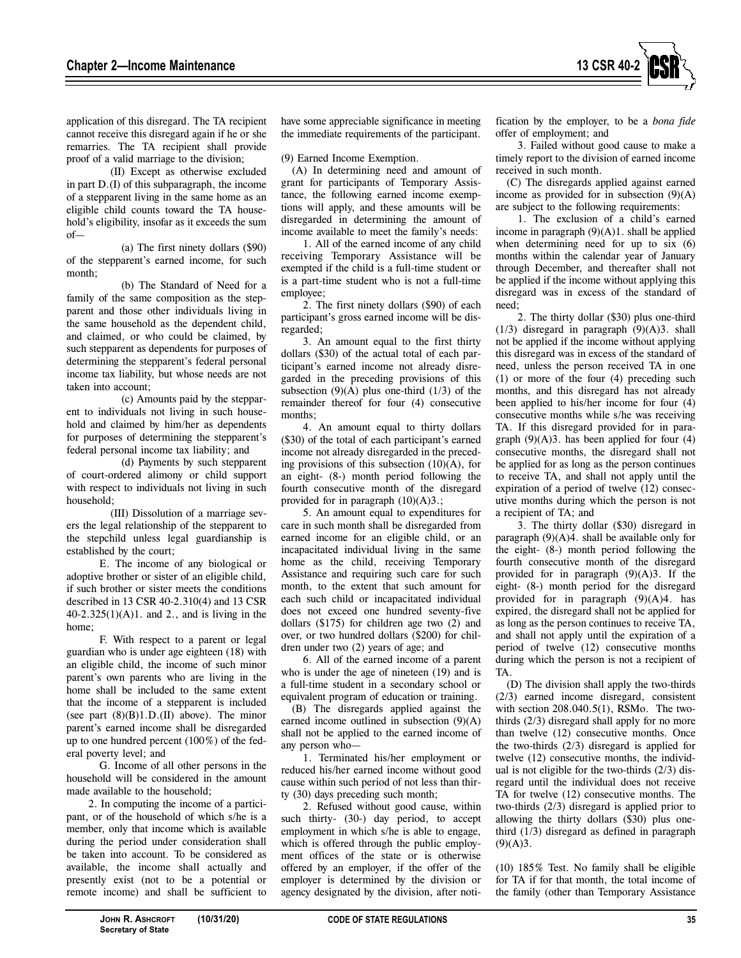

application of this disregard. The TA recipient cannot receive this disregard again if he or she remarries. The TA recipient shall provide proof of a valid marriage to the division;

(II) Except as otherwise excluded in part D.(I) of this subparagraph, the income of a stepparent living in the same home as an eligible child counts toward the TA household's eligibility, insofar as it exceeds the sum of—

(a) The first ninety dollars (\$90) of the stepparent's earned income, for such month;

(b) The Standard of Need for a family of the same composition as the stepparent and those other individuals living in the same household as the dependent child, and claimed, or who could be claimed, by such stepparent as dependents for purposes of determining the stepparent's federal personal income tax liability, but whose needs are not taken into account;

(c) Amounts paid by the stepparent to individuals not living in such household and claimed by him/her as dependents for purposes of determining the stepparent's federal personal income tax liability; and

(d) Payments by such stepparent of court-ordered alimony or child support with respect to individuals not living in such household;

(III) Dissolution of a marriage severs the legal relationship of the stepparent to the stepchild unless legal guardianship is established by the court;

E. The income of any biological or adoptive brother or sister of an eligible child, if such brother or sister meets the conditions described in 13 CSR 40-2.310(4) and 13 CSR 40-2.325(1)(A)1. and 2., and is living in the home;

F. With respect to a parent or legal guardian who is under age eighteen (18) with an eligible child, the income of such minor parent's own parents who are living in the home shall be included to the same extent that the income of a stepparent is included (see part  $(8)(B)1.D.(II)$  above). The minor parent's earned income shall be disregarded up to one hundred percent (100%) of the federal poverty level; and

G. Income of all other persons in the household will be considered in the amount made available to the household;

2. In computing the income of a participant, or of the household of which s/he is a member, only that income which is available during the period under consideration shall be taken into account. To be considered as available, the income shall actually and presently exist (not to be a potential or remote income) and shall be sufficient to have some appreciable significance in meeting the immediate requirements of the participant.

(9) Earned Income Exemption.

(A) In determining need and amount of grant for participants of Temporary Assistance, the following earned income exemptions will apply, and these amounts will be disregarded in determining the amount of income available to meet the family's needs:

1. All of the earned income of any child receiving Temporary Assistance will be exempted if the child is a full-time student or is a part-time student who is not a full-time employee;

2. The first ninety dollars (\$90) of each participant's gross earned income will be disregarded;

3. An amount equal to the first thirty dollars (\$30) of the actual total of each participant's earned income not already disregarded in the preceding provisions of this subsection  $(9)(A)$  plus one-third  $(1/3)$  of the remainder thereof for four (4) consecutive months;

4. An amount equal to thirty dollars (\$30) of the total of each participant's earned income not already disregarded in the preceding provisions of this subsection (10)(A), for an eight- (8-) month period following the fourth consecutive month of the disregard provided for in paragraph  $(10)(A)3$ .;

5. An amount equal to expenditures for care in such month shall be disregarded from earned income for an eligible child, or an incapacitated individual living in the same home as the child, receiving Temporary Assistance and requiring such care for such month, to the extent that such amount for each such child or incapacitated individual does not exceed one hundred seventy-five dollars (\$175) for children age two (2) and over, or two hundred dollars (\$200) for children under two (2) years of age; and

6. All of the earned income of a parent who is under the age of nineteen (19) and is a full-time student in a secondary school or equivalent program of education or training.

(B) The disregards applied against the earned income outlined in subsection (9)(A) shall not be applied to the earned income of any person who—

1. Terminated his/her employment or reduced his/her earned income without good cause within such period of not less than thirty (30) days preceding such month;

2. Refused without good cause, within such thirty- (30-) day period, to accept employment in which s/he is able to engage, which is offered through the public employment offices of the state or is otherwise offered by an employer, if the offer of the employer is determined by the division or agency designated by the division, after noti-

fication by the employer, to be a *bona fide*  offer of employment; and

3. Failed without good cause to make a timely report to the division of earned income received in such month.

(C) The disregards applied against earned income as provided for in subsection  $(9)(A)$ are subject to the following requirements:

1. The exclusion of a child's earned income in paragraph (9)(A)1. shall be applied when determining need for up to six  $(6)$ months within the calendar year of January through December, and thereafter shall not be applied if the income without applying this disregard was in excess of the standard of need;

2. The thirty dollar (\$30) plus one-third  $(1/3)$  disregard in paragraph  $(9)(A)3$ . shall not be applied if the income without applying this disregard was in excess of the standard of need, unless the person received TA in one (1) or more of the four (4) preceding such months, and this disregard has not already been applied to his/her income for four (4) consecutive months while s/he was receiving TA. If this disregard provided for in paragraph  $(9)(A)3$ . has been applied for four  $(4)$ consecutive months, the disregard shall not be applied for as long as the person continues to receive TA, and shall not apply until the expiration of a period of twelve (12) consecutive months during which the person is not a recipient of TA; and

3. The thirty dollar (\$30) disregard in paragraph  $(9)(A)$ 4. shall be available only for the eight- (8-) month period following the fourth consecutive month of the disregard provided for in paragraph (9)(A)3. If the eight- (8-) month period for the disregard provided for in paragraph (9)(A)4. has expired, the disregard shall not be applied for as long as the person continues to receive TA, and shall not apply until the expiration of a period of twelve (12) consecutive months during which the person is not a recipient of TA.

(D) The division shall apply the two-thirds (2/3) earned income disregard, consistent with section 208.040.5(1), RSMo. The twothirds (2/3) disregard shall apply for no more than twelve (12) consecutive months. Once the two-thirds (2/3) disregard is applied for twelve (12) consecutive months, the individual is not eligible for the two-thirds (2/3) disregard until the individual does not receive TA for twelve (12) consecutive months. The two-thirds (2/3) disregard is applied prior to allowing the thirty dollars (\$30) plus onethird (1/3) disregard as defined in paragraph  $(9)(A)3$ .

(10) 185% Test. No family shall be eligible for TA if for that month, the total income of the family (other than Temporary Assistance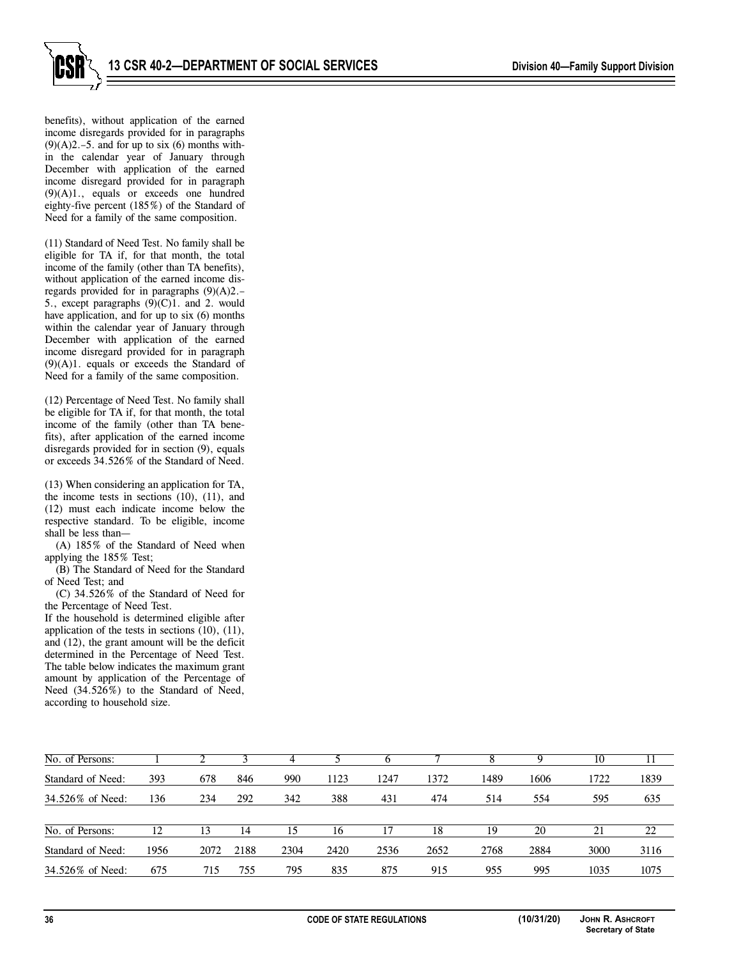

benefits), without application of the earned income disregards provided for in paragraphs  $(9)(A)2.-5.$  and for up to six  $(6)$  months within the calendar year of January through December with application of the earned income disregard provided for in paragraph (9)(A)1., equals or exceeds one hundred eighty-five percent (185%) of the Standard of Need for a family of the same composition.

(11) Standard of Need Test. No family shall be eligible for TA if, for that month, the total income of the family (other than TA benefits), without application of the earned income disregards provided for in paragraphs (9)(A)2.– 5., except paragraphs  $(9)(C)1$ . and 2. would have application, and for up to six (6) months within the calendar year of January through December with application of the earned income disregard provided for in paragraph  $(9)(A)1$ . equals or exceeds the Standard of Need for a family of the same composition.

(12) Percentage of Need Test. No family shall be eligible for TA if, for that month, the total income of the family (other than TA benefits), after application of the earned income disregards provided for in section (9), equals or exceeds 34.526% of the Standard of Need.

(13) When considering an application for TA, the income tests in sections (10), (11), and (12) must each indicate income below the respective standard. To be eligible, income shall be less than—

(A) 185% of the Standard of Need when applying the 185% Test;

(B) The Standard of Need for the Standard of Need Test; and

(C) 34.526% of the Standard of Need for the Percentage of Need Test.

If the household is determined eligible after application of the tests in sections (10), (11), and (12), the grant amount will be the deficit determined in the Percentage of Need Test. The table below indicates the maximum grant amount by application of the Percentage of Need (34.526%) to the Standard of Need, according to household size.

| No. of Persons:   |      |      |      |      |      |      |      |      |      |      |      |
|-------------------|------|------|------|------|------|------|------|------|------|------|------|
| Standard of Need: | 393  | 678  | 846  | 990  | 1123 | 1247 | 1372 | 1489 | 1606 | 1722 | 1839 |
| 34.526% of Need:  | 136  | 234  | 292  | 342  | 388  | 431  | 474  | 514  | 554  | 595  | 635  |
| No. of Persons:   | 12   | 13   | 14   | 15   | 16   |      | 18   | 19   | 20   | 21   | 22   |
| Standard of Need: | 1956 | 2072 | 2188 | 2304 | 2420 | 2536 | 2652 | 2768 | 2884 | 3000 | 3116 |
| 34.526\% of Need: | 675  | 715  | 755  | 795  | 835  | 875  | 915  | 955  | 995  | 1035 | 1075 |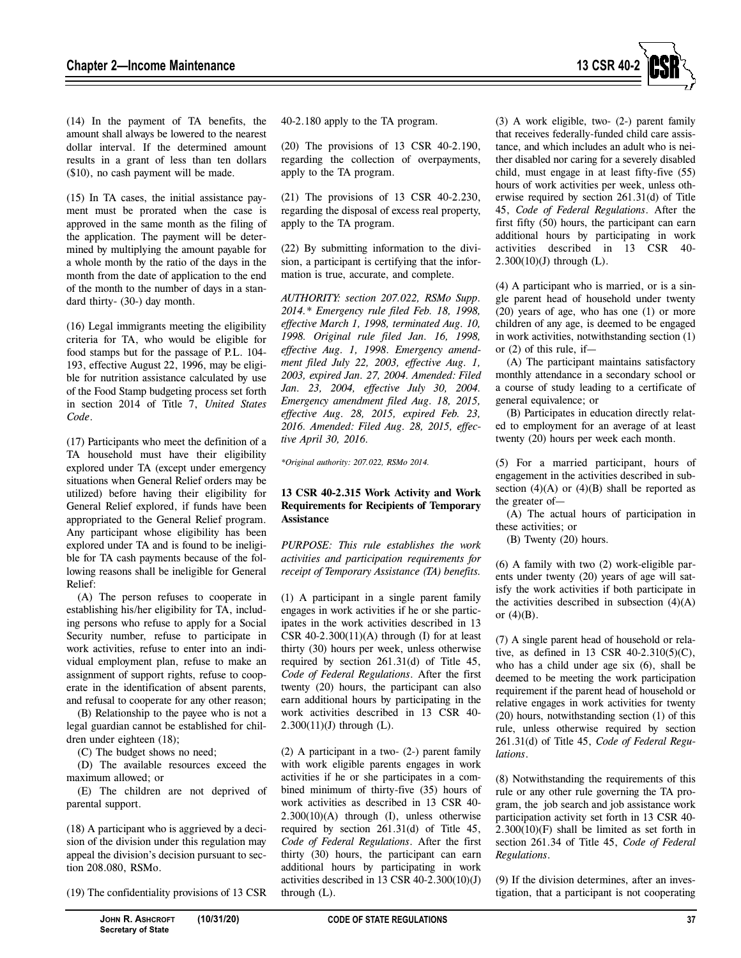

(14) In the payment of TA benefits, the amount shall always be lowered to the nearest dollar interval. If the determined amount results in a grant of less than ten dollars (\$10), no cash payment will be made.

(15) In TA cases, the initial assistance payment must be prorated when the case is approved in the same month as the filing of the application. The payment will be determined by multiplying the amount payable for a whole month by the ratio of the days in the month from the date of application to the end of the month to the number of days in a standard thirty- (30-) day month.

(16) Legal immigrants meeting the eligibility criteria for TA, who would be eligible for food stamps but for the passage of P.L. 104- 193, effective August 22, 1996, may be eligible for nutrition assistance calculated by use of the Food Stamp budgeting process set forth in section 2014 of Title 7, *United States Code*.

(17) Participants who meet the definition of a TA household must have their eligibility explored under TA (except under emergency situations when General Relief orders may be utilized) before having their eligibility for General Relief explored, if funds have been appropriated to the General Relief program. Any participant whose eligibility has been explored under TA and is found to be ineligible for TA cash payments because of the following reasons shall be ineligible for General Relief:

(A) The person refuses to cooperate in establishing his/her eligibility for TA, including persons who refuse to apply for a Social Security number, refuse to participate in work activities, refuse to enter into an individual employment plan, refuse to make an assignment of support rights, refuse to cooperate in the identification of absent parents, and refusal to cooperate for any other reason;

(B) Relationship to the payee who is not a legal guardian cannot be established for children under eighteen (18);

(C) The budget shows no need;

(D) The available resources exceed the maximum allowed; or

(E) The children are not deprived of parental support.

(18) A participant who is aggrieved by a decision of the division under this regulation may appeal the division's decision pursuant to section 208.080, RSMo.

(19) The confidentiality provisions of 13 CSR

(20) The provisions of 13 CSR 40-2.190, regarding the collection of overpayments, apply to the TA program.

(21) The provisions of 13 CSR 40-2.230, regarding the disposal of excess real property, apply to the TA program.

(22) By submitting information to the division, a participant is certifying that the information is true, accurate, and complete.

*AUTHORITY: section 207.022, RSMo Supp. 2014.\* Emergency rule filed Feb. 18, 1998, effective March 1, 1998, terminated Aug. 10, 1998. Original rule filed Jan. 16, 1998, effective Aug. 1, 1998*. *Emergency amendment filed July 22, 2003, effective Aug. 1, 2003, expired Jan. 27, 2004. Amended: Filed Jan. 23, 2004, effective July 30, 2004. Emergency amendment filed Aug. 18, 2015, effective Aug. 28, 2015, expired Feb. 23, 2016. Amended: Filed Aug. 28, 2015, effective April 30, 2016.* 

*\*Original authority: 207.022, RSMo 2014.* 

## **13 CSR 40-2.315 Work Activity and Work Requirements for Recipients of Temporary Assistance**

*PURPOSE: This rule establishes the work activities and participation requirements for receipt of Temporary Assistance (TA) benefits.* 

(1) A participant in a single parent family engages in work activities if he or she participates in the work activities described in 13 CSR  $40-2.300(11)(A)$  through (I) for at least thirty (30) hours per week, unless otherwise required by section 261.31(d) of Title 45, *Code of Federal Regulations*. After the first twenty (20) hours, the participant can also earn additional hours by participating in the work activities described in 13 CSR 40- 2.300(11)(J) through (L).

(2) A participant in a two- (2-) parent family with work eligible parents engages in work activities if he or she participates in a combined minimum of thirty-five (35) hours of work activities as described in 13 CSR 40- 2.300(10)(A) through (I), unless otherwise required by section 261.31(d) of Title 45, *Code of Federal Regulations*. After the first thirty (30) hours, the participant can earn additional hours by participating in work activities described in 13 CSR 40-2.300(10)(J) through (L).

(3) A work eligible, two- (2-) parent family that receives federally-funded child care assistance, and which includes an adult who is neither disabled nor caring for a severely disabled child, must engage in at least fifty-five (55) hours of work activities per week, unless otherwise required by section 261.31(d) of Title 45, *Code of Federal Regulations*. After the first fifty (50) hours, the participant can earn additional hours by participating in work activities described in 13 CSR 40-  $2.300(10)(J)$  through (L).

(4) A participant who is married, or is a single parent head of household under twenty (20) years of age, who has one (1) or more children of any age, is deemed to be engaged in work activities, notwithstanding section (1) or  $(2)$  of this rule, if-

(A) The participant maintains satisfactory monthly attendance in a secondary school or a course of study leading to a certificate of general equivalence; or

(B) Participates in education directly related to employment for an average of at least twenty (20) hours per week each month.

(5) For a married participant, hours of engagement in the activities described in subsection  $(4)(A)$  or  $(4)(B)$  shall be reported as the greater of—

(A) The actual hours of participation in these activities; or

(B) Twenty (20) hours.

(6) A family with two (2) work-eligible parents under twenty (20) years of age will satisfy the work activities if both participate in the activities described in subsection  $(4)(A)$ or  $(4)(B)$ .

(7) A single parent head of household or relative, as defined in 13 CSR 40-2.310(5)(C), who has a child under age six  $(6)$ , shall be deemed to be meeting the work participation requirement if the parent head of household or relative engages in work activities for twenty (20) hours, notwithstanding section (1) of this rule, unless otherwise required by section 261.31(d) of Title 45, *Code of Federal Regulations*.

(8) Notwithstanding the requirements of this rule or any other rule governing the TA program, the job search and job assistance work participation activity set forth in 13 CSR 40- 2.300(10)(F) shall be limited as set forth in section 261.34 of Title 45, *Code of Federal Regulations*.

(9) If the division determines, after an investigation, that a participant is not cooperating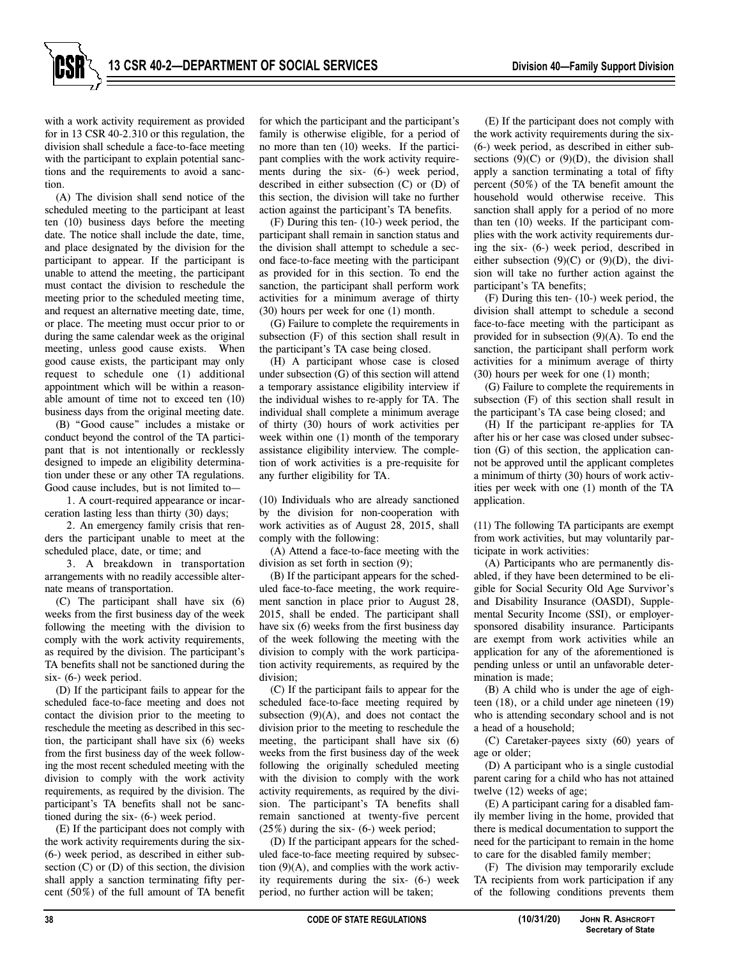

with a work activity requirement as provided for in 13 CSR 40-2.310 or this regulation, the division shall schedule a face-to-face meeting with the participant to explain potential sanctions and the requirements to avoid a sanction.

(A) The division shall send notice of the scheduled meeting to the participant at least ten (10) business days before the meeting date. The notice shall include the date, time, and place designated by the division for the participant to appear. If the participant is unable to attend the meeting, the participant must contact the division to reschedule the meeting prior to the scheduled meeting time, and request an alternative meeting date, time, or place. The meeting must occur prior to or during the same calendar week as the original meeting, unless good cause exists. When good cause exists, the participant may only request to schedule one (1) additional appointment which will be within a reasonable amount of time not to exceed ten (10) business days from the original meeting date.

(B) "Good cause" includes a mistake or conduct beyond the control of the TA participant that is not intentionally or recklessly designed to impede an eligibility determination under these or any other TA regulations. Good cause includes, but is not limited to—

1. A court-required appearance or incarceration lasting less than thirty (30) days;

2. An emergency family crisis that renders the participant unable to meet at the scheduled place, date, or time; and

3. A breakdown in transportation arrangements with no readily accessible alternate means of transportation.

(C) The participant shall have six (6) weeks from the first business day of the week following the meeting with the division to comply with the work activity requirements, as required by the division. The participant's TA benefits shall not be sanctioned during the six- (6-) week period.

(D) If the participant fails to appear for the scheduled face-to-face meeting and does not contact the division prior to the meeting to reschedule the meeting as described in this section, the participant shall have six (6) weeks from the first business day of the week following the most recent scheduled meeting with the division to comply with the work activity requirements, as required by the division. The participant's TA benefits shall not be sanctioned during the six- (6-) week period.

(E) If the participant does not comply with the work activity requirements during the six- (6-) week period, as described in either subsection  $(C)$  or  $(D)$  of this section, the division shall apply a sanction terminating fifty percent (50%) of the full amount of TA benefit for which the participant and the participant's family is otherwise eligible, for a period of no more than ten (10) weeks. If the participant complies with the work activity requirements during the six- (6-) week period, described in either subsection (C) or (D) of this section, the division will take no further action against the participant's TA benefits.

(F) During this ten- (10-) week period, the participant shall remain in sanction status and the division shall attempt to schedule a second face-to-face meeting with the participant as provided for in this section. To end the sanction, the participant shall perform work activities for a minimum average of thirty (30) hours per week for one (1) month.

(G) Failure to complete the requirements in subsection (F) of this section shall result in the participant's TA case being closed.

(H) A participant whose case is closed under subsection (G) of this section will attend a temporary assistance eligibility interview if the individual wishes to re-apply for TA. The individual shall complete a minimum average of thirty (30) hours of work activities per week within one (1) month of the temporary assistance eligibility interview. The completion of work activities is a pre-requisite for any further eligibility for TA.

(10) Individuals who are already sanctioned by the division for non-cooperation with work activities as of August 28, 2015, shall comply with the following:

(A) Attend a face-to-face meeting with the division as set forth in section (9);

(B) If the participant appears for the scheduled face-to-face meeting, the work requirement sanction in place prior to August 28, 2015, shall be ended. The participant shall have six (6) weeks from the first business day of the week following the meeting with the division to comply with the work participation activity requirements, as required by the division;

(C) If the participant fails to appear for the scheduled face-to-face meeting required by subsection  $(9)(A)$ , and does not contact the division prior to the meeting to reschedule the meeting, the participant shall have six (6) weeks from the first business day of the week following the originally scheduled meeting with the division to comply with the work activity requirements, as required by the division. The participant's TA benefits shall remain sanctioned at twenty-five percent (25%) during the six- (6-) week period;

(D) If the participant appears for the scheduled face-to-face meeting required by subsection (9)(A), and complies with the work activity requirements during the six- (6-) week period, no further action will be taken;

(E) If the participant does not comply with the work activity requirements during the six- (6-) week period, as described in either subsections  $(9)(C)$  or  $(9)(D)$ , the division shall apply a sanction terminating a total of fifty percent (50%) of the TA benefit amount the household would otherwise receive. This sanction shall apply for a period of no more than ten (10) weeks. If the participant complies with the work activity requirements during the six- (6-) week period, described in either subsection  $(9)(C)$  or  $(9)(D)$ , the division will take no further action against the participant's TA benefits;

(F) During this ten- (10-) week period, the division shall attempt to schedule a second face-to-face meeting with the participant as provided for in subsection  $(9)(A)$ . To end the sanction, the participant shall perform work activities for a minimum average of thirty (30) hours per week for one (1) month;

(G) Failure to complete the requirements in subsection (F) of this section shall result in the participant's TA case being closed; and

(H) If the participant re-applies for TA after his or her case was closed under subsection (G) of this section, the application cannot be approved until the applicant completes a minimum of thirty (30) hours of work activities per week with one (1) month of the TA application.

(11) The following TA participants are exempt from work activities, but may voluntarily participate in work activities:

(A) Participants who are permanently disabled, if they have been determined to be eligible for Social Security Old Age Survivor's and Disability Insurance (OASDI), Supplemental Security Income (SSI), or employersponsored disability insurance. Participants are exempt from work activities while an application for any of the aforementioned is pending unless or until an unfavorable determination is made;

(B) A child who is under the age of eighteen (18), or a child under age nineteen (19) who is attending secondary school and is not a head of a household;

(C) Caretaker-payees sixty (60) years of age or older;

(D) A participant who is a single custodial parent caring for a child who has not attained twelve (12) weeks of age;

(E) A participant caring for a disabled family member living in the home, provided that there is medical documentation to support the need for the participant to remain in the home to care for the disabled family member;

(F) The division may temporarily exclude TA recipients from work participation if any of the following conditions prevents them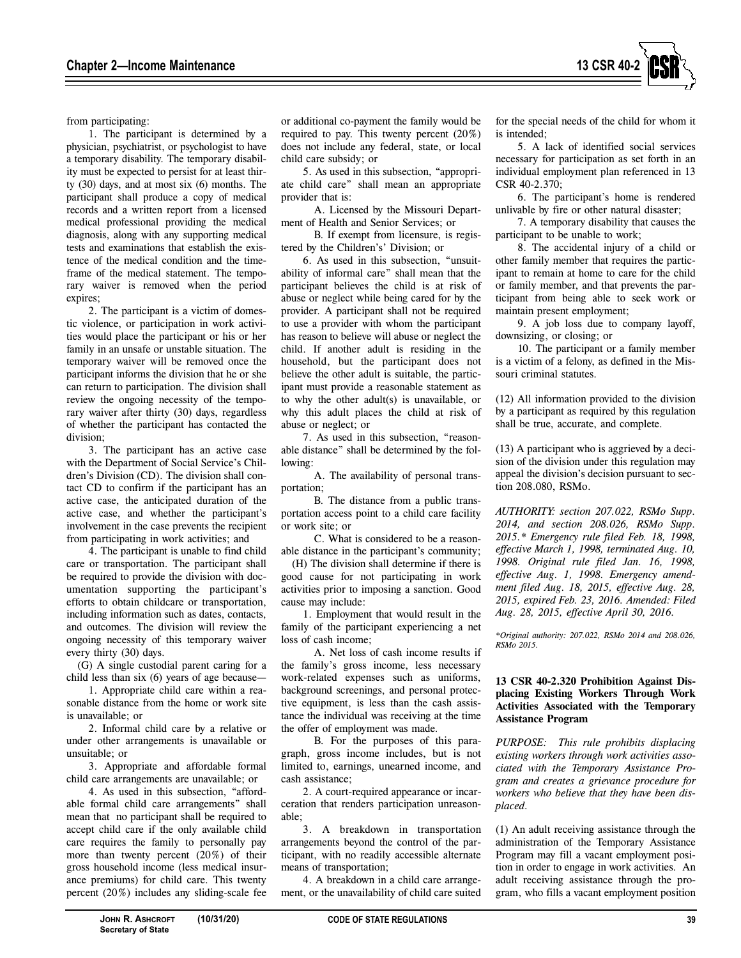

from participating:

1. The participant is determined by a physician, psychiatrist, or psychologist to have a temporary disability. The temporary disability must be expected to persist for at least thirty (30) days, and at most six (6) months. The participant shall produce a copy of medical records and a written report from a licensed medical professional providing the medical diagnosis, along with any supporting medical tests and examinations that establish the existence of the medical condition and the timeframe of the medical statement. The temporary waiver is removed when the period expires;

2. The participant is a victim of domestic violence, or participation in work activities would place the participant or his or her family in an unsafe or unstable situation. The temporary waiver will be removed once the participant informs the division that he or she can return to participation. The division shall review the ongoing necessity of the temporary waiver after thirty (30) days, regardless of whether the participant has contacted the division;

3. The participant has an active case with the Department of Social Service's Children's Division (CD). The division shall contact CD to confirm if the participant has an active case, the anticipated duration of the active case, and whether the participant's involvement in the case prevents the recipient from participating in work activities; and

4. The participant is unable to find child care or transportation. The participant shall be required to provide the division with documentation supporting the participant's efforts to obtain childcare or transportation, including information such as dates, contacts, and outcomes. The division will review the ongoing necessity of this temporary waiver every thirty (30) days.

(G) A single custodial parent caring for a child less than six (6) years of age because—

1. Appropriate child care within a reasonable distance from the home or work site is unavailable; or

2. Informal child care by a relative or under other arrangements is unavailable or unsuitable; or

3. Appropriate and affordable formal child care arrangements are unavailable; or

4. As used in this subsection, "affordable formal child care arrangements" shall mean that no participant shall be required to accept child care if the only available child care requires the family to personally pay more than twenty percent (20%) of their gross household income (less medical insurance premiums) for child care. This twenty percent (20%) includes any sliding-scale fee

or additional co-payment the family would be required to pay. This twenty percent (20%) does not include any federal, state, or local child care subsidy; or

5. As used in this subsection, "appropriate child care" shall mean an appropriate provider that is:

A. Licensed by the Missouri Department of Health and Senior Services; or

B. If exempt from licensure, is registered by the Children's' Division; or

6. As used in this subsection, "unsuitability of informal care" shall mean that the participant believes the child is at risk of abuse or neglect while being cared for by the provider. A participant shall not be required to use a provider with whom the participant has reason to believe will abuse or neglect the child. If another adult is residing in the household, but the participant does not believe the other adult is suitable, the participant must provide a reasonable statement as to why the other adult(s) is unavailable, or why this adult places the child at risk of abuse or neglect; or

7. As used in this subsection, "reasonable distance" shall be determined by the following:

A. The availability of personal transportation;

B. The distance from a public transportation access point to a child care facility or work site; or

C. What is considered to be a reasonable distance in the participant's community;

(H) The division shall determine if there is good cause for not participating in work activities prior to imposing a sanction. Good cause may include:

1. Employment that would result in the family of the participant experiencing a net loss of cash income;

A. Net loss of cash income results if the family's gross income, less necessary work-related expenses such as uniforms, background screenings, and personal protective equipment, is less than the cash assistance the individual was receiving at the time the offer of employment was made.

B. For the purposes of this paragraph, gross income includes, but is not limited to, earnings, unearned income, and cash assistance;

2. A court-required appearance or incarceration that renders participation unreasonable;

3. A breakdown in transportation arrangements beyond the control of the participant, with no readily accessible alternate means of transportation;

4. A breakdown in a child care arrangement, or the unavailability of child care suited for the special needs of the child for whom it is intended;

5. A lack of identified social services necessary for participation as set forth in an individual employment plan referenced in 13 CSR 40-2.370;

6. The participant's home is rendered unlivable by fire or other natural disaster;

7. A temporary disability that causes the participant to be unable to work;

8. The accidental injury of a child or other family member that requires the participant to remain at home to care for the child or family member, and that prevents the participant from being able to seek work or maintain present employment;

9. A job loss due to company layoff, downsizing, or closing; or

10. The participant or a family member is a victim of a felony, as defined in the Missouri criminal statutes.

(12) All information provided to the division by a participant as required by this regulation shall be true, accurate, and complete.

(13) A participant who is aggrieved by a decision of the division under this regulation may appeal the division's decision pursuant to section 208.080, RSMo.

*AUTHORITY: section 207.022, RSMo Supp. 2014, and section 208.026, RSMo Supp. 2015.\* Emergency rule filed Feb. 18, 1998, effective March 1, 1998, terminated Aug. 10, 1998. Original rule filed Jan. 16, 1998, effective Aug. 1, 1998. Emergency amendment filed Aug. 18, 2015, effective Aug. 28, 2015, expired Feb. 23, 2016. Amended: Filed Aug. 28, 2015, effective April 30, 2016.* 

*\*Original authority: 207.022, RSMo 2014 and 208.026, RSMo 2015.* 

# **13 CSR 40-2.320 Prohibition Against Displacing Existing Workers Through Work Activities Associated with the Temporary Assistance Program**

*PURPOSE: This rule prohibits displacing existing workers through work activities associated with the Temporary Assistance Program and creates a grievance procedure for workers who believe that they have been displaced.* 

(1) An adult receiving assistance through the administration of the Temporary Assistance Program may fill a vacant employment position in order to engage in work activities. An adult receiving assistance through the program, who fills a vacant employment position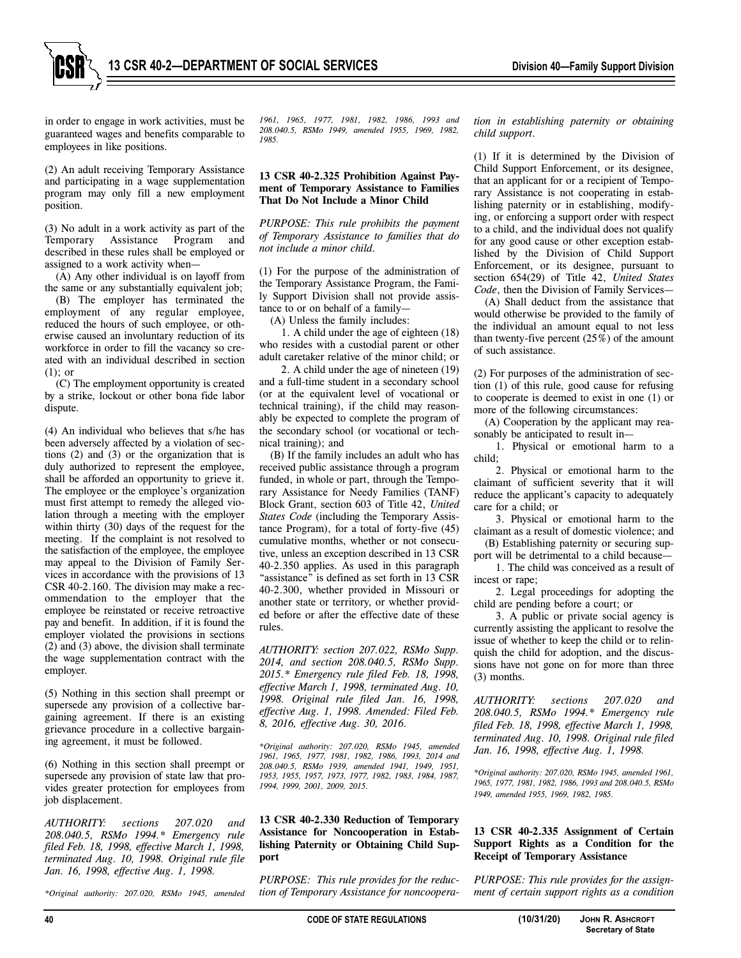

in order to engage in work activities, must be guaranteed wages and benefits comparable to employees in like positions.

(2) An adult receiving Temporary Assistance and participating in a wage supplementation program may only fill a new employment position.

(3) No adult in a work activity as part of the Temporary Assistance Program and described in these rules shall be employed or assigned to a work activity when—

(A) Any other individual is on layoff from the same or any substantially equivalent job;

(B) The employer has terminated the employment of any regular employee, reduced the hours of such employee, or otherwise caused an involuntary reduction of its workforce in order to fill the vacancy so created with an individual described in section (1); or

(C) The employment opportunity is created by a strike, lockout or other bona fide labor dispute.

(4) An individual who believes that s/he has been adversely affected by a violation of sections (2) and (3) or the organization that is duly authorized to represent the employee, shall be afforded an opportunity to grieve it. The employee or the employee's organization must first attempt to remedy the alleged violation through a meeting with the employer within thirty (30) days of the request for the meeting. If the complaint is not resolved to the satisfaction of the employee, the employee may appeal to the Division of Family Services in accordance with the provisions of 13 CSR 40-2.160. The division may make a recommendation to the employer that the employee be reinstated or receive retroactive pay and benefit. In addition, if it is found the employer violated the provisions in sections (2) and (3) above, the division shall terminate the wage supplementation contract with the employer.

(5) Nothing in this section shall preempt or supersede any provision of a collective bargaining agreement. If there is an existing grievance procedure in a collective bargaining agreement, it must be followed.

(6) Nothing in this section shall preempt or supersede any provision of state law that provides greater protection for employees from job displacement.

*AUTHORITY: sections 207.020 and 208.040.5, RSMo 1994.\* Emergency rule filed Feb. 18, 1998, effective March 1, 1998, terminated Aug. 10, 1998. Original rule file Jan. 16, 1998, effective Aug. 1, 1998.* 

*\*Original authority: 207.020, RSMo 1945, amended* 

*1961, 1965, 1977, 1981, 1982, 1986, 1993 and 208.040.5, RSMo 1949, amended 1955, 1969, 1982, 1985.* 

#### **13 CSR 40-2.325 Prohibition Against Payment of Temporary Assistance to Families That Do Not Include a Minor Child**

*PURPOSE: This rule prohibits the payment of Temporary Assistance to families that do not include a minor child.*

(1) For the purpose of the administration of the Temporary Assistance Program, the Family Support Division shall not provide assistance to or on behalf of a family—

(A) Unless the family includes:

1. A child under the age of eighteen (18) who resides with a custodial parent or other adult caretaker relative of the minor child; or

2. A child under the age of nineteen (19) and a full-time student in a secondary school (or at the equivalent level of vocational or technical training), if the child may reasonably be expected to complete the program of the secondary school (or vocational or technical training); and

(B) If the family includes an adult who has received public assistance through a program funded, in whole or part, through the Temporary Assistance for Needy Families (TANF) Block Grant, section 603 of Title 42, *United States Code* (including the Temporary Assistance Program), for a total of forty-five (45) cumulative months, whether or not consecutive, unless an exception described in 13 CSR 40-2.350 applies. As used in this paragraph "assistance" is defined as set forth in 13 CSR 40-2.300, whether provided in Missouri or another state or territory, or whether provided before or after the effective date of these rules.

*AUTHORITY: section 207.022, RSMo Supp. 2014, and section 208.040.5, RSMo Supp. 2015.\* Emergency rule filed Feb. 18, 1998, effective March 1, 1998, terminated Aug. 10, 1998. Original rule filed Jan. 16, 1998, effective Aug. 1, 1998. Amended: Filed Feb. 8, 2016, effective Aug. 30, 2016.* 

*\*Original authority: 207.020, RSMo 1945, amended 1961, 1965, 1977, 1981, 1982, 1986, 1993, 2014 and 208.040.5, RSMo 1939, amended 1941, 1949, 1951, 1953, 1955, 1957, 1973, 1977, 1982, 1983, 1984, 1987, 1994, 1999, 2001, 2009, 2015.* 

#### **13 CSR 40-2.330 Reduction of Temporary Assistance for Noncooperation in Establishing Paternity or Obtaining Child Support**

*PURPOSE: This rule provides for the reduction of Temporary Assistance for noncoopera-* *tion in establishing paternity or obtaining child support.* 

(1) If it is determined by the Division of Child Support Enforcement, or its designee, that an applicant for or a recipient of Temporary Assistance is not cooperating in establishing paternity or in establishing, modifying, or enforcing a support order with respect to a child, and the individual does not qualify for any good cause or other exception established by the Division of Child Support Enforcement, or its designee, pursuant to section 654(29) of Title 42, *United States Code*, then the Division of Family Services—

(A) Shall deduct from the assistance that would otherwise be provided to the family of the individual an amount equal to not less than twenty-five percent  $(25\%)$  of the amount of such assistance.

(2) For purposes of the administration of section (1) of this rule, good cause for refusing to cooperate is deemed to exist in one (1) or more of the following circumstances:

(A) Cooperation by the applicant may reasonably be anticipated to result in—

1. Physical or emotional harm to a child;

2. Physical or emotional harm to the claimant of sufficient severity that it will reduce the applicant's capacity to adequately care for a child; or

3. Physical or emotional harm to the claimant as a result of domestic violence; and (B) Establishing paternity or securing sup-

port will be detrimental to a child because— 1. The child was conceived as a result of incest or rape;

2. Legal proceedings for adopting the child are pending before a court; or

3. A public or private social agency is currently assisting the applicant to resolve the issue of whether to keep the child or to relinquish the child for adoption, and the discussions have not gone on for more than three (3) months.

*AUTHORITY: sections 207.020 and 208.040.5, RSMo 1994.\* Emergency rule filed Feb. 18, 1998, effective March 1, 1998, terminated Aug. 10, 1998. Original rule filed Jan. 16, 1998, effective Aug. 1, 1998.* 

*\*Original authority: 207.020, RSMo 1945, amended 1961, 1965, 1977, 1981, 1982, 1986, 1993 and 208.040.5, RSMo 1949, amended 1955, 1969, 1982, 1985.*

# **13 CSR 40-2.335 Assignment of Certain Support Rights as a Condition for the Receipt of Temporary Assistance**

*PURPOSE: This rule provides for the assignment of certain support rights as a condition*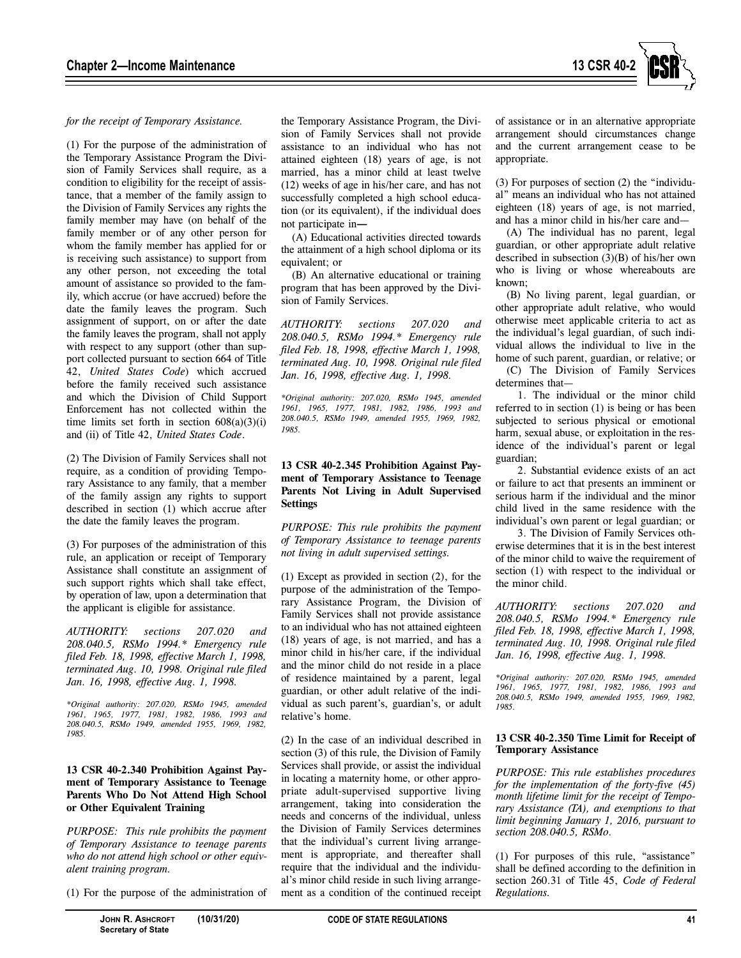

#### *for the receipt of Temporary Assistance.*

(1) For the purpose of the administration of the Temporary Assistance Program the Division of Family Services shall require, as a condition to eligibility for the receipt of assistance, that a member of the family assign to the Division of Family Services any rights the family member may have (on behalf of the family member or of any other person for whom the family member has applied for or is receiving such assistance) to support from any other person, not exceeding the total amount of assistance so provided to the family, which accrue (or have accrued) before the date the family leaves the program. Such assignment of support, on or after the date the family leaves the program, shall not apply with respect to any support (other than support collected pursuant to section 664 of Title 42, *United States Code*) which accrued before the family received such assistance and which the Division of Child Support Enforcement has not collected within the time limits set forth in section 608(a)(3)(i) and (ii) of Title 42, *United States Code*.

(2) The Division of Family Services shall not require, as a condition of providing Temporary Assistance to any family, that a member of the family assign any rights to support described in section (1) which accrue after the date the family leaves the program.

(3) For purposes of the administration of this rule, an application or receipt of Temporary Assistance shall constitute an assignment of such support rights which shall take effect, by operation of law, upon a determination that the applicant is eligible for assistance.

*AUTHORITY: sections 207.020 and 208.040.5, RSMo 1994.\* Emergency rule filed Feb. 18, 1998, effective March 1, 1998, terminated Aug. 10, 1998. Original rule filed Jan. 16, 1998, effective Aug. 1, 1998.* 

*\*Original authority: 207.020, RSMo 1945, amended 1961, 1965, 1977, 1981, 1982, 1986, 1993 and 208.040.5, RSMo 1949, amended 1955, 1969, 1982, 1985.* 

## **13 CSR 40-2.340 Prohibition Against Payment of Temporary Assistance to Teenage Parents Who Do Not Attend High School or Other Equivalent Training**

*PURPOSE: This rule prohibits the payment of Temporary Assistance to teenage parents who do not attend high school or other equivalent training program.* 

(1) For the purpose of the administration of

the Temporary Assistance Program, the Division of Family Services shall not provide assistance to an individual who has not attained eighteen (18) years of age, is not married, has a minor child at least twelve (12) weeks of age in his/her care, and has not successfully completed a high school education (or its equivalent), if the individual does not participate in**—**

(A) Educational activities directed towards the attainment of a high school diploma or its equivalent; or

(B) An alternative educational or training program that has been approved by the Division of Family Services.

*AUTHORITY: sections 207.020 and 208.040.5, RSMo 1994.\* Emergency rule filed Feb. 18, 1998, effective March 1, 1998, terminated Aug. 10, 1998. Original rule filed Jan. 16, 1998, effective Aug. 1, 1998.*

*\*Original authority: 207.020, RSMo 1945, amended 1961, 1965, 1977, 1981, 1982, 1986, 1993 and 208.040.5, RSMo 1949, amended 1955, 1969, 1982, 1985.*

#### **13 CSR 40-2.345 Prohibition Against Payment of Temporary Assistance to Teenage Parents Not Living in Adult Supervised Settings**

*PURPOSE: This rule prohibits the payment of Temporary Assistance to teenage parents not living in adult supervised settings.* 

(1) Except as provided in section (2), for the purpose of the administration of the Temporary Assistance Program, the Division of Family Services shall not provide assistance to an individual who has not attained eighteen (18) years of age, is not married, and has a minor child in his/her care, if the individual and the minor child do not reside in a place of residence maintained by a parent, legal guardian, or other adult relative of the individual as such parent's, guardian's, or adult relative's home.

(2) In the case of an individual described in section (3) of this rule, the Division of Family Services shall provide, or assist the individual in locating a maternity home, or other appropriate adult-supervised supportive living arrangement, taking into consideration the needs and concerns of the individual, unless the Division of Family Services determines that the individual's current living arrangement is appropriate, and thereafter shall require that the individual and the individual's minor child reside in such living arrangement as a condition of the continued receipt

of assistance or in an alternative appropriate arrangement should circumstances change and the current arrangement cease to be appropriate.

(3) For purposes of section (2) the "individual" means an individual who has not attained eighteen (18) years of age, is not married, and has a minor child in his/her care and—

(A) The individual has no parent, legal guardian, or other appropriate adult relative described in subsection (3)(B) of his/her own who is living or whose whereabouts are known;

(B) No living parent, legal guardian, or other appropriate adult relative, who would otherwise meet applicable criteria to act as the individual's legal guardian, of such individual allows the individual to live in the home of such parent, guardian, or relative; or

(C) The Division of Family Services determines that—

1. The individual or the minor child referred to in section (1) is being or has been subjected to serious physical or emotional harm, sexual abuse, or exploitation in the residence of the individual's parent or legal guardian;

2. Substantial evidence exists of an act or failure to act that presents an imminent or serious harm if the individual and the minor child lived in the same residence with the individual's own parent or legal guardian; or

3. The Division of Family Services otherwise determines that it is in the best interest of the minor child to waive the requirement of section (1) with respect to the individual or the minor child.

*AUTHORITY: sections 207.020 and 208.040.5, RSMo 1994.\* Emergency rule filed Feb. 18, 1998, effective March 1, 1998, terminated Aug. 10, 1998. Original rule filed Jan. 16, 1998, effective Aug. 1, 1998.* 

*\*Original authority: 207.020, RSMo 1945, amended 1961, 1965, 1977, 1981, 1982, 1986, 1993 and 208.040.5, RSMo 1949, amended 1955, 1969, 1982, 1985.* 

#### **13 CSR 40-2.350 Time Limit for Receipt of Temporary Assistance**

*PURPOSE: This rule establishes procedures for the implementation of the forty-five (45) month lifetime limit for the receipt of Temporary Assistance (TA), and exemptions to that limit beginning January 1, 2016, pursuant to section 208.040.5, RSMo.* 

(1) For purposes of this rule, "assistance" shall be defined according to the definition in section 260.31 of Title 45, *Code of Federal Regulations.*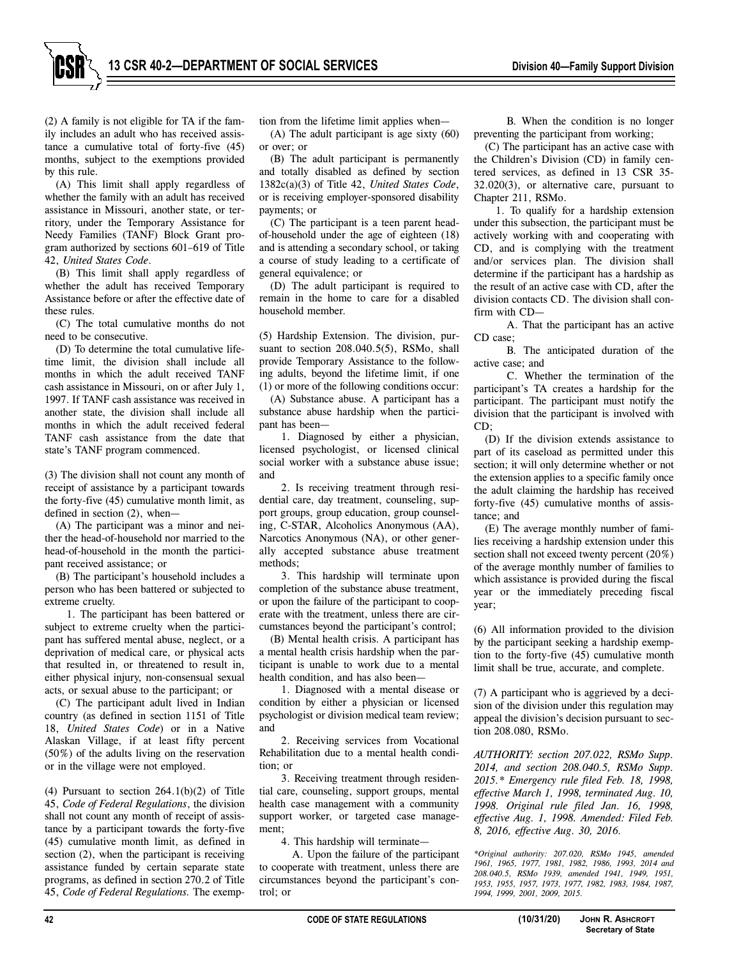(2) A family is not eligible for TA if the family includes an adult who has received assistance a cumulative total of forty-five (45) months, subject to the exemptions provided by this rule.

(A) This limit shall apply regardless of whether the family with an adult has received assistance in Missouri, another state, or territory, under the Temporary Assistance for Needy Families (TANF) Block Grant program authorized by sections 601–619 of Title 42, *United States Code*.

(B) This limit shall apply regardless of whether the adult has received Temporary Assistance before or after the effective date of these rules.

(C) The total cumulative months do not need to be consecutive.

(D) To determine the total cumulative lifetime limit, the division shall include all months in which the adult received TANF cash assistance in Missouri, on or after July 1, 1997. If TANF cash assistance was received in another state, the division shall include all months in which the adult received federal TANF cash assistance from the date that state's TANF program commenced.

(3) The division shall not count any month of receipt of assistance by a participant towards the forty-five (45) cumulative month limit, as defined in section (2), when—

(A) The participant was a minor and neither the head-of-household nor married to the head-of-household in the month the participant received assistance; or

(B) The participant's household includes a person who has been battered or subjected to extreme cruelty.

1. The participant has been battered or subject to extreme cruelty when the participant has suffered mental abuse, neglect, or a deprivation of medical care, or physical acts that resulted in, or threatened to result in, either physical injury, non-consensual sexual acts, or sexual abuse to the participant; or

(C) The participant adult lived in Indian country (as defined in section 1151 of Title 18, *United States Code*) or in a Native Alaskan Village, if at least fifty percent (50%) of the adults living on the reservation or in the village were not employed.

(4) Pursuant to section  $264.1(b)(2)$  of Title 45, *Code of Federal Regulations*, the division shall not count any month of receipt of assistance by a participant towards the forty-five (45) cumulative month limit, as defined in section (2), when the participant is receiving assistance funded by certain separate state programs, as defined in section 270.2 of Title 45, *Code of Federal Regulations.* The exemption from the lifetime limit applies when—

(A) The adult participant is age sixty (60) or over; or

(B) The adult participant is permanently and totally disabled as defined by section 1382c(a)(3) of Title 42, *United States Code*, or is receiving employer-sponsored disability payments; or

(C) The participant is a teen parent headof-household under the age of eighteen (18) and is attending a secondary school, or taking a course of study leading to a certificate of general equivalence; or

(D) The adult participant is required to remain in the home to care for a disabled household member.

(5) Hardship Extension. The division, pursuant to section 208.040.5(5), RSMo, shall provide Temporary Assistance to the following adults, beyond the lifetime limit, if one (1) or more of the following conditions occur:

(A) Substance abuse. A participant has a substance abuse hardship when the participant has been—

1. Diagnosed by either a physician, licensed psychologist, or licensed clinical social worker with a substance abuse issue; and

2. Is receiving treatment through residential care, day treatment, counseling, support groups, group education, group counseling, C-STAR, Alcoholics Anonymous (AA), Narcotics Anonymous (NA), or other generally accepted substance abuse treatment methods;

3. This hardship will terminate upon completion of the substance abuse treatment, or upon the failure of the participant to cooperate with the treatment, unless there are circumstances beyond the participant's control;

(B) Mental health crisis. A participant has a mental health crisis hardship when the participant is unable to work due to a mental health condition, and has also been—

1. Diagnosed with a mental disease or condition by either a physician or licensed psychologist or division medical team review; and

2. Receiving services from Vocational Rehabilitation due to a mental health condition; or

3. Receiving treatment through residential care, counseling, support groups, mental health case management with a community support worker, or targeted case management;

4. This hardship will terminate—

A. Upon the failure of the participant to cooperate with treatment, unless there are circumstances beyond the participant's control; or

B. When the condition is no longer preventing the participant from working;

(C) The participant has an active case with the Children's Division (CD) in family centered services, as defined in 13 CSR 35- 32.020(3), or alternative care, pursuant to Chapter 211, RSMo.

1. To qualify for a hardship extension under this subsection, the participant must be actively working with and cooperating with CD, and is complying with the treatment and/or services plan. The division shall determine if the participant has a hardship as the result of an active case with CD, after the division contacts CD. The division shall confirm with CD—

A. That the participant has an active CD case;

B. The anticipated duration of the active case; and

C. Whether the termination of the participant's TA creates a hardship for the participant. The participant must notify the division that the participant is involved with CD;

(D) If the division extends assistance to part of its caseload as permitted under this section; it will only determine whether or not the extension applies to a specific family once the adult claiming the hardship has received forty-five (45) cumulative months of assistance; and

(E) The average monthly number of families receiving a hardship extension under this section shall not exceed twenty percent (20%) of the average monthly number of families to which assistance is provided during the fiscal year or the immediately preceding fiscal year;

(6) All information provided to the division by the participant seeking a hardship exemption to the forty-five (45) cumulative month limit shall be true, accurate, and complete.

(7) A participant who is aggrieved by a decision of the division under this regulation may appeal the division's decision pursuant to section 208.080, RSMo.

*AUTHORITY: section 207.022, RSMo Supp. 2014, and section 208.040.5, RSMo Supp. 2015.\* Emergency rule filed Feb. 18, 1998, effective March 1, 1998, terminated Aug. 10, 1998. Original rule filed Jan. 16, 1998, effective Aug. 1, 1998. Amended: Filed Feb. 8, 2016, effective Aug. 30, 2016.* 

*\*Original authority: 207.020, RSMo 1945, amended 1961, 1965, 1977, 1981, 1982, 1986, 1993, 2014 and 208.040.5, RSMo 1939, amended 1941, 1949, 1951, 1953, 1955, 1957, 1973, 1977, 1982, 1983, 1984, 1987, 1994, 1999, 2001, 2009, 2015.*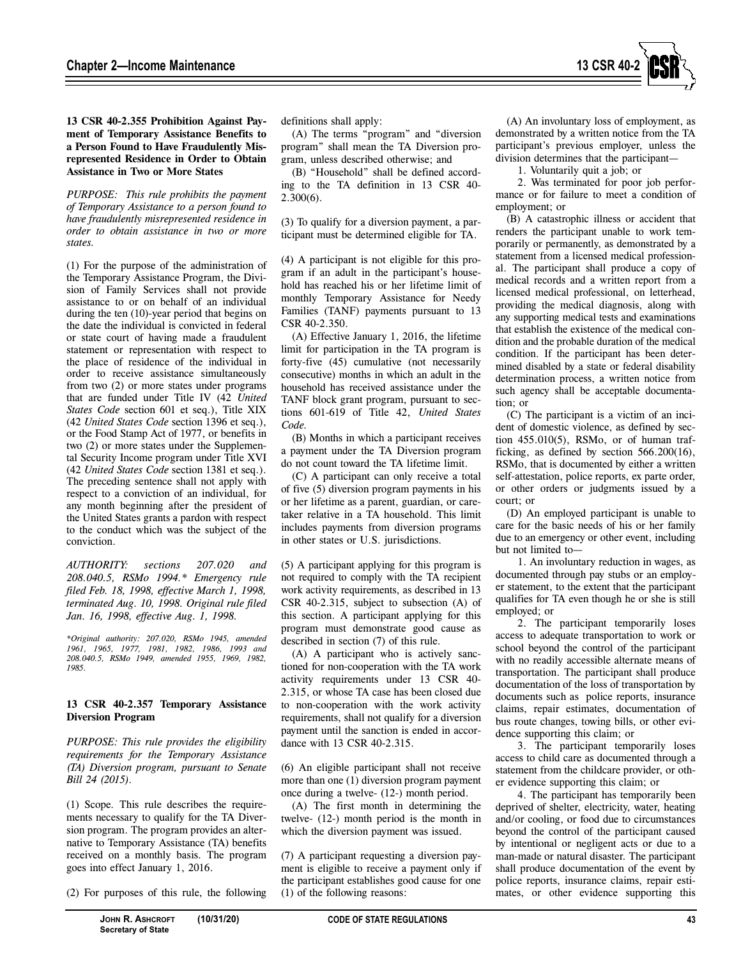

**13 CSR 40-2.355 Prohibition Against Payment of Temporary Assistance Benefits to a Person Found to Have Fraudulently Misrepresented Residence in Order to Obtain Assistance in Two or More States** 

*PURPOSE: This rule prohibits the payment of Temporary Assistance to a person found to have fraudulently misrepresented residence in order to obtain assistance in two or more states.*

(1) For the purpose of the administration of the Temporary Assistance Program, the Division of Family Services shall not provide assistance to or on behalf of an individual during the ten (10)-year period that begins on the date the individual is convicted in federal or state court of having made a fraudulent statement or representation with respect to the place of residence of the individual in order to receive assistance simultaneously from two (2) or more states under programs that are funded under Title IV (42 *United States Code* section 601 et seq.), Title XIX (42 *United States Code* section 1396 et seq.), or the Food Stamp Act of 1977, or benefits in two (2) or more states under the Supplemental Security Income program under Title XVI (42 *United States Code* section 1381 et seq.). The preceding sentence shall not apply with respect to a conviction of an individual, for any month beginning after the president of the United States grants a pardon with respect to the conduct which was the subject of the conviction.

*AUTHORITY: sections 207.020 and 208.040.5, RSMo 1994.\* Emergency rule filed Feb. 18, 1998, effective March 1, 1998, terminated Aug. 10, 1998. Original rule filed Jan. 16, 1998, effective Aug. 1, 1998.* 

*\*Original authority: 207.020, RSMo 1945, amended 1961, 1965, 1977, 1981, 1982, 1986, 1993 and 208.040.5, RSMo 1949, amended 1955, 1969, 1982, 1985.* 

# **13 CSR 40-2.357 Temporary Assistance Diversion Program**

*PURPOSE: This rule provides the eligibility requirements for the Temporary Assistance (TA) Diversion program, pursuant to Senate Bill 24 (2015).* 

(1) Scope. This rule describes the requirements necessary to qualify for the TA Diversion program. The program provides an alternative to Temporary Assistance (TA) benefits received on a monthly basis. The program goes into effect January 1, 2016.

(2) For purposes of this rule, the following

definitions shall apply:

(A) The terms "program" and "diversion program" shall mean the TA Diversion program, unless described otherwise; and

(B) "Household" shall be defined according to the TA definition in 13 CSR 40- 2.300(6).

(3) To qualify for a diversion payment, a participant must be determined eligible for TA.

(4) A participant is not eligible for this program if an adult in the participant's household has reached his or her lifetime limit of monthly Temporary Assistance for Needy Families (TANF) payments pursuant to 13 CSR 40-2.350.

(A) Effective January 1, 2016, the lifetime limit for participation in the TA program is forty-five (45) cumulative (not necessarily consecutive) months in which an adult in the household has received assistance under the TANF block grant program, pursuant to sections 601-619 of Title 42, *United States Code.*

(B) Months in which a participant receives a payment under the TA Diversion program do not count toward the TA lifetime limit.

(C) A participant can only receive a total of five (5) diversion program payments in his or her lifetime as a parent, guardian, or caretaker relative in a TA household. This limit includes payments from diversion programs in other states or U.S. jurisdictions.

(5) A participant applying for this program is not required to comply with the TA recipient work activity requirements, as described in 13 CSR 40-2.315, subject to subsection (A) of this section. A participant applying for this program must demonstrate good cause as described in section (7) of this rule.

(A) A participant who is actively sanctioned for non-cooperation with the TA work activity requirements under 13 CSR 40- 2.315, or whose TA case has been closed due to non-cooperation with the work activity requirements, shall not qualify for a diversion payment until the sanction is ended in accordance with 13 CSR 40-2.315.

(6) An eligible participant shall not receive more than one (1) diversion program payment once during a twelve- (12-) month period.

(A) The first month in determining the twelve- (12-) month period is the month in which the diversion payment was issued.

(7) A participant requesting a diversion payment is eligible to receive a payment only if the participant establishes good cause for one (1) of the following reasons:

(A) An involuntary loss of employment, as demonstrated by a written notice from the TA participant's previous employer, unless the division determines that the participant—

1. Voluntarily quit a job; or

2. Was terminated for poor job performance or for failure to meet a condition of employment; or

(B) A catastrophic illness or accident that renders the participant unable to work temporarily or permanently, as demonstrated by a statement from a licensed medical professional. The participant shall produce a copy of medical records and a written report from a licensed medical professional, on letterhead, providing the medical diagnosis, along with any supporting medical tests and examinations that establish the existence of the medical condition and the probable duration of the medical condition. If the participant has been determined disabled by a state or federal disability determination process, a written notice from such agency shall be acceptable documentation; or

(C) The participant is a victim of an incident of domestic violence, as defined by section 455.010(5), RSMo, or of human trafficking, as defined by section 566.200(16), RSMo, that is documented by either a written self-attestation, police reports, ex parte order, or other orders or judgments issued by a court; or

(D) An employed participant is unable to care for the basic needs of his or her family due to an emergency or other event, including but not limited to—

1. An involuntary reduction in wages, as documented through pay stubs or an employer statement, to the extent that the participant qualifies for TA even though he or she is still employed; or

2. The participant temporarily loses access to adequate transportation to work or school beyond the control of the participant with no readily accessible alternate means of transportation. The participant shall produce documentation of the loss of transportation by documents such as police reports, insurance claims, repair estimates, documentation of bus route changes, towing bills, or other evidence supporting this claim; or

3. The participant temporarily loses access to child care as documented through a statement from the childcare provider, or other evidence supporting this claim; or

4. The participant has temporarily been deprived of shelter, electricity, water, heating and/or cooling, or food due to circumstances beyond the control of the participant caused by intentional or negligent acts or due to a man-made or natural disaster. The participant shall produce documentation of the event by police reports, insurance claims, repair estimates, or other evidence supporting this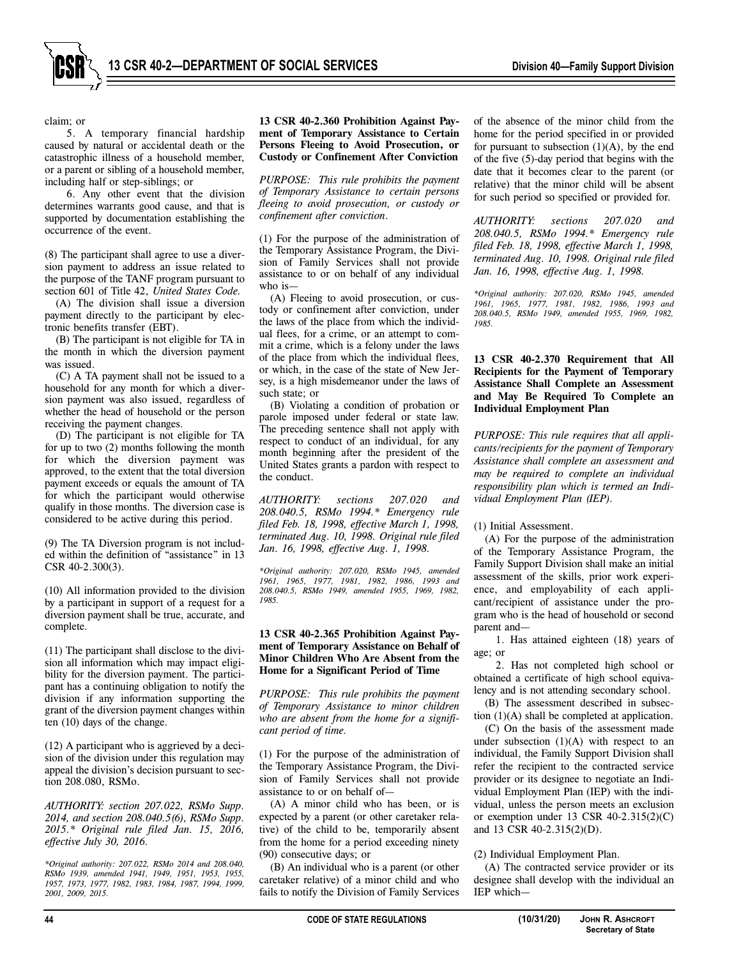

claim; or

5. A temporary financial hardship caused by natural or accidental death or the catastrophic illness of a household member, or a parent or sibling of a household member, including half or step-siblings; or

6. Any other event that the division determines warrants good cause, and that is supported by documentation establishing the occurrence of the event.

(8) The participant shall agree to use a diversion payment to address an issue related to the purpose of the TANF program pursuant to section 601 of Title 42, *United States Code.*

(A) The division shall issue a diversion payment directly to the participant by electronic benefits transfer (EBT).

(B) The participant is not eligible for TA in the month in which the diversion payment was issued.

(C) A TA payment shall not be issued to a household for any month for which a diversion payment was also issued, regardless of whether the head of household or the person receiving the payment changes.

(D) The participant is not eligible for TA for up to two (2) months following the month for which the diversion payment was approved, to the extent that the total diversion payment exceeds or equals the amount of TA for which the participant would otherwise qualify in those months. The diversion case is considered to be active during this period.

(9) The TA Diversion program is not included within the definition of "assistance" in 13 CSR 40-2.300(3).

(10) All information provided to the division by a participant in support of a request for a diversion payment shall be true, accurate, and complete.

(11) The participant shall disclose to the division all information which may impact eligibility for the diversion payment. The participant has a continuing obligation to notify the division if any information supporting the grant of the diversion payment changes within ten (10) days of the change.

(12) A participant who is aggrieved by a decision of the division under this regulation may appeal the division's decision pursuant to section 208.080, RSMo.

*AUTHORITY: section 207.022, RSMo Supp. 2014, and section 208.040.5(6), RSMo Supp. 2015.\* Original rule filed Jan. 15, 2016, effective July 30, 2016.* 

*\*Original authority: 207.022, RSMo 2014 and 208.040, RSMo 1939, amended 1941, 1949, 1951, 1953, 1955, 1957, 1973, 1977, 1982, 1983, 1984, 1987, 1994, 1999, 2001, 2009, 2015.* 

#### **13 CSR 40-2.360 Prohibition Against Payment of Temporary Assistance to Certain Persons Fleeing to Avoid Prosecution, or Custody or Confinement After Conviction**

*PURPOSE: This rule prohibits the payment of Temporary Assistance to certain persons fleeing to avoid prosecution, or custody or confinement after conviction*.

(1) For the purpose of the administration of the Temporary Assistance Program, the Division of Family Services shall not provide assistance to or on behalf of any individual who is—

(A) Fleeing to avoid prosecution, or custody or confinement after conviction, under the laws of the place from which the individual flees, for a crime, or an attempt to commit a crime, which is a felony under the laws of the place from which the individual flees, or which, in the case of the state of New Jersey, is a high misdemeanor under the laws of such state; or

(B) Violating a condition of probation or parole imposed under federal or state law. The preceding sentence shall not apply with respect to conduct of an individual, for any month beginning after the president of the United States grants a pardon with respect to the conduct.

*AUTHORITY: sections 207.020 and 208.040.5, RSMo 1994.\* Emergency rule filed Feb. 18, 1998, effective March 1, 1998, terminated Aug. 10, 1998. Original rule filed Jan. 16, 1998, effective Aug. 1, 1998.* 

*\*Original authority: 207.020, RSMo 1945, amended 1961, 1965, 1977, 1981, 1982, 1986, 1993 and 208.040.5, RSMo 1949, amended 1955, 1969, 1982, 1985.* 

#### **13 CSR 40-2.365 Prohibition Against Payment of Temporary Assistance on Behalf of Minor Children Who Are Absent from the Home for a Significant Period of Time**

*PURPOSE: This rule prohibits the payment of Temporary Assistance to minor children who are absent from the home for a significant period of time.* 

(1) For the purpose of the administration of the Temporary Assistance Program, the Division of Family Services shall not provide assistance to or on behalf of—

(A) A minor child who has been, or is expected by a parent (or other caretaker relative) of the child to be, temporarily absent from the home for a period exceeding ninety (90) consecutive days; or

(B) An individual who is a parent (or other caretaker relative) of a minor child and who fails to notify the Division of Family Services of the absence of the minor child from the home for the period specified in or provided for pursuant to subsection  $(1)(A)$ , by the end of the five (5)-day period that begins with the date that it becomes clear to the parent (or relative) that the minor child will be absent for such period so specified or provided for.

*AUTHORITY: sections 207.020 and 208.040.5, RSMo 1994.\* Emergency rule filed Feb. 18, 1998, effective March 1, 1998, terminated Aug. 10, 1998. Original rule filed Jan. 16, 1998, effective Aug. 1, 1998.* 

*\*Original authority: 207.020, RSMo 1945, amended 1961, 1965, 1977, 1981, 1982, 1986, 1993 and 208.040.5, RSMo 1949, amended 1955, 1969, 1982, 1985.* 

#### **13 CSR 40-2.370 Requirement that All Recipients for the Payment of Temporary Assistance Shall Complete an Assessment and May Be Required To Complete an Individual Employment Plan**

*PURPOSE: This rule requires that all applicants/recipients for the payment of Temporary Assistance shall complete an assessment and may be required to complete an individual responsibility plan which is termed an Individual Employment Plan (IEP).* 

(1) Initial Assessment.

(A) For the purpose of the administration of the Temporary Assistance Program, the Family Support Division shall make an initial assessment of the skills, prior work experience, and employability of each applicant/recipient of assistance under the program who is the head of household or second parent and—

1. Has attained eighteen (18) years of age; or

2. Has not completed high school or obtained a certificate of high school equivalency and is not attending secondary school.

(B) The assessment described in subsection (1)(A) shall be completed at application.

(C) On the basis of the assessment made under subsection  $(1)(A)$  with respect to an individual, the Family Support Division shall refer the recipient to the contracted service provider or its designee to negotiate an Individual Employment Plan (IEP) with the individual, unless the person meets an exclusion or exemption under 13 CSR  $40-2.315(2)(C)$ and 13 CSR 40-2.315(2)(D).

(2) Individual Employment Plan.

(A) The contracted service provider or its designee shall develop with the individual an IEP which—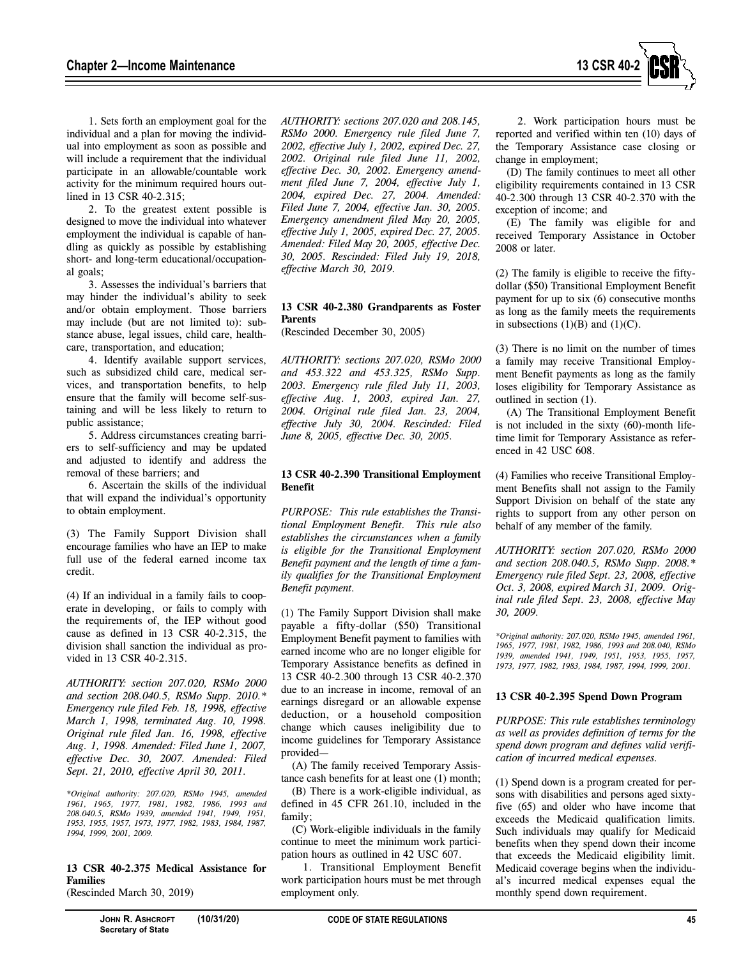

1. Sets forth an employment goal for the individual and a plan for moving the individual into employment as soon as possible and will include a requirement that the individual participate in an allowable/countable work activity for the minimum required hours outlined in 13 CSR 40-2.315;

2. To the greatest extent possible is designed to move the individual into whatever employment the individual is capable of handling as quickly as possible by establishing short- and long-term educational/occupational goals;

3. Assesses the individual's barriers that may hinder the individual's ability to seek and/or obtain employment. Those barriers may include (but are not limited to): substance abuse, legal issues, child care, healthcare, transportation, and education;

4. Identify available support services, such as subsidized child care, medical services, and transportation benefits, to help ensure that the family will become self-sustaining and will be less likely to return to public assistance;

5. Address circumstances creating barriers to self-sufficiency and may be updated and adjusted to identify and address the removal of these barriers; and

6. Ascertain the skills of the individual that will expand the individual's opportunity to obtain employment.

(3) The Family Support Division shall encourage families who have an IEP to make full use of the federal earned income tax credit.

(4) If an individual in a family fails to cooperate in developing, or fails to comply with the requirements of, the IEP without good cause as defined in 13 CSR 40-2.315, the division shall sanction the individual as provided in 13 CSR 40-2.315.

*AUTHORITY: section 207.020, RSMo 2000 and section 208.040.5, RSMo Supp. 2010.\* Emergency rule filed Feb. 18, 1998, effective March 1, 1998, terminated Aug. 10, 1998. Original rule filed Jan. 16, 1998, effective Aug. 1, 1998. Amended: Filed June 1, 2007, effective Dec. 30, 2007. Amended: Filed Sept. 21, 2010, effective April 30, 2011.* 

*\*Original authority: 207.020, RSMo 1945, amended 1961, 1965, 1977, 1981, 1982, 1986, 1993 and 208.040.5, RSMo 1939, amended 1941, 1949, 1951, 1953, 1955, 1957, 1973, 1977, 1982, 1983, 1984, 1987, 1994, 1999, 2001, 2009.* 

# **13 CSR 40-2.375 Medical Assistance for Families**

(Rescinded March 30, 2019)

*AUTHORITY: sections 207.020 and 208.145, RSMo 2000. Emergency rule filed June 7, 2002, effective July 1, 2002, expired Dec. 27, 2002. Original rule filed June 11, 2002, effective Dec. 30, 2002. Emergency amendment filed June 7, 2004, effective July 1, 2004, expired Dec. 27, 2004. Amended: Filed June 7, 2004, effective Jan. 30, 2005. Emergency amendment filed May 20, 2005, effective July 1, 2005, expired Dec. 27, 2005. Amended: Filed May 20, 2005, effective Dec. 30, 2005. Rescinded: Filed July 19, 2018, effective March 30, 2019.* 

# **13 CSR 40-2.380 Grandparents as Foster Parents**

(Rescinded December 30, 2005)

*AUTHORITY: sections 207.020, RSMo 2000 and 453.322 and 453.325, RSMo Supp. 2003. Emergency rule filed July 11, 2003, effective Aug. 1, 2003, expired Jan. 27, 2004. Original rule filed Jan. 23, 2004, effective July 30, 2004. Rescinded: Filed June 8, 2005, effective Dec. 30, 2005.* 

# **13 CSR 40-2.390 Transitional Employment Benefit**

*PURPOSE: This rule establishes the Transitional Employment Benefit. This rule also establishes the circumstances when a family is eligible for the Transitional Employment Benefit payment and the length of time a family qualifies for the Transitional Employment Benefit payment.* 

(1) The Family Support Division shall make payable a fifty-dollar (\$50) Transitional Employment Benefit payment to families with earned income who are no longer eligible for Temporary Assistance benefits as defined in 13 CSR 40-2.300 through 13 CSR 40-2.370 due to an increase in income, removal of an earnings disregard or an allowable expense deduction, or a household composition change which causes ineligibility due to income guidelines for Temporary Assistance provided—

(A) The family received Temporary Assistance cash benefits for at least one (1) month;

(B) There is a work-eligible individual, as defined in 45 CFR 261.10, included in the family;

(C) Work-eligible individuals in the family continue to meet the minimum work participation hours as outlined in 42 USC 607.

1. Transitional Employment Benefit work participation hours must be met through employment only.

2. Work participation hours must be reported and verified within ten (10) days of the Temporary Assistance case closing or change in employment;

(D) The family continues to meet all other eligibility requirements contained in 13 CSR 40-2.300 through 13 CSR 40-2.370 with the exception of income; and

(E) The family was eligible for and received Temporary Assistance in October 2008 or later.

(2) The family is eligible to receive the fiftydollar (\$50) Transitional Employment Benefit payment for up to six (6) consecutive months as long as the family meets the requirements in subsections  $(1)(B)$  and  $(1)(C)$ .

(3) There is no limit on the number of times a family may receive Transitional Employment Benefit payments as long as the family loses eligibility for Temporary Assistance as outlined in section (1).

(A) The Transitional Employment Benefit is not included in the sixty (60)-month lifetime limit for Temporary Assistance as referenced in 42 USC 608.

(4) Families who receive Transitional Employment Benefits shall not assign to the Family Support Division on behalf of the state any rights to support from any other person on behalf of any member of the family.

*AUTHORITY: section 207.020, RSMo 2000 and section 208.040.5, RSMo Supp. 2008.\* Emergency rule filed Sept. 23, 2008, effective Oct. 3, 2008, expired March 31, 2009. Original rule filed Sept. 23, 2008, effective May 30, 2009.* 

*\*Original authority: 207.020, RSMo 1945, amended 1961, 1965, 1977, 1981, 1982, 1986, 1993 and 208.040, RSMo 1939, amended 1941, 1949, 1951, 1953, 1955, 1957, 1973, 1977, 1982, 1983, 1984, 1987, 1994, 1999, 2001.* 

# **13 CSR 40-2.395 Spend Down Program**

*PURPOSE: This rule establishes terminology as well as provides definition of terms for the spend down program and defines valid verification of incurred medical expenses.* 

(1) Spend down is a program created for persons with disabilities and persons aged sixtyfive (65) and older who have income that exceeds the Medicaid qualification limits. Such individuals may qualify for Medicaid benefits when they spend down their income that exceeds the Medicaid eligibility limit. Medicaid coverage begins when the individual's incurred medical expenses equal the monthly spend down requirement.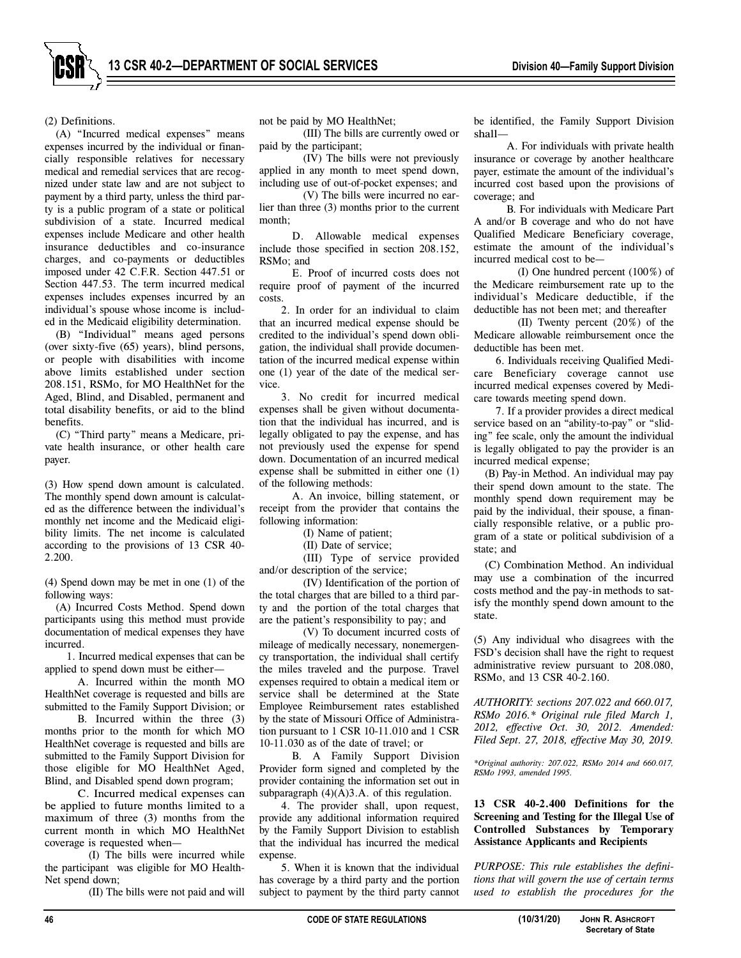(2) Definitions.

(A) "Incurred medical expenses" means expenses incurred by the individual or financially responsible relatives for necessary medical and remedial services that are recognized under state law and are not subject to payment by a third party, unless the third party is a public program of a state or political subdivision of a state. Incurred medical expenses include Medicare and other health insurance deductibles and co-insurance charges, and co-payments or deductibles imposed under 42 C.F.R. Section 447.51 or Section 447.53. The term incurred medical expenses includes expenses incurred by an individual's spouse whose income is included in the Medicaid eligibility determination.

(B) "Individual" means aged persons (over sixty-five (65) years), blind persons, or people with disabilities with income above limits established under section 208.151, RSMo, for MO HealthNet for the Aged, Blind, and Disabled, permanent and total disability benefits, or aid to the blind benefits.

(C) "Third party" means a Medicare, private health insurance, or other health care payer.

(3) How spend down amount is calculated. The monthly spend down amount is calculated as the difference between the individual's monthly net income and the Medicaid eligibility limits. The net income is calculated according to the provisions of 13 CSR 40- 2.200.

(4) Spend down may be met in one (1) of the following ways:

(A) Incurred Costs Method. Spend down participants using this method must provide documentation of medical expenses they have incurred.

1. Incurred medical expenses that can be applied to spend down must be either—

A. Incurred within the month MO HealthNet coverage is requested and bills are submitted to the Family Support Division; or

B. Incurred within the three (3) months prior to the month for which MO HealthNet coverage is requested and bills are submitted to the Family Support Division for those eligible for MO HealthNet Aged, Blind, and Disabled spend down program;

C. Incurred medical expenses can be applied to future months limited to a maximum of three (3) months from the current month in which MO HealthNet coverage is requested when—

(I) The bills were incurred while the participant was eligible for MO Health-Net spend down;

(II) The bills were not paid and will

not be paid by MO HealthNet;

(III) The bills are currently owed or paid by the participant;

(IV) The bills were not previously applied in any month to meet spend down, including use of out-of-pocket expenses; and

(V) The bills were incurred no earlier than three (3) months prior to the current month;

D. Allowable medical expenses include those specified in section 208.152, RSMo; and

E. Proof of incurred costs does not require proof of payment of the incurred costs.

2. In order for an individual to claim that an incurred medical expense should be credited to the individual's spend down obligation, the individual shall provide documentation of the incurred medical expense within one (1) year of the date of the medical service.

3. No credit for incurred medical expenses shall be given without documentation that the individual has incurred, and is legally obligated to pay the expense, and has not previously used the expense for spend down. Documentation of an incurred medical expense shall be submitted in either one (1) of the following methods:

A. An invoice, billing statement, or receipt from the provider that contains the following information:

(I) Name of patient;

(II) Date of service;

(III) Type of service provided and/or description of the service;

(IV) Identification of the portion of the total charges that are billed to a third party and the portion of the total charges that are the patient's responsibility to pay; and

(V) To document incurred costs of mileage of medically necessary, nonemergency transportation, the individual shall certify the miles traveled and the purpose. Travel expenses required to obtain a medical item or service shall be determined at the State Employee Reimbursement rates established by the state of Missouri Office of Administration pursuant to 1 CSR 10-11.010 and 1 CSR 10-11.030 as of the date of travel; or

B. A Family Support Division Provider form signed and completed by the provider containing the information set out in subparagraph  $(4)(A)3.A.$  of this regulation.

4. The provider shall, upon request, provide any additional information required by the Family Support Division to establish that the individual has incurred the medical expense.

5. When it is known that the individual has coverage by a third party and the portion subject to payment by the third party cannot

be identified, the Family Support Division shall—

A. For individuals with private health insurance or coverage by another healthcare payer, estimate the amount of the individual's incurred cost based upon the provisions of coverage; and

B. For individuals with Medicare Part A and/or B coverage and who do not have Qualified Medicare Beneficiary coverage, estimate the amount of the individual's incurred medical cost to be—

(I) One hundred percent (100%) of the Medicare reimbursement rate up to the individual's Medicare deductible, if the deductible has not been met; and thereafter

(II) Twenty percent (20%) of the Medicare allowable reimbursement once the deductible has been met.

6. Individuals receiving Qualified Medicare Beneficiary coverage cannot use incurred medical expenses covered by Medicare towards meeting spend down.

7. If a provider provides a direct medical service based on an "ability-to-pay" or "sliding" fee scale, only the amount the individual is legally obligated to pay the provider is an incurred medical expense;

(B) Pay-in Method. An individual may pay their spend down amount to the state. The monthly spend down requirement may be paid by the individual, their spouse, a financially responsible relative, or a public program of a state or political subdivision of a state; and

(C) Combination Method. An individual may use a combination of the incurred costs method and the pay-in methods to satisfy the monthly spend down amount to the state.

(5) Any individual who disagrees with the FSD's decision shall have the right to request administrative review pursuant to 208.080, RSMo, and 13 CSR 40-2.160.

*AUTHORITY: sections 207.022 and 660.017, RSMo 2016.\* Original rule filed March 1, 2012, effective Oct. 30, 2012. Amended: Filed Sept. 27, 2018, effective May 30, 2019.* 

*\*Original authority: 207.022, RSMo 2014 and 660.017, RSMo 1993, amended 1995.* 

**13 CSR 40-2.400 Definitions for the Screening and Testing for the Illegal Use of Controlled Substances by Temporary Assistance Applicants and Recipients** 

*PURPOSE: This rule establishes the definitions that will govern the use of certain terms used to establish the procedures for the* 

**Secretary of State**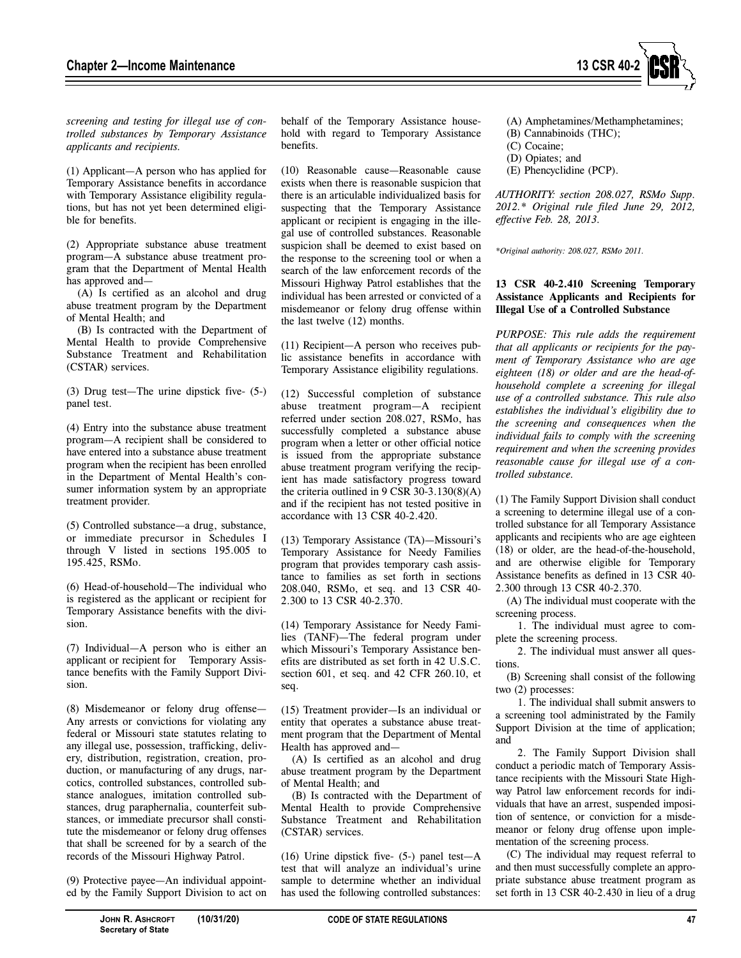

*screening and testing for illegal use of controlled substances by Temporary Assistance applicants and recipients.* 

(1) Applicant—A person who has applied for Temporary Assistance benefits in accordance with Temporary Assistance eligibility regulations, but has not yet been determined eligible for benefits.

(2) Appropriate substance abuse treatment program—A substance abuse treatment program that the Department of Mental Health has approved and—

(A) Is certified as an alcohol and drug abuse treatment program by the Department of Mental Health; and

(B) Is contracted with the Department of Mental Health to provide Comprehensive Substance Treatment and Rehabilitation (CSTAR) services.

(3) Drug test—The urine dipstick five- (5-) panel test.

(4) Entry into the substance abuse treatment program—A recipient shall be considered to have entered into a substance abuse treatment program when the recipient has been enrolled in the Department of Mental Health's consumer information system by an appropriate treatment provider.

(5) Controlled substance—a drug, substance, or immediate precursor in Schedules I through V listed in sections 195.005 to 195.425, RSMo.

(6) Head-of-household—The individual who is registered as the applicant or recipient for Temporary Assistance benefits with the division.

(7) Individual—A person who is either an applicant or recipient for Temporary Assistance benefits with the Family Support Division.

(8) Misdemeanor or felony drug offense— Any arrests or convictions for violating any federal or Missouri state statutes relating to any illegal use, possession, trafficking, delivery, distribution, registration, creation, production, or manufacturing of any drugs, narcotics, controlled substances, controlled substance analogues, imitation controlled substances, drug paraphernalia, counterfeit substances, or immediate precursor shall constitute the misdemeanor or felony drug offenses that shall be screened for by a search of the records of the Missouri Highway Patrol.

(9) Protective payee—An individual appointed by the Family Support Division to act on behalf of the Temporary Assistance household with regard to Temporary Assistance benefits.

(10) Reasonable cause—Reasonable cause exists when there is reasonable suspicion that there is an articulable individualized basis for suspecting that the Temporary Assistance applicant or recipient is engaging in the illegal use of controlled substances. Reasonable suspicion shall be deemed to exist based on the response to the screening tool or when a search of the law enforcement records of the Missouri Highway Patrol establishes that the individual has been arrested or convicted of a misdemeanor or felony drug offense within the last twelve (12) months.

(11) Recipient—A person who receives public assistance benefits in accordance with Temporary Assistance eligibility regulations.

(12) Successful completion of substance abuse treatment program—A recipient referred under section 208.027, RSMo, has successfully completed a substance abuse program when a letter or other official notice is issued from the appropriate substance abuse treatment program verifying the recipient has made satisfactory progress toward the criteria outlined in 9 CSR 30-3.130(8)(A) and if the recipient has not tested positive in accordance with 13 CSR 40-2.420.

(13) Temporary Assistance (TA)—Missouri's Temporary Assistance for Needy Families program that provides temporary cash assistance to families as set forth in sections 208.040, RSMo, et seq. and 13 CSR 40- 2.300 to 13 CSR 40-2.370.

(14) Temporary Assistance for Needy Families (TANF)—The federal program under which Missouri's Temporary Assistance benefits are distributed as set forth in 42 U.S.C. section 601, et seq. and 42 CFR 260.10, et seq.

(15) Treatment provider—Is an individual or entity that operates a substance abuse treatment program that the Department of Mental Health has approved and—

(A) Is certified as an alcohol and drug abuse treatment program by the Department of Mental Health; and

(B) Is contracted with the Department of Mental Health to provide Comprehensive Substance Treatment and Rehabilitation (CSTAR) services.

(16) Urine dipstick five- (5-) panel test—A test that will analyze an individual's urine sample to determine whether an individual has used the following controlled substances:

- (A) Amphetamines/Methamphetamines;
- (B) Cannabinoids (THC);
- (C) Cocaine;
- (D) Opiates; and
- (E) Phencyclidine (PCP).

*AUTHORITY: section 208.027, RSMo Supp. 2012.\* Original rule filed June 29, 2012, effective Feb. 28, 2013.* 

*\*Original authority: 208.027, RSMo 2011.* 

# **13 CSR 40-2.410 Screening Temporary Assistance Applicants and Recipients for Illegal Use of a Controlled Substance**

*PURPOSE: This rule adds the requirement that all applicants or recipients for the payment of Temporary Assistance who are age eighteen (18) or older and are the head-ofhousehold complete a screening for illegal use of a controlled substance. This rule also establishes the individual's eligibility due to the screening and consequences when the individual fails to comply with the screening requirement and when the screening provides reasonable cause for illegal use of a controlled substance.* 

(1) The Family Support Division shall conduct a screening to determine illegal use of a controlled substance for all Temporary Assistance applicants and recipients who are age eighteen (18) or older, are the head-of-the-household, and are otherwise eligible for Temporary Assistance benefits as defined in 13 CSR 40- 2.300 through 13 CSR 40-2.370.

(A) The individual must cooperate with the screening process.

1. The individual must agree to complete the screening process.

2. The individual must answer all questions.

(B) Screening shall consist of the following two (2) processes:

1. The individual shall submit answers to a screening tool administrated by the Family Support Division at the time of application; and

2. The Family Support Division shall conduct a periodic match of Temporary Assistance recipients with the Missouri State Highway Patrol law enforcement records for individuals that have an arrest, suspended imposition of sentence, or conviction for a misdemeanor or felony drug offense upon implementation of the screening process.

(C) The individual may request referral to and then must successfully complete an appropriate substance abuse treatment program as set forth in 13 CSR 40-2.430 in lieu of a drug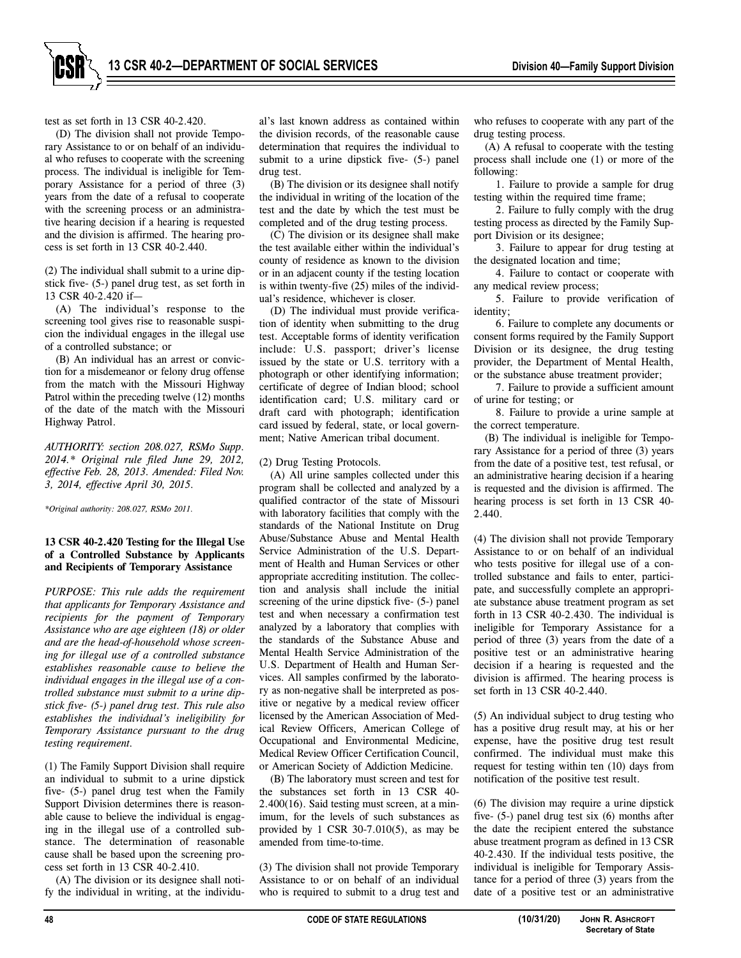test as set forth in 13 CSR 40-2.420.

(D) The division shall not provide Temporary Assistance to or on behalf of an individual who refuses to cooperate with the screening process. The individual is ineligible for Temporary Assistance for a period of three (3) years from the date of a refusal to cooperate with the screening process or an administrative hearing decision if a hearing is requested and the division is affirmed. The hearing process is set forth in 13 CSR 40-2.440.

(2) The individual shall submit to a urine dipstick five- (5-) panel drug test, as set forth in 13 CSR 40-2.420 if—

(A) The individual's response to the screening tool gives rise to reasonable suspicion the individual engages in the illegal use of a controlled substance; or

(B) An individual has an arrest or conviction for a misdemeanor or felony drug offense from the match with the Missouri Highway Patrol within the preceding twelve (12) months of the date of the match with the Missouri Highway Patrol.

*AUTHORITY: section 208.027, RSMo Supp. 2014.\* Original rule filed June 29, 2012, effective Feb. 28, 2013. Amended: Filed Nov. 3, 2014, effective April 30, 2015.* 

*\*Original authority: 208.027, RSMo 2011.* 

## **13 CSR 40-2.420 Testing for the Illegal Use of a Controlled Substance by Applicants and Recipients of Temporary Assistance**

*PURPOSE: This rule adds the requirement that applicants for Temporary Assistance and recipients for the payment of Temporary Assistance who are age eighteen (18) or older and are the head-of-household whose screening for illegal use of a controlled substance establishes reasonable cause to believe the individual engages in the illegal use of a controlled substance must submit to a urine dipstick five- (5-) panel drug test. This rule also establishes the individual's ineligibility for Temporary Assistance pursuant to the drug testing requirement.* 

(1) The Family Support Division shall require an individual to submit to a urine dipstick five- (5-) panel drug test when the Family Support Division determines there is reasonable cause to believe the individual is engaging in the illegal use of a controlled substance. The determination of reasonable cause shall be based upon the screening process set forth in 13 CSR 40-2.410.

(A) The division or its designee shall notify the individual in writing, at the individual's last known address as contained within the division records, of the reasonable cause determination that requires the individual to submit to a urine dipstick five- (5-) panel drug test.

(B) The division or its designee shall notify the individual in writing of the location of the test and the date by which the test must be completed and of the drug testing process.

(C) The division or its designee shall make the test available either within the individual's county of residence as known to the division or in an adjacent county if the testing location is within twenty-five (25) miles of the individual's residence, whichever is closer.

(D) The individual must provide verification of identity when submitting to the drug test. Acceptable forms of identity verification include: U.S. passport; driver's license issued by the state or U.S. territory with a photograph or other identifying information; certificate of degree of Indian blood; school identification card; U.S. military card or draft card with photograph; identification card issued by federal, state, or local government; Native American tribal document.

#### (2) Drug Testing Protocols.

(A) All urine samples collected under this program shall be collected and analyzed by a qualified contractor of the state of Missouri with laboratory facilities that comply with the standards of the National Institute on Drug Abuse/Substance Abuse and Mental Health Service Administration of the U.S. Department of Health and Human Services or other appropriate accrediting institution. The collection and analysis shall include the initial screening of the urine dipstick five- (5-) panel test and when necessary a confirmation test analyzed by a laboratory that complies with the standards of the Substance Abuse and Mental Health Service Administration of the U.S. Department of Health and Human Services. All samples confirmed by the laboratory as non-negative shall be interpreted as positive or negative by a medical review officer licensed by the American Association of Medical Review Officers, American College of Occupational and Environmental Medicine, Medical Review Officer Certification Council, or American Society of Addiction Medicine.

(B) The laboratory must screen and test for the substances set forth in 13 CSR 40- 2.400(16). Said testing must screen, at a minimum, for the levels of such substances as provided by 1 CSR  $30-7.010(5)$ , as may be amended from time-to-time.

(3) The division shall not provide Temporary Assistance to or on behalf of an individual who is required to submit to a drug test and who refuses to cooperate with any part of the drug testing process.

(A) A refusal to cooperate with the testing process shall include one (1) or more of the following:

1. Failure to provide a sample for drug testing within the required time frame;

2. Failure to fully comply with the drug testing process as directed by the Family Support Division or its designee;

3. Failure to appear for drug testing at the designated location and time;

4. Failure to contact or cooperate with any medical review process;

5. Failure to provide verification of identity;

6. Failure to complete any documents or consent forms required by the Family Support Division or its designee, the drug testing provider, the Department of Mental Health, or the substance abuse treatment provider;

7. Failure to provide a sufficient amount of urine for testing; or

8. Failure to provide a urine sample at the correct temperature.

(B) The individual is ineligible for Temporary Assistance for a period of three (3) years from the date of a positive test, test refusal, or an administrative hearing decision if a hearing is requested and the division is affirmed. The hearing process is set forth in 13 CSR 40- 2.440.

(4) The division shall not provide Temporary Assistance to or on behalf of an individual who tests positive for illegal use of a controlled substance and fails to enter, participate, and successfully complete an appropriate substance abuse treatment program as set forth in 13 CSR 40-2.430. The individual is ineligible for Temporary Assistance for a period of three (3) years from the date of a positive test or an administrative hearing decision if a hearing is requested and the division is affirmed. The hearing process is set forth in 13 CSR 40-2.440.

(5) An individual subject to drug testing who has a positive drug result may, at his or her expense, have the positive drug test result confirmed. The individual must make this request for testing within ten (10) days from notification of the positive test result.

(6) The division may require a urine dipstick five- (5-) panel drug test six (6) months after the date the recipient entered the substance abuse treatment program as defined in 13 CSR 40-2.430. If the individual tests positive, the individual is ineligible for Temporary Assistance for a period of three (3) years from the date of a positive test or an administrative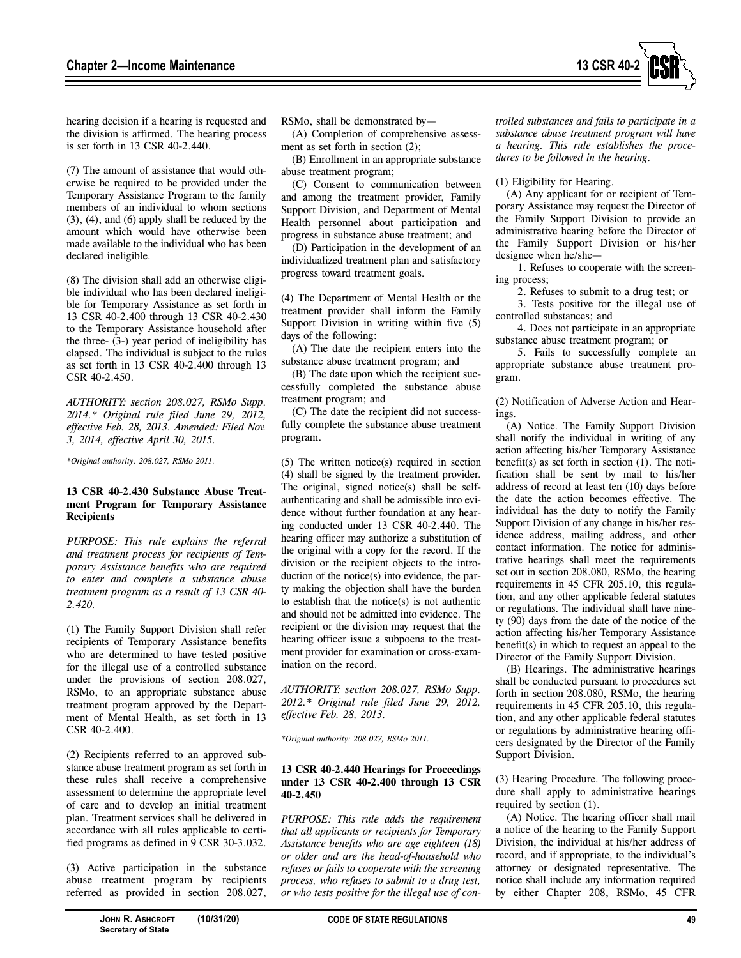

hearing decision if a hearing is requested and the division is affirmed. The hearing process is set forth in 13 CSR 40-2.440.

(7) The amount of assistance that would otherwise be required to be provided under the Temporary Assistance Program to the family members of an individual to whom sections (3), (4), and (6) apply shall be reduced by the amount which would have otherwise been made available to the individual who has been declared ineligible.

(8) The division shall add an otherwise eligible individual who has been declared ineligible for Temporary Assistance as set forth in 13 CSR 40-2.400 through 13 CSR 40-2.430 to the Temporary Assistance household after the three- (3-) year period of ineligibility has elapsed. The individual is subject to the rules as set forth in 13 CSR 40-2.400 through 13 CSR 40-2.450.

*AUTHORITY: section 208.027, RSMo Supp. 2014.\* Original rule filed June 29, 2012, effective Feb. 28, 2013. Amended: Filed Nov. 3, 2014, effective April 30, 2015.* 

*\*Original authority: 208.027, RSMo 2011.* 

## **13 CSR 40-2.430 Substance Abuse Treatment Program for Temporary Assistance Recipients**

*PURPOSE: This rule explains the referral and treatment process for recipients of Temporary Assistance benefits who are required to enter and complete a substance abuse treatment program as a result of 13 CSR 40- 2.420.* 

(1) The Family Support Division shall refer recipients of Temporary Assistance benefits who are determined to have tested positive for the illegal use of a controlled substance under the provisions of section 208.027, RSMo, to an appropriate substance abuse treatment program approved by the Department of Mental Health, as set forth in 13 CSR 40-2.400.

(2) Recipients referred to an approved substance abuse treatment program as set forth in these rules shall receive a comprehensive assessment to determine the appropriate level of care and to develop an initial treatment plan. Treatment services shall be delivered in accordance with all rules applicable to certified programs as defined in 9 CSR 30-3.032.

(3) Active participation in the substance abuse treatment program by recipients referred as provided in section 208.027, RSMo, shall be demonstrated by—

(A) Completion of comprehensive assessment as set forth in section (2);

(B) Enrollment in an appropriate substance abuse treatment program;

(C) Consent to communication between and among the treatment provider, Family Support Division, and Department of Mental Health personnel about participation and progress in substance abuse treatment; and

(D) Participation in the development of an individualized treatment plan and satisfactory progress toward treatment goals.

(4) The Department of Mental Health or the treatment provider shall inform the Family Support Division in writing within five (5) days of the following:

(A) The date the recipient enters into the substance abuse treatment program; and

(B) The date upon which the recipient successfully completed the substance abuse treatment program; and

(C) The date the recipient did not successfully complete the substance abuse treatment program.

(5) The written notice(s) required in section (4) shall be signed by the treatment provider. The original, signed notice(s) shall be selfauthenticating and shall be admissible into evidence without further foundation at any hearing conducted under 13 CSR 40-2.440. The hearing officer may authorize a substitution of the original with a copy for the record. If the division or the recipient objects to the introduction of the notice(s) into evidence, the party making the objection shall have the burden to establish that the notice(s) is not authentic and should not be admitted into evidence. The recipient or the division may request that the hearing officer issue a subpoena to the treatment provider for examination or cross-examination on the record.

*AUTHORITY: section 208.027, RSMo Supp. 2012.\* Original rule filed June 29, 2012, effective Feb. 28, 2013.* 

*\*Original authority: 208.027, RSMo 2011.* 

## **13 CSR 40-2.440 Hearings for Proceedings under 13 CSR 40-2.400 through 13 CSR 40-2.450**

*PURPOSE: This rule adds the requirement that all applicants or recipients for Temporary Assistance benefits who are age eighteen (18) or older and are the head-of-household who refuses or fails to cooperate with the screening process, who refuses to submit to a drug test, or who tests positive for the illegal use of con-* *trolled substances and fails to participate in a substance abuse treatment program will have a hearing. This rule establishes the procedures to be followed in the hearing.* 

(1) Eligibility for Hearing.

(A) Any applicant for or recipient of Temporary Assistance may request the Director of the Family Support Division to provide an administrative hearing before the Director of the Family Support Division or his/her designee when he/she—

1. Refuses to cooperate with the screening process;

2. Refuses to submit to a drug test; or

3. Tests positive for the illegal use of controlled substances; and

4. Does not participate in an appropriate substance abuse treatment program; or

5. Fails to successfully complete an appropriate substance abuse treatment program.

(2) Notification of Adverse Action and Hearings.

(A) Notice. The Family Support Division shall notify the individual in writing of any action affecting his/her Temporary Assistance benefit(s) as set forth in section (1). The notification shall be sent by mail to his/her address of record at least ten (10) days before the date the action becomes effective. The individual has the duty to notify the Family Support Division of any change in his/her residence address, mailing address, and other contact information. The notice for administrative hearings shall meet the requirements set out in section 208.080, RSMo, the hearing requirements in 45 CFR 205.10, this regulation, and any other applicable federal statutes or regulations. The individual shall have ninety (90) days from the date of the notice of the action affecting his/her Temporary Assistance benefit(s) in which to request an appeal to the Director of the Family Support Division.

(B) Hearings. The administrative hearings shall be conducted pursuant to procedures set forth in section 208.080, RSMo, the hearing requirements in 45 CFR 205.10, this regulation, and any other applicable federal statutes or regulations by administrative hearing officers designated by the Director of the Family Support Division.

(3) Hearing Procedure. The following procedure shall apply to administrative hearings required by section (1).

(A) Notice. The hearing officer shall mail a notice of the hearing to the Family Support Division, the individual at his/her address of record, and if appropriate, to the individual's attorney or designated representative. The notice shall include any information required by either Chapter 208, RSMo, 45 CFR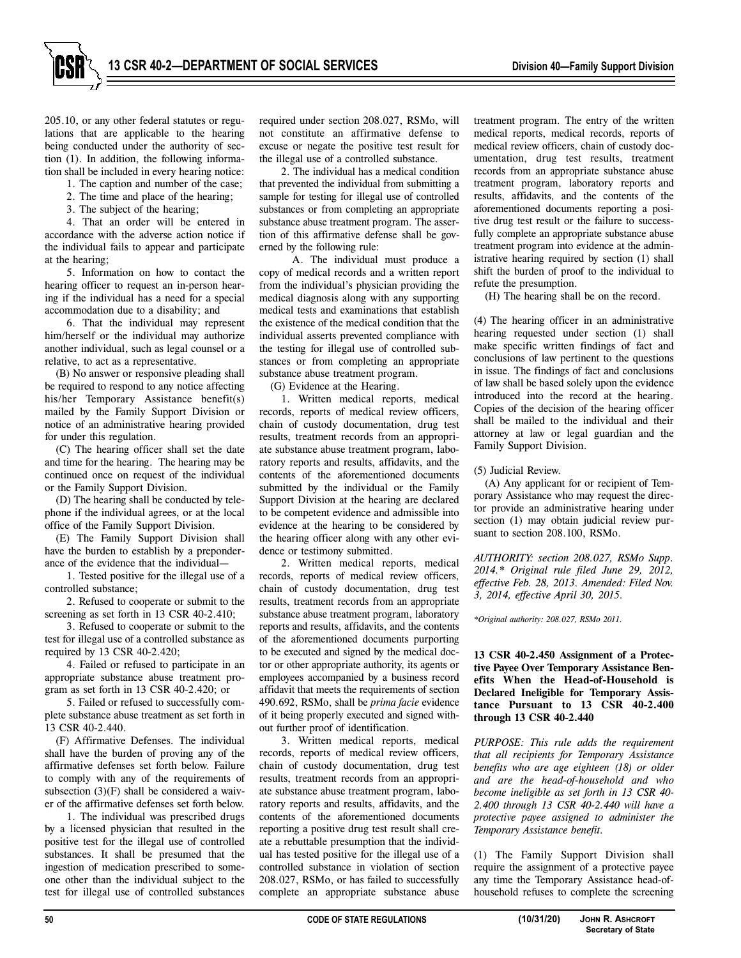205.10, or any other federal statutes or regulations that are applicable to the hearing being conducted under the authority of section (1). In addition, the following information shall be included in every hearing notice:

- 1. The caption and number of the case;
- 2. The time and place of the hearing;
- 3. The subject of the hearing;

4. That an order will be entered in accordance with the adverse action notice if the individual fails to appear and participate at the hearing;

5. Information on how to contact the hearing officer to request an in-person hearing if the individual has a need for a special accommodation due to a disability; and

6. That the individual may represent him/herself or the individual may authorize another individual, such as legal counsel or a relative, to act as a representative.

(B) No answer or responsive pleading shall be required to respond to any notice affecting his/her Temporary Assistance benefit(s) mailed by the Family Support Division or notice of an administrative hearing provided for under this regulation.

(C) The hearing officer shall set the date and time for the hearing. The hearing may be continued once on request of the individual or the Family Support Division.

(D) The hearing shall be conducted by telephone if the individual agrees, or at the local office of the Family Support Division.

(E) The Family Support Division shall have the burden to establish by a preponderance of the evidence that the individual—

1. Tested positive for the illegal use of a controlled substance;

2. Refused to cooperate or submit to the screening as set forth in 13 CSR 40-2.410;

3. Refused to cooperate or submit to the test for illegal use of a controlled substance as required by 13 CSR 40-2.420;

4. Failed or refused to participate in an appropriate substance abuse treatment program as set forth in 13 CSR 40-2.420; or

5. Failed or refused to successfully complete substance abuse treatment as set forth in 13 CSR 40-2.440.

(F) Affirmative Defenses. The individual shall have the burden of proving any of the affirmative defenses set forth below. Failure to comply with any of the requirements of subsection (3)(F) shall be considered a waiver of the affirmative defenses set forth below.

1. The individual was prescribed drugs by a licensed physician that resulted in the positive test for the illegal use of controlled substances. It shall be presumed that the ingestion of medication prescribed to someone other than the individual subject to the test for illegal use of controlled substances

required under section 208.027, RSMo, will not constitute an affirmative defense to excuse or negate the positive test result for the illegal use of a controlled substance.

2. The individual has a medical condition that prevented the individual from submitting a sample for testing for illegal use of controlled substances or from completing an appropriate substance abuse treatment program. The assertion of this affirmative defense shall be governed by the following rule:

A. The individual must produce a copy of medical records and a written report from the individual's physician providing the medical diagnosis along with any supporting medical tests and examinations that establish the existence of the medical condition that the individual asserts prevented compliance with the testing for illegal use of controlled substances or from completing an appropriate substance abuse treatment program.

(G) Evidence at the Hearing.

1. Written medical reports, medical records, reports of medical review officers, chain of custody documentation, drug test results, treatment records from an appropriate substance abuse treatment program, laboratory reports and results, affidavits, and the contents of the aforementioned documents submitted by the individual or the Family Support Division at the hearing are declared to be competent evidence and admissible into evidence at the hearing to be considered by the hearing officer along with any other evidence or testimony submitted.

2. Written medical reports, medical records, reports of medical review officers, chain of custody documentation, drug test results, treatment records from an appropriate substance abuse treatment program, laboratory reports and results, affidavits, and the contents of the aforementioned documents purporting to be executed and signed by the medical doctor or other appropriate authority, its agents or employees accompanied by a business record affidavit that meets the requirements of section 490.692, RSMo, shall be *prima facie* evidence of it being properly executed and signed without further proof of identification.

3. Written medical reports, medical records, reports of medical review officers, chain of custody documentation, drug test results, treatment records from an appropriate substance abuse treatment program, laboratory reports and results, affidavits, and the contents of the aforementioned documents reporting a positive drug test result shall create a rebuttable presumption that the individual has tested positive for the illegal use of a controlled substance in violation of section 208.027, RSMo, or has failed to successfully complete an appropriate substance abuse

treatment program. The entry of the written medical reports, medical records, reports of medical review officers, chain of custody documentation, drug test results, treatment records from an appropriate substance abuse treatment program, laboratory reports and results, affidavits, and the contents of the aforementioned documents reporting a positive drug test result or the failure to successfully complete an appropriate substance abuse treatment program into evidence at the administrative hearing required by section (1) shall shift the burden of proof to the individual to refute the presumption.

(H) The hearing shall be on the record.

(4) The hearing officer in an administrative hearing requested under section (1) shall make specific written findings of fact and conclusions of law pertinent to the questions in issue. The findings of fact and conclusions of law shall be based solely upon the evidence introduced into the record at the hearing. Copies of the decision of the hearing officer shall be mailed to the individual and their attorney at law or legal guardian and the Family Support Division.

(5) Judicial Review.

(A) Any applicant for or recipient of Temporary Assistance who may request the director provide an administrative hearing under section (1) may obtain judicial review pursuant to section 208.100, RSMo.

*AUTHORITY: section 208.027, RSMo Supp. 2014.\* Original rule filed June 29, 2012, effective Feb. 28, 2013. Amended: Filed Nov. 3, 2014, effective April 30, 2015.* 

*\*Original authority: 208.027, RSMo 2011.* 

## **13 CSR 40-2.450 Assignment of a Protective Payee Over Temporary Assistance Benefits When the Head-of-Household is Declared Ineligible for Temporary Assistance Pursuant to 13 CSR 40-2.400 through 13 CSR 40-2.440**

*PURPOSE: This rule adds the requirement that all recipients for Temporary Assistance benefits who are age eighteen (18) or older and are the head-of-household and who become ineligible as set forth in 13 CSR 40- 2.400 through 13 CSR 40-2.440 will have a protective payee assigned to administer the Temporary Assistance benefit.* 

(1) The Family Support Division shall require the assignment of a protective payee any time the Temporary Assistance head-ofhousehold refuses to complete the screening